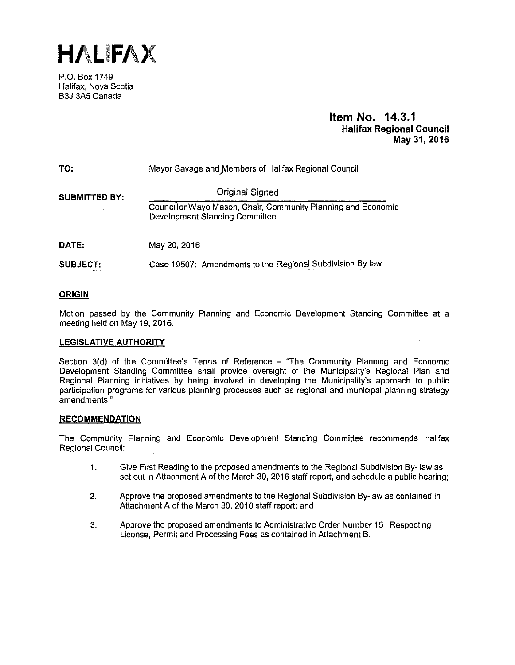**HALIFAX** 

P.O. Box 1749 Halifax, Nova Scotia B3J 3A5 Canada

## **Item No. 14.3.1 Halifax Regional Council May 31, 2016**

| TO:                  | Mayor Savage and Members of Halifax Regional Council                                                   |
|----------------------|--------------------------------------------------------------------------------------------------------|
| <b>SUBMITTED BY:</b> | <b>Original Signed</b>                                                                                 |
|                      | Councillor Waye Mason, Chair, Community Planning and Economic<br><b>Development Standing Committee</b> |
| DATE:                | May 20, 2016                                                                                           |
| <b>SUBJECT:</b>      | Case 19507: Amendments to the Regional Subdivision By-law                                              |

## **ORIGIN**

Motion passed by the Community Planning and Economic Development Standing Committee at a meeting held on May 19, 2016.

## **LEGISLATIVE AUTHORITY**

Section 3(d) of the Committee's Terms of Reference – "The Community Planning and Economic Development Standing Committee shall provide oversight of the Municipality's Regional Plan and Regional Planning initiatives by being involved in developing the Municipality's approach to public participation programs for various planning processes such as regional and municipal planning strategy amendments."

#### **RECOMMENDATION**

The Community Planning and Economic Development Standing Committee recommends Halifax Regional Council:

- 1. Give First Reading to the proposed amendments to the Regional Subdivision By- law as set out in Attachment A of the March 30, 2016 staff report, and schedule a public hearing;
- 2. Approve the proposed amendments to the Regional Subdivision By-law as contained in Attachment A of the March 30, 2016 staff report; and
- 3. Approve the proposed amendments to Administrative Order Number 15 Respecting License, Permit and Processing Fees as contained in Attachment B.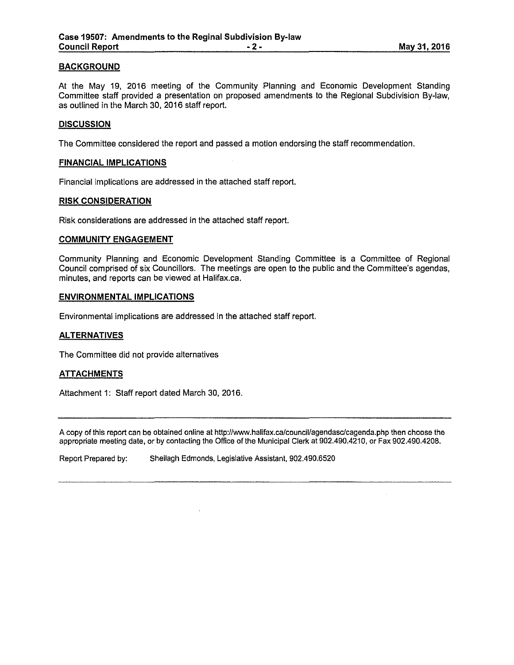### **BACKGROUND**

At the May 19, 2016 meeting of the Community Planning and Economic Development Standing Committee staff provided a presentation on proposed amendments to the Regional Subdivision By-law, as outlined in the March 30, 2016 staff report.

#### **DISCUSSION**

The Committee considered the report and passed a motion endorsing the staff recommendation.

### **FINANCIAL IMPLICATIONS**

Financial implications are addressed in the attached staff report.

### **RISK CONSIDERATION**

Risk considerations are addressed in the attached staff report.

### **COMMUNITY ENGAGEMENT**

Community Planning and Economic Development Standing Committee is a Committee of Regional Council comprised of six Councillors. The meetings are open to the public and the Committee's agendas, minutes, and reports can be viewed at Halifax.ca.

### **ENVIRONMENTAL IMPLICATIONS**

Environmental implications are addressed in the attached staff report.

### **ALTERNATIVES**

The Committee did not provide alternatives

#### **ATTACHMENTS**

Attachment 1: Staff report dated March 30, 2016.

A copy of this report can be obtained online at http://www.halifax.ca/council/agendasc/cagenda.php then choose the appropriate meeting date, or by contacting the Office of the Municipal Clerk at 902.490.4210, or Fax 902.490.4208.

Report Prepared by: Sheilagh Edmonds, Legislative Assistant, 902.490.6520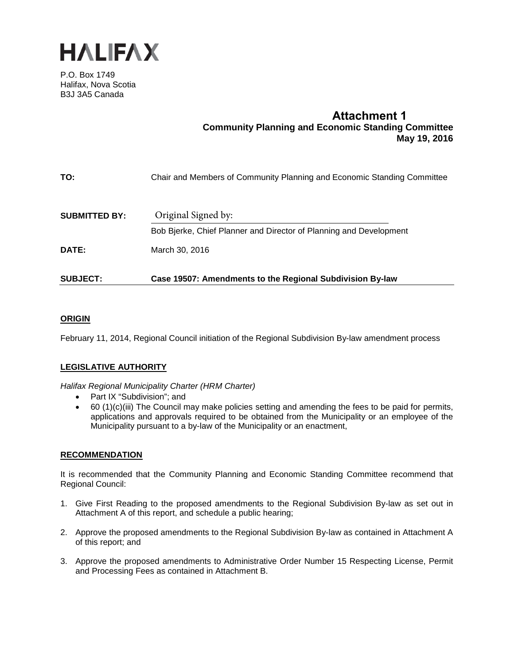

P.O. Box 1749 Halifax, Nova Scotia B3J 3A5 Canada

# **Attachment 1 Community Planning and Economic Standing Committee May 19, 2016**

| <b>SUBJECT:</b>      | Case 19507: Amendments to the Regional Subdivision By-law               |
|----------------------|-------------------------------------------------------------------------|
| DATE:                | March 30, 2016                                                          |
|                      | Bob Bjerke, Chief Planner and Director of Planning and Development      |
| <b>SUBMITTED BY:</b> | Original Signed by:                                                     |
| TO:                  | Chair and Members of Community Planning and Economic Standing Committee |

## **ORIGIN**

February 11, 2014, Regional Council initiation of the Regional Subdivision By-law amendment process

## **LEGISLATIVE AUTHORITY**

*Halifax Regional Municipality Charter (HRM Charter)*

- Part IX "Subdivision"; and
- $\bullet$  60 (1)(c)(iii) The Council may make policies setting and amending the fees to be paid for permits, applications and approvals required to be obtained from the Municipality or an employee of the Municipality pursuant to a by-law of the Municipality or an enactment,

## **RECOMMENDATION**

It is recommended that the Community Planning and Economic Standing Committee recommend that Regional Council:

- 1. Give First Reading to the proposed amendments to the Regional Subdivision By-law as set out in Attachment A of this report, and schedule a public hearing;
- 2. Approve the proposed amendments to the Regional Subdivision By-law as contained in Attachment A of this report; and
- 3. Approve the proposed amendments to Administrative Order Number 15 Respecting License, Permit and Processing Fees as contained in Attachment B.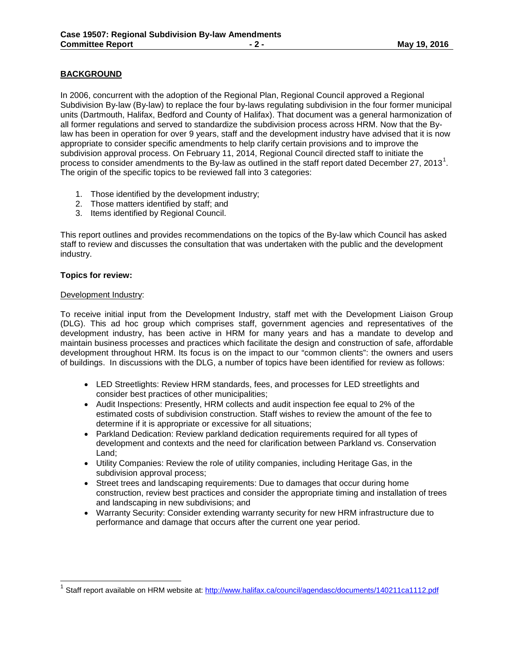## **BACKGROUND**

In 2006, concurrent with the adoption of the Regional Plan, Regional Council approved a Regional Subdivision By-law (By-law) to replace the four by-laws regulating subdivision in the four former municipal units (Dartmouth, Halifax, Bedford and County of Halifax). That document was a general harmonization of all former regulations and served to standardize the subdivision process across HRM. Now that the Bylaw has been in operation for over 9 years, staff and the development industry have advised that it is now appropriate to consider specific amendments to help clarify certain provisions and to improve the subdivision approval process. On February 11, 2014, Regional Council directed staff to initiate the process to consider amendments to the By-law as outlined in the staff report dated December 27, 2013<sup>1</sup>. The origin of the specific topics to be reviewed fall into 3 categories:

- 1. Those identified by the development industry;
- 2. Those matters identified by staff; and
- 3. Items identified by Regional Council.

This report outlines and provides recommendations on the topics of the By-law which Council has asked staff to review and discusses the consultation that was undertaken with the public and the development industry.

## **Topics for review:**

 $\overline{\phantom{a}}$ 

## Development Industry:

To receive initial input from the Development Industry, staff met with the Development Liaison Group (DLG). This ad hoc group which comprises staff, government agencies and representatives of the development industry, has been active in HRM for many years and has a mandate to develop and maintain business processes and practices which facilitate the design and construction of safe, affordable development throughout HRM. Its focus is on the impact to our "common clients": the owners and users of buildings. In discussions with the DLG, a number of topics have been identified for review as follows:

- LED Streetlights: Review HRM standards, fees, and processes for LED streetlights and consider best practices of other municipalities;
- Audit Inspections: Presently, HRM collects and audit inspection fee equal to 2% of the estimated costs of subdivision construction. Staff wishes to review the amount of the fee to determine if it is appropriate or excessive for all situations;
- Parkland Dedication: Review parkland dedication requirements required for all types of development and contexts and the need for clarification between Parkland vs. Conservation Land;
- Utility Companies: Review the role of utility companies, including Heritage Gas, in the subdivision approval process;
- Street trees and landscaping requirements: Due to damages that occur during home construction, review best practices and consider the appropriate timing and installation of trees and landscaping in new subdivisions; and
- Warranty Security: Consider extending warranty security for new HRM infrastructure due to performance and damage that occurs after the current one year period.

<sup>&</sup>lt;sup>1</sup> Staff report available on HRM website at: http://www.halifax.ca/council/agendasc/documents/140211ca1112.pdf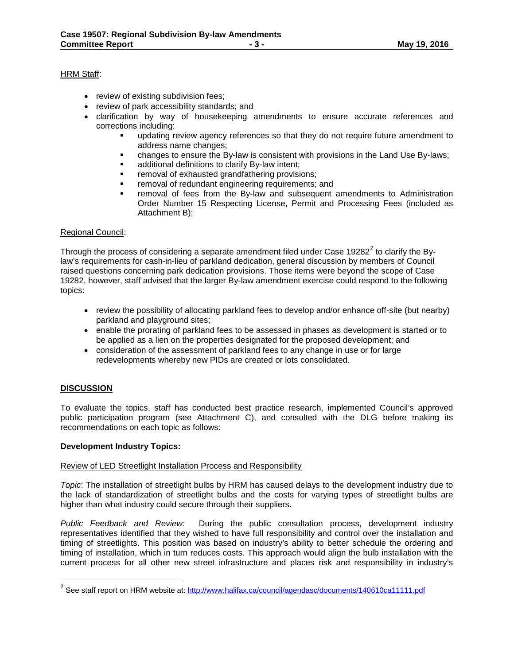### HRM Staff:

- review of existing subdivision fees;
- review of park accessibility standards; and
- clarification by way of housekeeping amendments to ensure accurate references and corrections including:
	- updating review agency references so that they do not require future amendment to address name changes;
	- changes to ensure the By-law is consistent with provisions in the Land Use By-laws;
	- additional definitions to clarify By-law intent;
	- removal of exhausted grandfathering provisions;
	- removal of redundant engineering requirements; and
	- removal of fees from the By-law and subsequent amendments to Administration Order Number 15 Respecting License, Permit and Processing Fees (included as Attachment B);

### Regional Council:

Through the process of considering a separate amendment filed under Case 19282 $2$  to clarify the Bylaw's requirements for cash-in-lieu of parkland dedication, general discussion by members of Council raised questions concerning park dedication provisions. Those items were beyond the scope of Case 19282, however, staff advised that the larger By-law amendment exercise could respond to the following topics:

- review the possibility of allocating parkland fees to develop and/or enhance off-site (but nearby) parkland and playground sites;
- enable the prorating of parkland fees to be assessed in phases as development is started or to be applied as a lien on the properties designated for the proposed development; and
- consideration of the assessment of parkland fees to any change in use or for large redevelopments whereby new PIDs are created or lots consolidated.

## **DISCUSSION**

 $\overline{a}$ 

To evaluate the topics, staff has conducted best practice research, implemented Council's approved public participation program (see Attachment C), and consulted with the DLG before making its recommendations on each topic as follows:

#### **Development Industry Topics:**

#### Review of LED Streetlight Installation Process and Responsibility

*Topic*: The installation of streetlight bulbs by HRM has caused delays to the development industry due to the lack of standardization of streetlight bulbs and the costs for varying types of streetlight bulbs are higher than what industry could secure through their suppliers.

*Public Feedback and Review:* During the public consultation process, development industry representatives identified that they wished to have full responsibility and control over the installation and timing of streetlights. This position was based on industry's ability to better schedule the ordering and timing of installation, which in turn reduces costs. This approach would align the bulb installation with the current process for all other new street infrastructure and places risk and responsibility in industry's

 $^{\text{2}}$  See staff report on HRM website at: <u>http://www.halifax.ca/council/agendasc/documents/140610ca11111.pdf</u>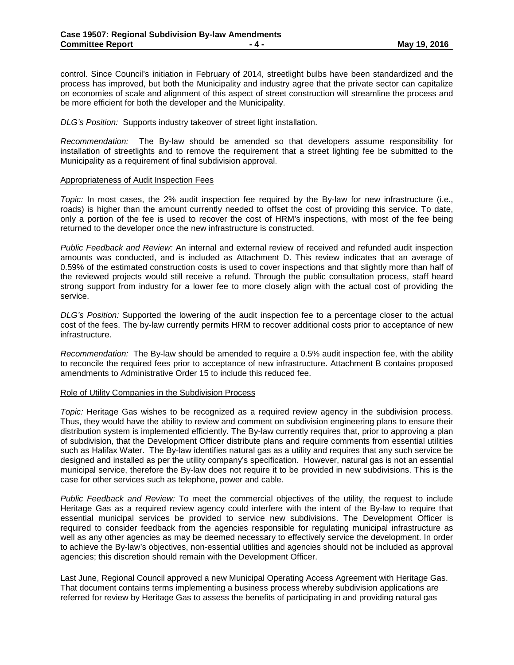control. Since Council's initiation in February of 2014, streetlight bulbs have been standardized and the process has improved, but both the Municipality and industry agree that the private sector can capitalize on economies of scale and alignment of this aspect of street construction will streamline the process and be more efficient for both the developer and the Municipality.

*DLG's Position:* Supports industry takeover of street light installation.

*Recommendation:*The By-law should be amended so that developers assume responsibility for installation of streetlights and to remove the requirement that a street lighting fee be submitted to the Municipality as a requirement of final subdivision approval.

#### Appropriateness of Audit Inspection Fees

*Topic:* In most cases, the 2% audit inspection fee required by the By-law for new infrastructure (i.e., roads) is higher than the amount currently needed to offset the cost of providing this service. To date, only a portion of the fee is used to recover the cost of HRM's inspections, with most of the fee being returned to the developer once the new infrastructure is constructed.

*Public Feedback and Review:* An internal and external review of received and refunded audit inspection amounts was conducted, and is included as Attachment D. This review indicates that an average of 0.59% of the estimated construction costs is used to cover inspections and that slightly more than half of the reviewed projects would still receive a refund. Through the public consultation process, staff heard strong support from industry for a lower fee to more closely align with the actual cost of providing the service.

*DLG's Position:* Supported the lowering of the audit inspection fee to a percentage closer to the actual cost of the fees. The by-law currently permits HRM to recover additional costs prior to acceptance of new infrastructure.

*Recommendation:* The By-law should be amended to require a 0.5% audit inspection fee, with the ability to reconcile the required fees prior to acceptance of new infrastructure. Attachment B contains proposed amendments to Administrative Order 15 to include this reduced fee.

#### Role of Utility Companies in the Subdivision Process

*Topic:* Heritage Gas wishes to be recognized as a required review agency in the subdivision process. Thus, they would have the ability to review and comment on subdivision engineering plans to ensure their distribution system is implemented efficiently. The By-law currently requires that, prior to approving a plan of subdivision, that the Development Officer distribute plans and require comments from essential utilities such as Halifax Water. The By-law identifies natural gas as a utility and requires that any such service be designed and installed as per the utility company's specification. However, natural gas is not an essential municipal service, therefore the By-law does not require it to be provided in new subdivisions. This is the case for other services such as telephone, power and cable.

*Public Feedback and Review:* To meet the commercial objectives of the utility, the request to include Heritage Gas as a required review agency could interfere with the intent of the By-law to require that essential municipal services be provided to service new subdivisions. The Development Officer is required to consider feedback from the agencies responsible for regulating municipal infrastructure as well as any other agencies as may be deemed necessary to effectively service the development. In order to achieve the By-law's objectives, non-essential utilities and agencies should not be included as approval agencies; this discretion should remain with the Development Officer.

Last June, Regional Council approved a new Municipal Operating Access Agreement with Heritage Gas. That document contains terms implementing a business process whereby subdivision applications are referred for review by Heritage Gas to assess the benefits of participating in and providing natural gas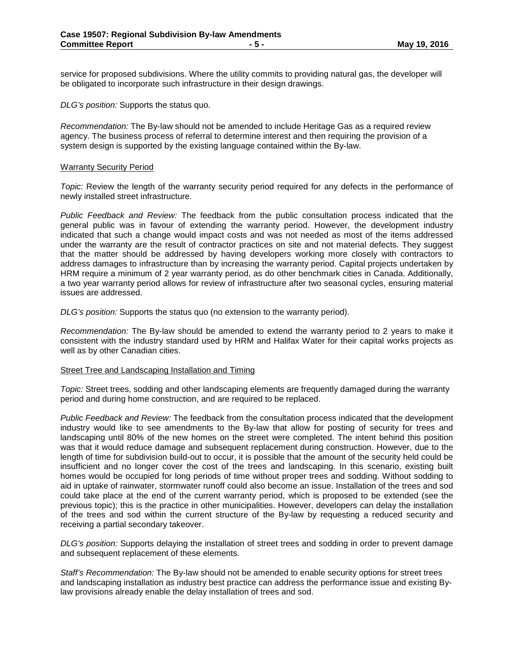service for proposed subdivisions. Where the utility commits to providing natural gas, the developer will be obligated to incorporate such infrastructure in their design drawings.

*DLG's position:* Supports the status quo.

*Recommendation:* The By-law should not be amended to include Heritage Gas as a required review agency. The business process of referral to determine interest and then requiring the provision of a system design is supported by the existing language contained within the By-law.

#### Warranty Security Period

*Topic:* Review the length of the warranty security period required for any defects in the performance of newly installed street infrastructure.

*Public Feedback and Review:* The feedback from the public consultation process indicated that the general public was in favour of extending the warranty period. However, the development industry indicated that such a change would impact costs and was not needed as most of the items addressed under the warranty are the result of contractor practices on site and not material defects. They suggest that the matter should be addressed by having developers working more closely with contractors to address damages to infrastructure than by increasing the warranty period. Capital projects undertaken by HRM require a minimum of 2 year warranty period, as do other benchmark cities in Canada. Additionally, a two year warranty period allows for review of infrastructure after two seasonal cycles, ensuring material issues are addressed.

*DLG's position:* Supports the status quo (no extension to the warranty period).

*Recommendation:* The By-law should be amended to extend the warranty period to 2 years to make it consistent with the industry standard used by HRM and Halifax Water for their capital works projects as well as by other Canadian cities.

#### Street Tree and Landscaping Installation and Timing

*Topic:* Street trees, sodding and other landscaping elements are frequently damaged during the warranty period and during home construction, and are required to be replaced.

*Public Feedback and Review:* The feedback from the consultation process indicated that the development industry would like to see amendments to the By-law that allow for posting of security for trees and landscaping until 80% of the new homes on the street were completed. The intent behind this position was that it would reduce damage and subsequent replacement during construction. However, due to the length of time for subdivision build-out to occur, it is possible that the amount of the security held could be insufficient and no longer cover the cost of the trees and landscaping. In this scenario, existing built homes would be occupied for long periods of time without proper trees and sodding. Without sodding to aid in uptake of rainwater, stormwater runoff could also become an issue. Installation of the trees and sod could take place at the end of the current warranty period, which is proposed to be extended (see the previous topic); this is the practice in other municipalities. However, developers can delay the installation of the trees and sod within the current structure of the By-law by requesting a reduced security and receiving a partial secondary takeover.

*DLG's position:* Supports delaying the installation of street trees and sodding in order to prevent damage and subsequent replacement of these elements.

*Staff's Recommendation:* The By-law should not be amended to enable security options for street trees and landscaping installation as industry best practice can address the performance issue and existing Bylaw provisions already enable the delay installation of trees and sod.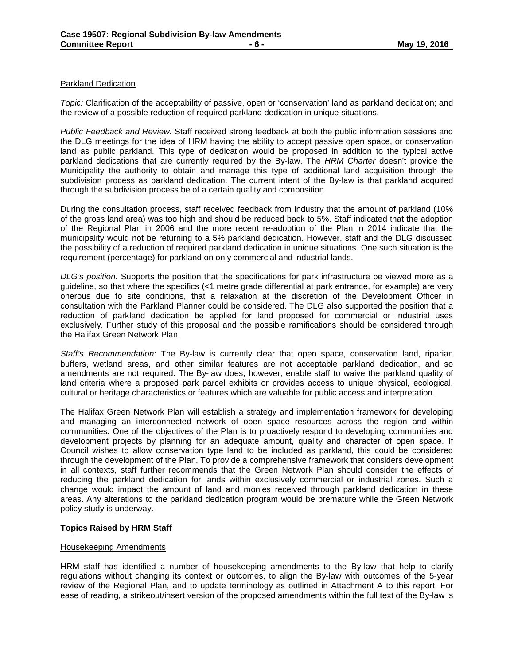### Parkland Dedication

*Topic:* Clarification of the acceptability of passive, open or 'conservation' land as parkland dedication; and the review of a possible reduction of required parkland dedication in unique situations.

*Public Feedback and Review:* Staff received strong feedback at both the public information sessions and the DLG meetings for the idea of HRM having the ability to accept passive open space, or conservation land as public parkland. This type of dedication would be proposed in addition to the typical active parkland dedications that are currently required by the By-law. The *HRM Charter* doesn't provide the Municipality the authority to obtain and manage this type of additional land acquisition through the subdivision process as parkland dedication. The current intent of the By-law is that parkland acquired through the subdivision process be of a certain quality and composition.

During the consultation process, staff received feedback from industry that the amount of parkland (10% of the gross land area) was too high and should be reduced back to 5%. Staff indicated that the adoption of the Regional Plan in 2006 and the more recent re-adoption of the Plan in 2014 indicate that the municipality would not be returning to a 5% parkland dedication. However, staff and the DLG discussed the possibility of a reduction of required parkland dedication in unique situations. One such situation is the requirement (percentage) for parkland on only commercial and industrial lands.

*DLG's position:* Supports the position that the specifications for park infrastructure be viewed more as a guideline, so that where the specifics (<1 metre grade differential at park entrance, for example) are very onerous due to site conditions, that a relaxation at the discretion of the Development Officer in consultation with the Parkland Planner could be considered. The DLG also supported the position that a reduction of parkland dedication be applied for land proposed for commercial or industrial uses exclusively. Further study of this proposal and the possible ramifications should be considered through the Halifax Green Network Plan.

*Staff's Recommendation:* The By-law is currently clear that open space, conservation land, riparian buffers, wetland areas, and other similar features are not acceptable parkland dedication, and so amendments are not required. The By-law does, however, enable staff to waive the parkland quality of land criteria where a proposed park parcel exhibits or provides access to unique physical, ecological, cultural or heritage characteristics or features which are valuable for public access and interpretation.

The Halifax Green Network Plan will establish a strategy and implementation framework for developing and managing an interconnected network of open space resources across the region and within communities. One of the objectives of the Plan is to proactively respond to developing communities and development projects by planning for an adequate amount, quality and character of open space. If Council wishes to allow conservation type land to be included as parkland, this could be considered through the development of the Plan. To provide a comprehensive framework that considers development in all contexts, staff further recommends that the Green Network Plan should consider the effects of reducing the parkland dedication for lands within exclusively commercial or industrial zones. Such a change would impact the amount of land and monies received through parkland dedication in these areas. Any alterations to the parkland dedication program would be premature while the Green Network policy study is underway.

#### **Topics Raised by HRM Staff**

#### Housekeeping Amendments

HRM staff has identified a number of housekeeping amendments to the By-law that help to clarify regulations without changing its context or outcomes, to align the By-law with outcomes of the 5-year review of the Regional Plan, and to update terminology as outlined in Attachment A to this report. For ease of reading, a strikeout/insert version of the proposed amendments within the full text of the By-law is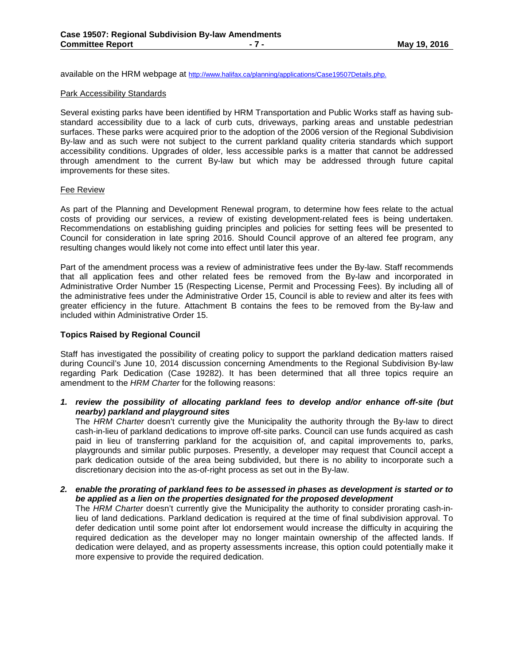available on the HRM webpage at http://www.halifax.ca/planning/applications/Case19507Details.php.

#### Park Accessibility Standards

Several existing parks have been identified by HRM Transportation and Public Works staff as having substandard accessibility due to a lack of curb cuts, driveways, parking areas and unstable pedestrian surfaces. These parks were acquired prior to the adoption of the 2006 version of the Regional Subdivision By-law and as such were not subject to the current parkland quality criteria standards which support accessibility conditions. Upgrades of older, less accessible parks is a matter that cannot be addressed through amendment to the current By-law but which may be addressed through future capital improvements for these sites.

#### Fee Review

As part of the Planning and Development Renewal program, to determine how fees relate to the actual costs of providing our services, a review of existing development-related fees is being undertaken. Recommendations on establishing guiding principles and policies for setting fees will be presented to Council for consideration in late spring 2016. Should Council approve of an altered fee program, any resulting changes would likely not come into effect until later this year.

Part of the amendment process was a review of administrative fees under the By-law. Staff recommends that all application fees and other related fees be removed from the By-law and incorporated in Administrative Order Number 15 (Respecting License, Permit and Processing Fees). By including all of the administrative fees under the Administrative Order 15, Council is able to review and alter its fees with greater efficiency in the future. Attachment B contains the fees to be removed from the By-law and included within Administrative Order 15.

### **Topics Raised by Regional Council**

Staff has investigated the possibility of creating policy to support the parkland dedication matters raised during Council's June 10, 2014 discussion concerning Amendments to the Regional Subdivision By-law regarding Park Dedication (Case 19282). It has been determined that all three topics require an amendment to the *HRM Charter* for the following reasons:

*1. review the possibility of allocating parkland fees to develop and/or enhance off-site (but nearby) parkland and playground sites*

The *HRM Charter* doesn't currently give the Municipality the authority through the By-law to direct cash-in-lieu of parkland dedications to improve off-site parks. Council can use funds acquired as cash paid in lieu of transferring parkland for the acquisition of, and capital improvements to, parks, playgrounds and similar public purposes. Presently, a developer may request that Council accept a park dedication outside of the area being subdivided, but there is no ability to incorporate such a discretionary decision into the as-of-right process as set out in the By-law.

*2. enable the prorating of parkland fees to be assessed in phases as development is started or to be applied as a lien on the properties designated for the proposed development*

The *HRM Charter* doesn't currently give the Municipality the authority to consider prorating cash-inlieu of land dedications. Parkland dedication is required at the time of final subdivision approval. To defer dedication until some point after lot endorsement would increase the difficulty in acquiring the required dedication as the developer may no longer maintain ownership of the affected lands. If dedication were delayed, and as property assessments increase, this option could potentially make it more expensive to provide the required dedication.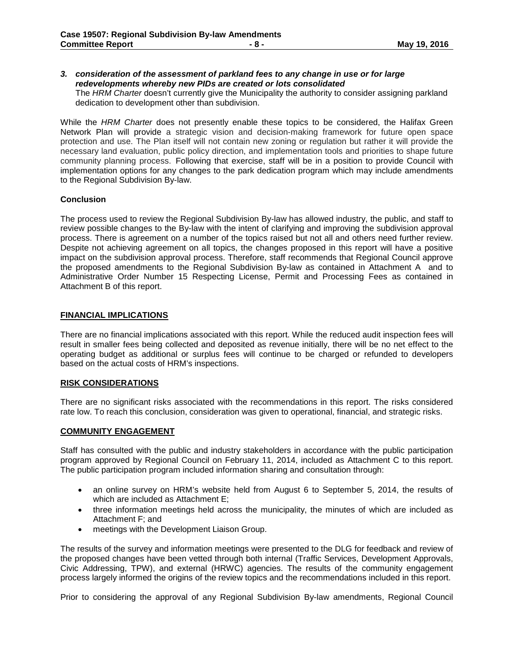## *3. consideration of the assessment of parkland fees to any change in use or for large redevelopments whereby new PIDs are created or lots consolidated*

The *HRM Charter* doesn't currently give the Municipality the authority to consider assigning parkland dedication to development other than subdivision.

While the *HRM Charter* does not presently enable these topics to be considered, the Halifax Green Network Plan will provide a strategic vision and decision-making framework for future open space protection and use. The Plan itself will not contain new zoning or regulation but rather it will provide the necessary land evaluation, public policy direction, and implementation tools and priorities to shape future community planning process. Following that exercise, staff will be in a position to provide Council with implementation options for any changes to the park dedication program which may include amendments to the Regional Subdivision By-law.

## **Conclusion**

The process used to review the Regional Subdivision By-law has allowed industry, the public, and staff to review possible changes to the By-law with the intent of clarifying and improving the subdivision approval process. There is agreement on a number of the topics raised but not all and others need further review. Despite not achieving agreement on all topics, the changes proposed in this report will have a positive impact on the subdivision approval process. Therefore, staff recommends that Regional Council approve the proposed amendments to the Regional Subdivision By-law as contained in Attachment A and to Administrative Order Number 15 Respecting License, Permit and Processing Fees as contained in Attachment B of this report.

### **FINANCIAL IMPLICATIONS**

There are no financial implications associated with this report. While the reduced audit inspection fees will result in smaller fees being collected and deposited as revenue initially, there will be no net effect to the operating budget as additional or surplus fees will continue to be charged or refunded to developers based on the actual costs of HRM's inspections.

## **RISK CONSIDERATIONS**

There are no significant risks associated with the recommendations in this report. The risks considered rate low. To reach this conclusion, consideration was given to operational, financial, and strategic risks.

### **COMMUNITY ENGAGEMENT**

Staff has consulted with the public and industry stakeholders in accordance with the public participation program approved by Regional Council on February 11, 2014, included as Attachment C to this report. The public participation program included information sharing and consultation through:

- an online survey on HRM's website held from August 6 to September 5, 2014, the results of which are included as Attachment E;
- three information meetings held across the municipality, the minutes of which are included as Attachment F; and
- meetings with the Development Liaison Group.

The results of the survey and information meetings were presented to the DLG for feedback and review of the proposed changes have been vetted through both internal (Traffic Services, Development Approvals, Civic Addressing, TPW), and external (HRWC) agencies. The results of the community engagement process largely informed the origins of the review topics and the recommendations included in this report.

Prior to considering the approval of any Regional Subdivision By-law amendments, Regional Council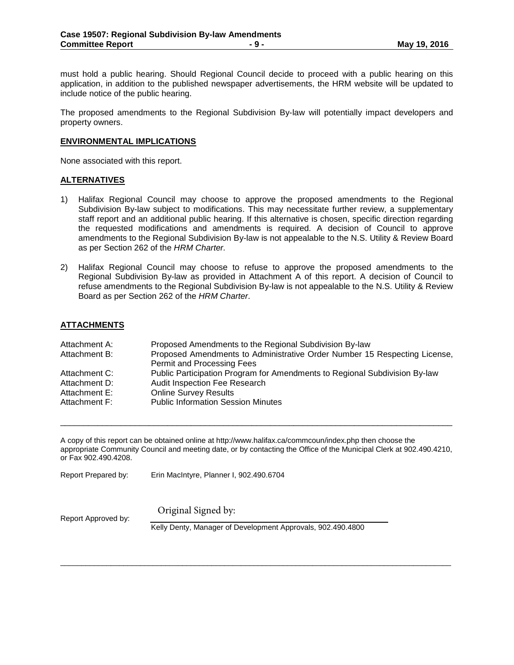must hold a public hearing. Should Regional Council decide to proceed with a public hearing on this application, in addition to the published newspaper advertisements, the HRM website will be updated to include notice of the public hearing.

The proposed amendments to the Regional Subdivision By-law will potentially impact developers and property owners.

#### **ENVIRONMENTAL IMPLICATIONS**

None associated with this report.

### **ALTERNATIVES**

- 1) Halifax Regional Council may choose to approve the proposed amendments to the Regional Subdivision By-law subject to modifications. This may necessitate further review, a supplementary staff report and an additional public hearing. If this alternative is chosen, specific direction regarding the requested modifications and amendments is required. A decision of Council to approve amendments to the Regional Subdivision By-law is not appealable to the N.S. Utility & Review Board as per Section 262 of the *HRM Charter.*
- 2) Halifax Regional Council may choose to refuse to approve the proposed amendments to the Regional Subdivision By-law as provided in Attachment A of this report. A decision of Council to refuse amendments to the Regional Subdivision By-law is not appealable to the N.S. Utility & Review Board as per Section 262 of the *HRM Charter*.

## **ATTACHMENTS**

| Attachment A: | Proposed Amendments to the Regional Subdivision By-law                     |
|---------------|----------------------------------------------------------------------------|
| Attachment B: | Proposed Amendments to Administrative Order Number 15 Respecting License,  |
|               | Permit and Processing Fees                                                 |
| Attachment C: | Public Participation Program for Amendments to Regional Subdivision By-law |
| Attachment D: | Audit Inspection Fee Research                                              |
| Attachment E: | <b>Online Survey Results</b>                                               |
| Attachment F: | <b>Public Information Session Minutes</b>                                  |
|               |                                                                            |

A copy of this report can be obtained online at http://www.halifax.ca/commcoun/index.php then choose the appropriate Community Council and meeting date, or by contacting the Office of the Municipal Clerk at 902.490.4210, or Fax 902.490.4208.

\_\_\_\_\_\_\_\_\_\_\_\_\_\_\_\_\_\_\_\_\_\_\_\_\_\_\_\_\_\_\_\_\_\_\_\_\_\_\_\_\_\_\_\_\_\_\_\_\_\_\_\_\_\_\_\_\_\_\_\_\_\_\_\_\_\_\_\_\_\_\_\_\_\_\_\_\_\_\_\_\_\_\_\_

Report Prepared by: Erin MacIntyre, Planner I, 902.490.6704

Original Signed by:

Report Approved by:

Kelly Denty, Manager of Development Approvals, 902.490.4800

 $\overline{\phantom{a}}$  ,  $\overline{\phantom{a}}$  ,  $\overline{\phantom{a}}$  ,  $\overline{\phantom{a}}$  ,  $\overline{\phantom{a}}$  ,  $\overline{\phantom{a}}$  ,  $\overline{\phantom{a}}$  ,  $\overline{\phantom{a}}$  ,  $\overline{\phantom{a}}$  ,  $\overline{\phantom{a}}$  ,  $\overline{\phantom{a}}$  ,  $\overline{\phantom{a}}$  ,  $\overline{\phantom{a}}$  ,  $\overline{\phantom{a}}$  ,  $\overline{\phantom{a}}$  ,  $\overline{\phantom{a}}$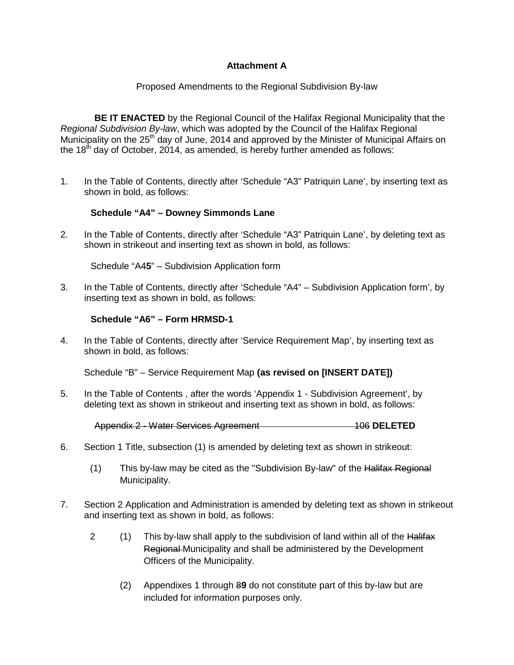## **Attachment A**

## Proposed Amendments to the Regional Subdivision By-law

**BE IT ENACTED** by the Regional Council of the Halifax Regional Municipality that the *Regional Subdivision By-law*, which was adopted by the Council of the Halifax Regional Municipality on the 25<sup>th</sup> day of June, 2014 and approved by the Minister of Municipal Affairs on the  $18<sup>th</sup>$  day of October, 2014, as amended, is hereby further amended as follows:

1. In the Table of Contents, directly after 'Schedule "A3" Patriquin Lane', by inserting text as shown in bold, as follows:

## **Schedule "A4" – Downey Simmonds Lane**

2. In the Table of Contents, directly after 'Schedule "A3" Patriquin Lane', by deleting text as shown in strikeout and inserting text as shown in bold, as follows:

Schedule "A4**5**" – Subdivision Application form

3. In the Table of Contents, directly after 'Schedule "A4" – Subdivision Application form', by inserting text as shown in bold, as follows:

## **Schedule "A6" – Form HRMSD-1**

4. In the Table of Contents, directly after 'Service Requirement Map', by inserting text as shown in bold, as follows:

Schedule "B" – Service Requirement Map **(as revised on [INSERT DATE])**

5. In the Table of Contents , after the words 'Appendix 1 - Subdivision Agreement', by deleting text as shown in strikeout and inserting text as shown in bold, as follows:

Appendix 2 - Water Services Agreement 106 **DELETED**

- 6. Section 1 Title, subsection (1) is amended by deleting text as shown in strikeout:
	- (1) This by-law may be cited as the "Subdivision By-law" of the  $H\text{alifax}\,$  Regional Municipality.
- 7. Section 2 Application and Administration is amended by deleting text as shown in strikeout and inserting text as shown in bold, as follows:
	- 2 (1) This by-law shall apply to the subdivision of land within all of the Halifax Regional Municipality and shall be administered by the Development Officers of the Municipality.
		- (2) Appendixes 1 through 8**9** do not constitute part of this by-law but are included for information purposes only.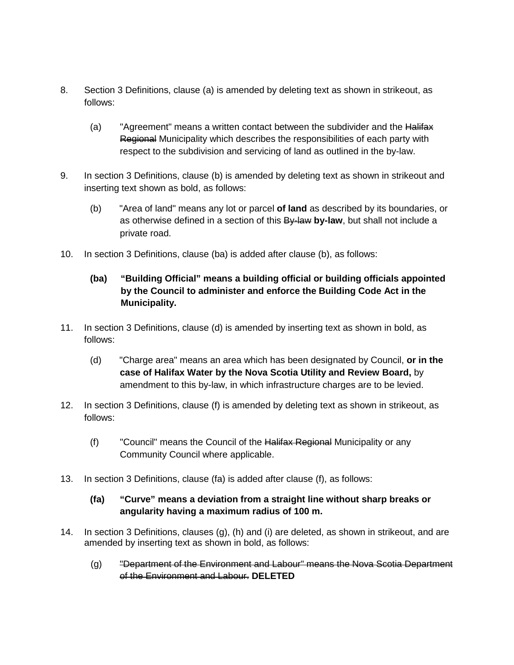- 8. Section 3 Definitions, clause (a) is amended by deleting text as shown in strikeout, as follows:
	- (a) "Agreement" means a written contact between the subdivider and the Halifax Regional Municipality which describes the responsibilities of each party with respect to the subdivision and servicing of land as outlined in the by-law.
- 9. In section 3 Definitions, clause (b) is amended by deleting text as shown in strikeout and inserting text shown as bold, as follows:
	- (b) "Area of land" means any lot or parcel **of land** as described by its boundaries, or as otherwise defined in a section of this By-law **by-law**, but shall not include a private road.
- 10. In section 3 Definitions, clause (ba) is added after clause (b), as follows:

# **(ba) "Building Official" means a building official or building officials appointed by the Council to administer and enforce the Building Code Act in the Municipality.**

- 11. In section 3 Definitions, clause (d) is amended by inserting text as shown in bold, as follows:
	- (d) "Charge area" means an area which has been designated by Council, **or in the case of Halifax Water by the Nova Scotia Utility and Review Board,** by amendment to this by-law, in which infrastructure charges are to be levied.
- 12. In section 3 Definitions, clause (f) is amended by deleting text as shown in strikeout, as follows:
	- (f) Council" means the Council of the Halifax Regional Municipality or any Community Council where applicable.
- 13. In section 3 Definitions, clause (fa) is added after clause (f), as follows:

## **(fa) "Curve" means a deviation from a straight line without sharp breaks or angularity having a maximum radius of 100 m.**

- 14. In section 3 Definitions, clauses (g), (h) and (i) are deleted, as shown in strikeout, and are amended by inserting text as shown in bold, as follows:
	- (g) "Department of the Environment and Labour" means the Nova Scotia Department of the Environment and Labour. **DELETED**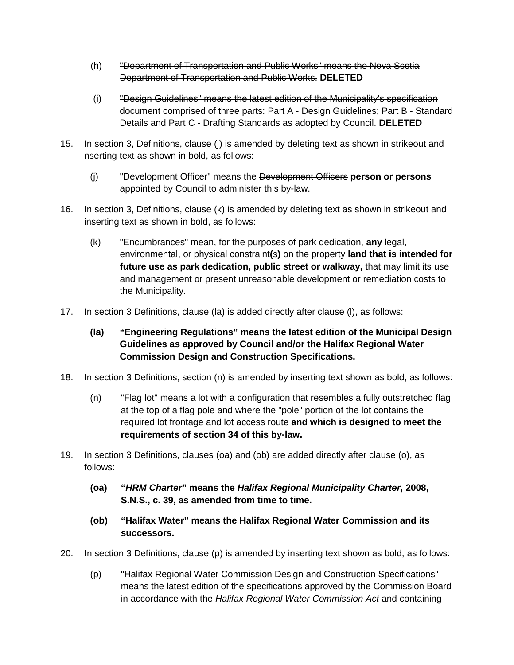- (h) "Department of Transportation and Public Works" means the Nova Scotia Department of Transportation and Public Works. **DELETED**
- (i) "Design Guidelines" means the latest edition of the Municipality's specification document comprised of three parts: Part A - Design Guidelines; Part B - Standard Details and Part C - Drafting Standards as adopted by Council. **DELETED**
- 15. In section 3, Definitions, clause (j) is amended by deleting text as shown in strikeout and nserting text as shown in bold, as follows:
	- (j) "Development Officer" means the Development Officers **person or persons** appointed by Council to administer this by-law.
- 16. In section 3, Definitions, clause (k) is amended by deleting text as shown in strikeout and inserting text as shown in bold, as follows:
	- (k) "Encumbrances" mean, for the purposes of park dedication, **any** legal, environmental, or physical constraint**(**s**)** on the property **land that is intended for future use as park dedication, public street or walkway,** that may limit its use and management or present unreasonable development or remediation costs to the Municipality.
- 17. In section 3 Definitions, clause (la) is added directly after clause (l), as follows:
	- **(la) "Engineering Regulations" means the latest edition of the Municipal Design Guidelines as approved by Council and/or the Halifax Regional Water Commission Design and Construction Specifications.**
- 18. In section 3 Definitions, section (n) is amended by inserting text shown as bold, as follows:
	- (n) "Flag lot" means a lot with a configuration that resembles a fully outstretched flag at the top of a flag pole and where the "pole" portion of the lot contains the required lot frontage and lot access route **and which is designed to meet the requirements of section 34 of this by-law.**
- 19. In section 3 Definitions, clauses (oa) and (ob) are added directly after clause (o), as follows:
	- **(oa) "***HRM Charter***" means the** *Halifax Regional Municipality Charter***, 2008, S.N.S., c. 39, as amended from time to time.**
	- **(ob) "Halifax Water" means the Halifax Regional Water Commission and its successors.**
- 20. In section 3 Definitions, clause (p) is amended by inserting text shown as bold, as follows:
	- (p) "Halifax Regional Water Commission Design and Construction Specifications" means the latest edition of the specifications approved by the Commission Board in accordance with the *Halifax Regional Water Commission Act* and containing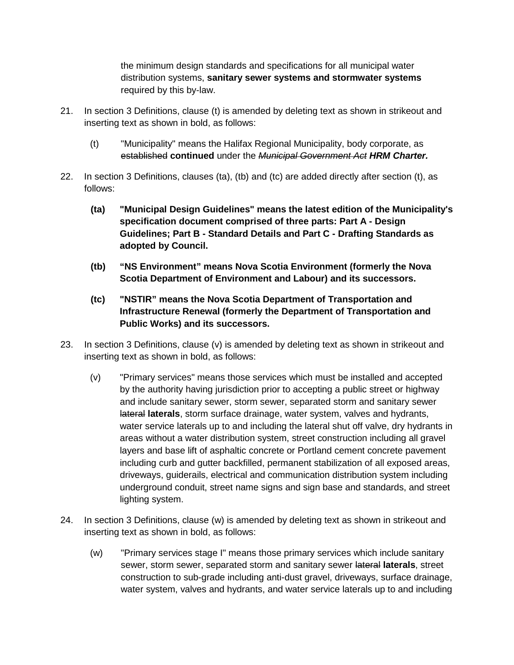the minimum design standards and specifications for all municipal water distribution systems, **sanitary sewer systems and stormwater systems** required by this by-law.

- 21. In section 3 Definitions, clause (t) is amended by deleting text as shown in strikeout and inserting text as shown in bold, as follows:
	- (t) "Municipality" means the Halifax Regional Municipality, body corporate, as established **continued** under the *Municipal Government Act HRM Charter.*
- 22. In section 3 Definitions, clauses (ta), (tb) and (tc) are added directly after section (t), as follows:
	- **(ta) "Municipal Design Guidelines" means the latest edition of the Municipality's specification document comprised of three parts: Part A - Design Guidelines; Part B - Standard Details and Part C - Drafting Standards as adopted by Council.**
	- **(tb) "NS Environment" means Nova Scotia Environment (formerly the Nova Scotia Department of Environment and Labour) and its successors.**
	- **(tc) "NSTIR" means the Nova Scotia Department of Transportation and Infrastructure Renewal (formerly the Department of Transportation and Public Works) and its successors.**
- 23. In section 3 Definitions, clause  $(v)$  is amended by deleting text as shown in strikeout and inserting text as shown in bold, as follows:
	- (v) "Primary services" means those services which must be installed and accepted by the authority having jurisdiction prior to accepting a public street or highway and include sanitary sewer, storm sewer, separated storm and sanitary sewer lateral **laterals**, storm surface drainage, water system, valves and hydrants, water service laterals up to and including the lateral shut off valve, dry hydrants in areas without a water distribution system, street construction including all gravel layers and base lift of asphaltic concrete or Portland cement concrete pavement including curb and gutter backfilled, permanent stabilization of all exposed areas, driveways, guiderails, electrical and communication distribution system including underground conduit, street name signs and sign base and standards, and street lighting system.
- 24. In section 3 Definitions, clause (w) is amended by deleting text as shown in strikeout and inserting text as shown in bold, as follows:
	- (w) "Primary services stage I" means those primary services which include sanitary sewer, storm sewer, separated storm and sanitary sewer lateral **laterals**, street construction to sub-grade including anti-dust gravel, driveways, surface drainage, water system, valves and hydrants, and water service laterals up to and including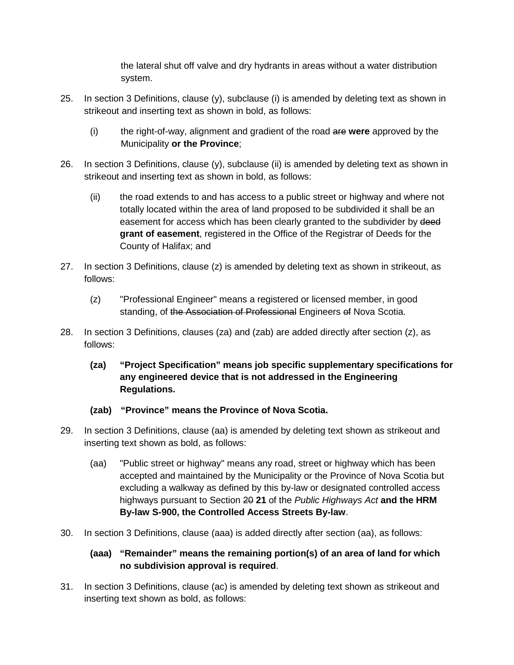the lateral shut off valve and dry hydrants in areas without a water distribution system.

- 25. In section 3 Definitions, clause  $(y)$ , subclause  $(i)$  is amended by deleting text as shown in strikeout and inserting text as shown in bold, as follows:
	- (i) the right-of-way, alignment and gradient of the road are **were** approved by the Municipality **or the Province**;
- 26. In section 3 Definitions, clause (y), subclause (ii) is amended by deleting text as shown in strikeout and inserting text as shown in bold, as follows:
	- (ii) the road extends to and has access to a public street or highway and where not totally located within the area of land proposed to be subdivided it shall be an easement for access which has been clearly granted to the subdivider by deed **grant of easement**, registered in the Office of the Registrar of Deeds for the County of Halifax; and
- 27. In section 3 Definitions, clause (z) is amended by deleting text as shown in strikeout, as follows:
	- (z) "Professional Engineer" means a registered or licensed member, in good standing, of the Association of Professional Engineers of Nova Scotia.
- 28. In section 3 Definitions, clauses (za) and (zab) are added directly after section (z), as follows:
	- **(za) "Project Specification" means job specific supplementary specifications for any engineered device that is not addressed in the Engineering Regulations.**
	- **(zab) "Province" means the Province of Nova Scotia.**
- 29. In section 3 Definitions, clause (aa) is amended by deleting text shown as strikeout and inserting text shown as bold, as follows:
	- (aa) "Public street or highway" means any road, street or highway which has been accepted and maintained by the Municipality or the Province of Nova Scotia but excluding a walkway as defined by this by-law or designated controlled access highways pursuant to Section 20 **21** of the *Public Highways Act* **and the HRM By-law S-900, the Controlled Access Streets By-law**.
- 30. In section 3 Definitions, clause (aaa) is added directly after section (aa), as follows:

# **(aaa) "Remainder" means the remaining portion(s) of an area of land for which no subdivision approval is required**.

31. In section 3 Definitions, clause (ac) is amended by deleting text shown as strikeout and inserting text shown as bold, as follows: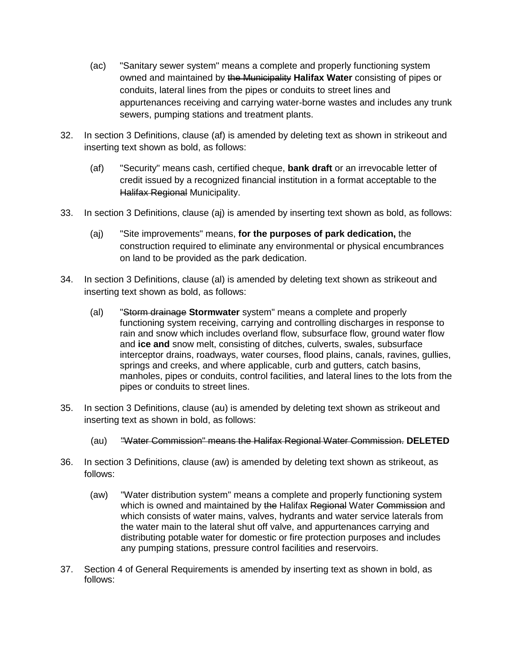- (ac) "Sanitary sewer system" means a complete and properly functioning system owned and maintained by the Municipality **Halifax Water** consisting of pipes or conduits, lateral lines from the pipes or conduits to street lines and appurtenances receiving and carrying water-borne wastes and includes any trunk sewers, pumping stations and treatment plants.
- 32. In section 3 Definitions, clause (af) is amended by deleting text as shown in strikeout and inserting text shown as bold, as follows:
	- (af) "Security" means cash, certified cheque, **bank draft** or an irrevocable letter of credit issued by a recognized financial institution in a format acceptable to the Halifax Regional Municipality.
- 33. In section 3 Definitions, clause (aj) is amended by inserting text shown as bold, as follows:
	- (aj) "Site improvements" means, **for the purposes of park dedication,** the construction required to eliminate any environmental or physical encumbrances on land to be provided as the park dedication.
- 34. In section 3 Definitions, clause (al) is amended by deleting text shown as strikeout and inserting text shown as bold, as follows:
	- (al) "Storm drainage **Stormwater** system" means a complete and properly functioning system receiving, carrying and controlling discharges in response to rain and snow which includes overland flow, subsurface flow, ground water flow and **ice and** snow melt, consisting of ditches, culverts, swales, subsurface interceptor drains, roadways, water courses, flood plains, canals, ravines, gullies, springs and creeks, and where applicable, curb and gutters, catch basins, manholes, pipes or conduits, control facilities, and lateral lines to the lots from the pipes or conduits to street lines.
- 35. In section 3 Definitions, clause (au) is amended by deleting text shown as strikeout and inserting text as shown in bold, as follows:
	- (au) "Water Commission" means the Halifax Regional Water Commission. **DELETED**
- 36. In section 3 Definitions, clause (aw) is amended by deleting text shown as strikeout, as follows:
	- (aw) "Water distribution system" means a complete and properly functioning system which is owned and maintained by the Halifax Regional Water Commission and which consists of water mains, valves, hydrants and water service laterals from the water main to the lateral shut off valve, and appurtenances carrying and distributing potable water for domestic or fire protection purposes and includes any pumping stations, pressure control facilities and reservoirs.
- 37. Section 4 of General Requirements is amended by inserting text as shown in bold, as follows: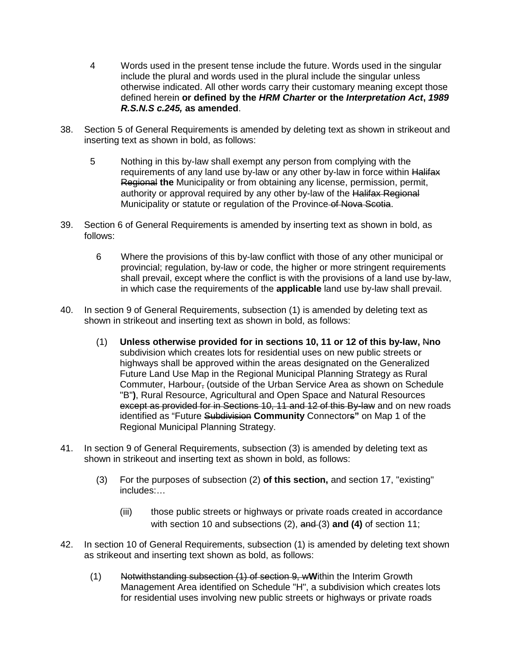- 4 Words used in the present tense include the future. Words used in the singular include the plural and words used in the plural include the singular unless otherwise indicated. All other words carry their customary meaning except those defined herein **or defined by the** *HRM Charter* **or the** *Interpretation Act***,** *1989 R.S.N.S c.245,* **as amended**.
- 38. Section 5 of General Requirements is amended by deleting text as shown in strikeout and inserting text as shown in bold, as follows:
	- 5 Nothing in this by-law shall exempt any person from complying with the requirements of any land use by-law or any other by-law in force within Halifax Regional **the** Municipality or from obtaining any license, permission, permit, authority or approval required by any other by-law of the Halifax Regional Municipality or statute or regulation of the Province of Nova Scotia.
- 39. Section 6 of General Requirements is amended by inserting text as shown in bold, as follows:
	- 6 Where the provisions of this by-law conflict with those of any other municipal or provincial; regulation, by-law or code, the higher or more stringent requirements shall prevail, except where the conflict is with the provisions of a land use by-law, in which case the requirements of the **applicable** land use by-law shall prevail.
- 40. In section 9 of General Requirements, subsection (1) is amended by deleting text as shown in strikeout and inserting text as shown in bold, as follows:
	- (1) **Unless otherwise provided for in sections 10, 11 or 12 of this by-law,** N**no** subdivision which creates lots for residential uses on new public streets or highways shall be approved within the areas designated on the Generalized Future Land Use Map in the Regional Municipal Planning Strategy as Rural Commuter, Harbour, (outside of the Urban Service Area as shown on Schedule "B"**)**, Rural Resource, Agricultural and Open Space and Natural Resources except as provided for in Sections 10, 11 and 12 of this By-law and on new roads identified as "Future Subdivision **Community** Connectors**"** on Map 1 of the Regional Municipal Planning Strategy.
- 41. In section 9 of General Requirements, subsection (3) is amended by deleting text as shown in strikeout and inserting text as shown in bold, as follows:
	- (3) For the purposes of subsection (2) **of this section,** and section 17, "existing" includes:…
		- (iii) those public streets or highways or private roads created in accordance with section 10 and subsections (2), and (3) **and (4)** of section 11;
- 42. In section 10 of General Requirements, subsection (1) is amended by deleting text shown as strikeout and inserting text shown as bold, as follows:
	- (1) Notwithstanding subsection (1) of section 9, w**W**ithin the Interim Growth Management Area identified on Schedule "H", a subdivision which creates lots for residential uses involving new public streets or highways or private roads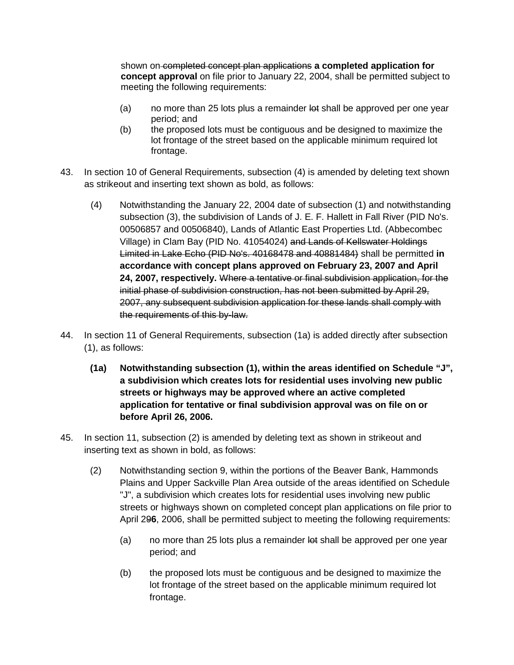shown on completed concept plan applications **a completed application for concept approval** on file prior to January 22, 2004, shall be permitted subject to meeting the following requirements:

- (a) no more than 25 lots plus a remainder lot shall be approved per one year period; and
- (b) the proposed lots must be contiguous and be designed to maximize the lot frontage of the street based on the applicable minimum required lot frontage.
- 43. In section 10 of General Requirements, subsection (4) is amended by deleting text shown as strikeout and inserting text shown as bold, as follows:
	- (4) Notwithstanding the January 22, 2004 date of subsection (1) and notwithstanding subsection (3), the subdivision of Lands of J. E. F. Hallett in Fall River (PID No's. 00506857 and 00506840), Lands of Atlantic East Properties Ltd. (Abbecombec Village) in Clam Bay (PID No. 41054024) and Lands of Kellswater Holdings Limited in Lake Echo (PID No's. 40168478 and 40881484) shall be permitted **in accordance with concept plans approved on February 23, 2007 and April 24, 2007, respectively.** Where a tentative or final subdivision application, for the initial phase of subdivision construction, has not been submitted by April 29, 2007, any subsequent subdivision application for these lands shall comply with the requirements of this by-law.
- 44. In section 11 of General Requirements, subsection (1a) is added directly after subsection (1), as follows:
	- **(1a) Notwithstanding subsection (1), within the areas identified on Schedule "J", a subdivision which creates lots for residential uses involving new public streets or highways may be approved where an active completed application for tentative or final subdivision approval was on file on or before April 26, 2006.**
- 45. In section 11, subsection (2) is amended by deleting text as shown in strikeout and inserting text as shown in bold, as follows:
	- (2) Notwithstanding section 9, within the portions of the Beaver Bank, Hammonds Plains and Upper Sackville Plan Area outside of the areas identified on Schedule "J", a subdivision which creates lots for residential uses involving new public streets or highways shown on completed concept plan applications on file prior to April 29**6**, 2006, shall be permitted subject to meeting the following requirements:
		- (a) no more than 25 lots plus a remainder lot shall be approved per one year period; and
		- (b) the proposed lots must be contiguous and be designed to maximize the lot frontage of the street based on the applicable minimum required lot frontage.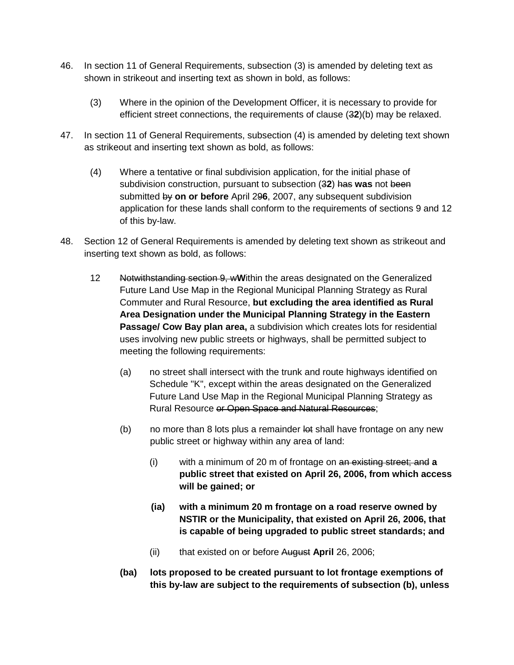- 46. In section 11 of General Requirements, subsection (3) is amended by deleting text as shown in strikeout and inserting text as shown in bold, as follows:
	- (3) Where in the opinion of the Development Officer, it is necessary to provide for efficient street connections, the requirements of clause (3**2**)(b) may be relaxed.
- 47. In section 11 of General Requirements, subsection (4) is amended by deleting text shown as strikeout and inserting text shown as bold, as follows:
	- (4) Where a tentative or final subdivision application, for the initial phase of subdivision construction, pursuant to subsection (3**2**) has **was** not been submitted by **on or before** April 29**6**, 2007, any subsequent subdivision application for these lands shall conform to the requirements of sections 9 and 12 of this by-law.
- 48. Section 12 of General Requirements is amended by deleting text shown as strikeout and inserting text shown as bold, as follows:
	- 12 Notwithstanding section 9, w**W**ithin the areas designated on the Generalized Future Land Use Map in the Regional Municipal Planning Strategy as Rural Commuter and Rural Resource, **but excluding the area identified as Rural Area Designation under the Municipal Planning Strategy in the Eastern Passage/ Cow Bay plan area,** a subdivision which creates lots for residential uses involving new public streets or highways, shall be permitted subject to meeting the following requirements:
		- (a) no street shall intersect with the trunk and route highways identified on Schedule "K", except within the areas designated on the Generalized Future Land Use Map in the Regional Municipal Planning Strategy as Rural Resource or Open Space and Natural Resources;
		- (b) no more than 8 lots plus a remainder let shall have frontage on any new public street or highway within any area of land:
			- (i) with a minimum of 20 m of frontage on an existing street; and **a public street that existed on April 26, 2006, from which access will be gained; or**
			- **(ia) with a minimum 20 m frontage on a road reserve owned by NSTIR or the Municipality, that existed on April 26, 2006, that is capable of being upgraded to public street standards; and**
			- (ii) that existed on or before August **April** 26, 2006;
		- **(ba) lots proposed to be created pursuant to lot frontage exemptions of this by-law are subject to the requirements of subsection (b), unless**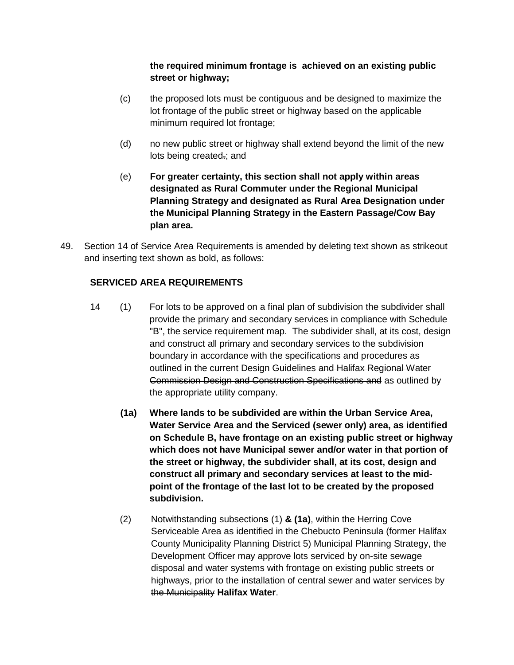# **the required minimum frontage is achieved on an existing public street or highway;**

- (c) the proposed lots must be contiguous and be designed to maximize the lot frontage of the public street or highway based on the applicable minimum required lot frontage;
- (d) no new public street or highway shall extend beyond the limit of the new lots being created.; and
- (e) **For greater certainty, this section shall not apply within areas designated as Rural Commuter under the Regional Municipal Planning Strategy and designated as Rural Area Designation under the Municipal Planning Strategy in the Eastern Passage/Cow Bay plan area.**
- 49. Section 14 of Service Area Requirements is amended by deleting text shown as strikeout and inserting text shown as bold, as follows:

# **SERVICED AREA REQUIREMENTS**

- 14 (1) For lots to be approved on a final plan of subdivision the subdivider shall provide the primary and secondary services in compliance with Schedule "B", the service requirement map. The subdivider shall, at its cost, design and construct all primary and secondary services to the subdivision boundary in accordance with the specifications and procedures as outlined in the current Design Guidelines and Halifax Regional Water Commission Design and Construction Specifications and as outlined by the appropriate utility company.
	- **(1a) Where lands to be subdivided are within the Urban Service Area, Water Service Area and the Serviced (sewer only) area, as identified on Schedule B, have frontage on an existing public street or highway which does not have Municipal sewer and/or water in that portion of the street or highway, the subdivider shall, at its cost, design and construct all primary and secondary services at least to the midpoint of the frontage of the last lot to be created by the proposed subdivision.**
	- (2) Notwithstanding subsection**s** (1) **& (1a)**, within the Herring Cove Serviceable Area as identified in the Chebucto Peninsula (former Halifax County Municipality Planning District 5) Municipal Planning Strategy, the Development Officer may approve lots serviced by on-site sewage disposal and water systems with frontage on existing public streets or highways, prior to the installation of central sewer and water services by the Municipality **Halifax Water**.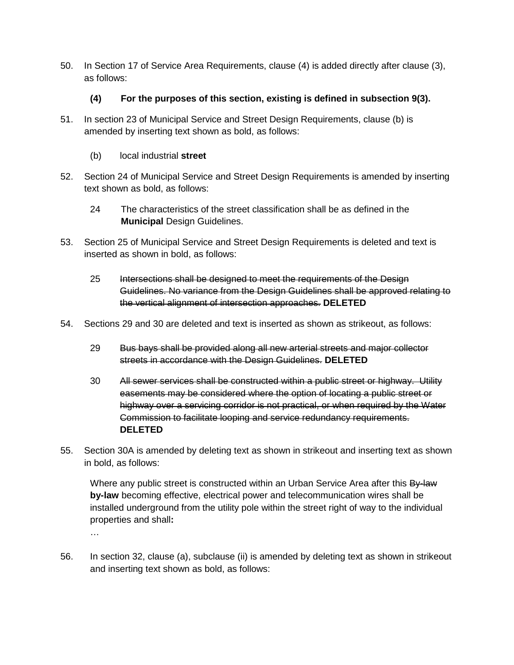50. In Section 17 of Service Area Requirements, clause (4) is added directly after clause (3), as follows:

# **(4) For the purposes of this section, existing is defined in subsection 9(3).**

- 51. In section 23 of Municipal Service and Street Design Requirements, clause (b) is amended by inserting text shown as bold, as follows:
	- (b) local industrial **street**
- 52. Section 24 of Municipal Service and Street Design Requirements is amended by inserting text shown as bold, as follows:
	- 24 The characteristics of the street classification shall be as defined in the **Municipal** Design Guidelines.
- 53. Section 25 of Municipal Service and Street Design Requirements is deleted and text is inserted as shown in bold, as follows:
	- 25 Intersections shall be designed to meet the requirements of the Design Guidelines. No variance from the Design Guidelines shall be approved relating to the vertical alignment of intersection approaches. **DELETED**
- 54. Sections 29 and 30 are deleted and text is inserted as shown as strikeout, as follows:
	- 29 Bus bays shall be provided along all new arterial streets and major collector streets in accordance with the Design Guidelines. **DELETED**
	- 30 All sewer services shall be constructed within a public street or highway. Utility easements may be considered where the option of locating a public street or highway over a servicing corridor is not practical, or when required by the Water Commission to facilitate looping and service redundancy requirements. **DELETED**
- 55. Section 30A is amended by deleting text as shown in strikeout and inserting text as shown in bold, as follows:

Where any public street is constructed within an Urban Service Area after this By-law **by-law** becoming effective, electrical power and telecommunication wires shall be installed underground from the utility pole within the street right of way to the individual properties and shall**:**

…

56. In section 32, clause (a), subclause (ii) is amended by deleting text as shown in strikeout and inserting text shown as bold, as follows: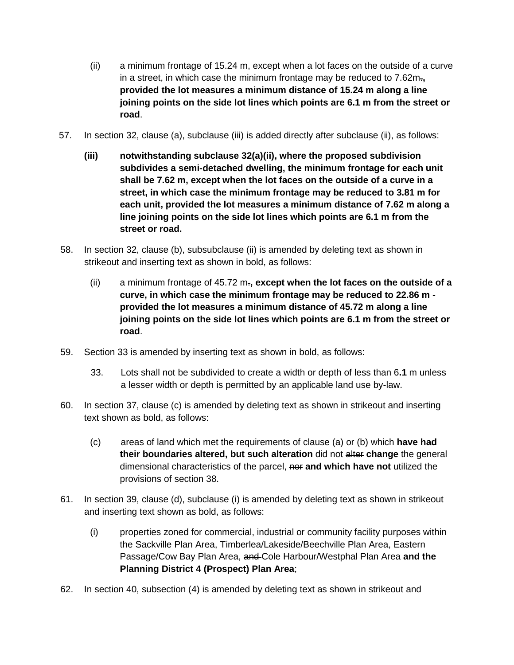- (ii) a minimum frontage of 15.24 m, except when a lot faces on the outside of a curve in a street, in which case the minimum frontage may be reduced to 7.62m.**, provided the lot measures a minimum distance of 15.24 m along a line joining points on the side lot lines which points are 6.1 m from the street or road**.
- 57. In section 32, clause (a), subclause (iii) is added directly after subclause (ii), as follows:
	- **(iii) notwithstanding subclause 32(a)(ii), where the proposed subdivision subdivides a semi-detached dwelling, the minimum frontage for each unit shall be 7.62 m, except when the lot faces on the outside of a curve in a street, in which case the minimum frontage may be reduced to 3.81 m for each unit, provided the lot measures a minimum distance of 7.62 m along a line joining points on the side lot lines which points are 6.1 m from the street or road.**
- 58. In section 32, clause (b), subsubclause (ii) is amended by deleting text as shown in strikeout and inserting text as shown in bold, as follows:
	- (ii) a minimum frontage of 45.72 m.**, except when the lot faces on the outside of a curve, in which case the minimum frontage may be reduced to 22.86 m provided the lot measures a minimum distance of 45.72 m along a line joining points on the side lot lines which points are 6.1 m from the street or road**.
- 59. Section 33 is amended by inserting text as shown in bold, as follows:
	- 33. Lots shall not be subdivided to create a width or depth of less than 6**.1** m unless a lesser width or depth is permitted by an applicable land use by-law.
- 60. In section 37, clause (c) is amended by deleting text as shown in strikeout and inserting text shown as bold, as follows:
	- (c) areas of land which met the requirements of clause (a) or (b) which **have had their boundaries altered, but such alteration** did not alter **change** the general dimensional characteristics of the parcel, nor **and which have not** utilized the provisions of section 38.
- 61. In section 39, clause (d), subclause (i) is amended by deleting text as shown in strikeout and inserting text shown as bold, as follows:
	- (i) properties zoned for commercial, industrial or community facility purposes within the Sackville Plan Area, Timberlea/Lakeside/Beechville Plan Area, Eastern Passage/Cow Bay Plan Area, and Cole Harbour/Westphal Plan Area **and the Planning District 4 (Prospect) Plan Area**;
- 62. In section 40, subsection (4) is amended by deleting text as shown in strikeout and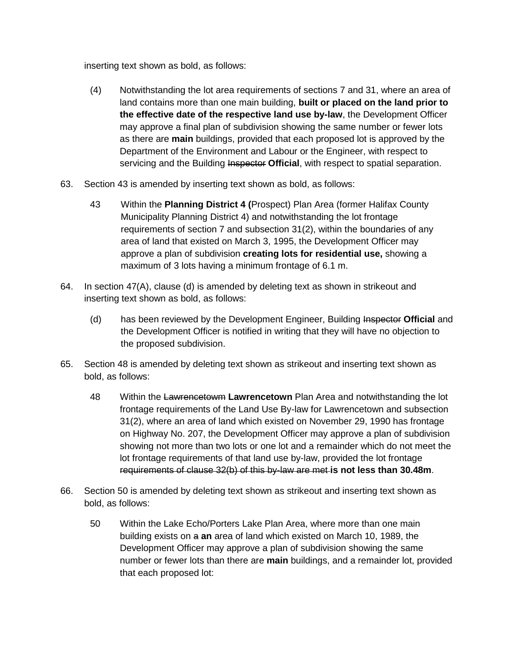inserting text shown as bold, as follows:

- (4) Notwithstanding the lot area requirements of sections 7 and 31, where an area of land contains more than one main building, **built or placed on the land prior to the effective date of the respective land use by-law**, the Development Officer may approve a final plan of subdivision showing the same number or fewer lots as there are **main** buildings, provided that each proposed lot is approved by the Department of the Environment and Labour or the Engineer, with respect to servicing and the Building Inspector Official, with respect to spatial separation.
- 63. Section 43 is amended by inserting text shown as bold, as follows:
	- 43 Within the **Planning District 4 (**Prospect) Plan Area (former Halifax County Municipality Planning District 4) and notwithstanding the lot frontage requirements of section 7 and subsection 31(2), within the boundaries of any area of land that existed on March 3, 1995, the Development Officer may approve a plan of subdivision **creating lots for residential use,** showing a maximum of 3 lots having a minimum frontage of 6.1 m.
- 64. In section 47(A), clause (d) is amended by deleting text as shown in strikeout and inserting text shown as bold, as follows:
	- (d) has been reviewed by the Development Engineer, Building Inspector **Official** and the Development Officer is notified in writing that they will have no objection to the proposed subdivision.
- 65. Section 48 is amended by deleting text shown as strikeout and inserting text shown as bold, as follows:
	- 48 Within the Lawrencetowm **Lawrencetown** Plan Area and notwithstanding the lot frontage requirements of the Land Use By-law for Lawrencetown and subsection 31(2), where an area of land which existed on November 29, 1990 has frontage on Highway No. 207, the Development Officer may approve a plan of subdivision showing not more than two lots or one lot and a remainder which do not meet the lot frontage requirements of that land use by-law, provided the lot frontage requirements of clause 32(b) of this by-law are met **is not less than 30.48m**.
- 66. Section 50 is amended by deleting text shown as strikeout and inserting text shown as bold, as follows:
	- 50 Within the Lake Echo/Porters Lake Plan Area, where more than one main building exists on a **an** area of land which existed on March 10, 1989, the Development Officer may approve a plan of subdivision showing the same number or fewer lots than there are **main** buildings, and a remainder lot, provided that each proposed lot: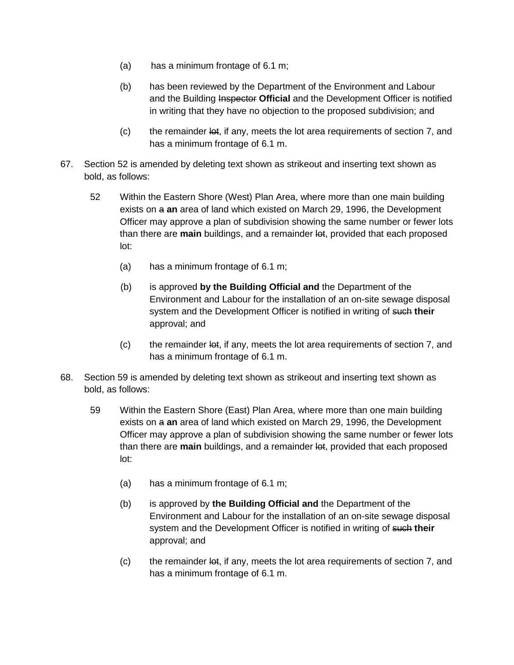- (a) has a minimum frontage of 6.1 m;
- (b) has been reviewed by the Department of the Environment and Labour and the Building Inspector **Official** and the Development Officer is notified in writing that they have no objection to the proposed subdivision; and
- $\sigma$  the remainder lot, if any, meets the lot area requirements of section 7, and has a minimum frontage of 6.1 m.
- 67. Section 52 is amended by deleting text shown as strikeout and inserting text shown as bold, as follows:
	- 52 Within the Eastern Shore (West) Plan Area, where more than one main building exists on a **an** area of land which existed on March 29, 1996, the Development Officer may approve a plan of subdivision showing the same number or fewer lots than there are **main** buildings, and a remainder lot, provided that each proposed lot:
		- (a) has a minimum frontage of 6.1 m;
		- (b) is approved **by the Building Official and** the Department of the Environment and Labour for the installation of an on-site sewage disposal system and the Development Officer is notified in writing of such **their** approval; and
		- $(c)$  the remainder lot, if any, meets the lot area requirements of section 7, and has a minimum frontage of 6.1 m.
- 68. Section 59 is amended by deleting text shown as strikeout and inserting text shown as bold, as follows:
	- 59 Within the Eastern Shore (East) Plan Area, where more than one main building exists on a **an** area of land which existed on March 29, 1996, the Development Officer may approve a plan of subdivision showing the same number or fewer lots than there are **main** buildings, and a remainder lot, provided that each proposed lot:
		- (a) has a minimum frontage of 6.1 m;
		- (b) is approved by **the Building Official and** the Department of the Environment and Labour for the installation of an on-site sewage disposal system and the Development Officer is notified in writing of such **their** approval; and
		- $(c)$  the remainder  $\theta$ , if any, meets the lot area requirements of section 7, and has a minimum frontage of 6.1 m.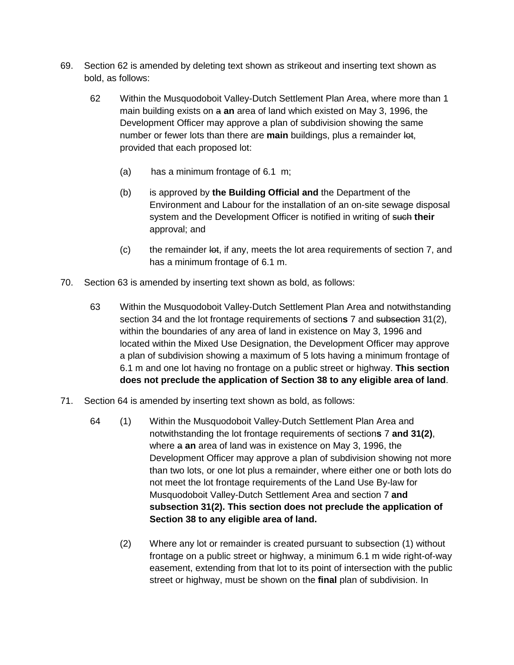- 69. Section 62 is amended by deleting text shown as strikeout and inserting text shown as bold, as follows:
	- 62 Within the Musquodoboit Valley-Dutch Settlement Plan Area, where more than 1 main building exists on a **an** area of land which existed on May 3, 1996, the Development Officer may approve a plan of subdivision showing the same number or fewer lots than there are **main** buildings, plus a remainder lot, provided that each proposed lot:
		- (a) has a minimum frontage of 6.1 m;
		- (b) is approved by **the Building Official and** the Department of the Environment and Labour for the installation of an on-site sewage disposal system and the Development Officer is notified in writing of such **their** approval; and
		- $\sigma$  the remainder lot, if any, meets the lot area requirements of section 7, and has a minimum frontage of 6.1 m.
- 70. Section 63 is amended by inserting text shown as bold, as follows:
	- 63 Within the Musquodoboit Valley-Dutch Settlement Plan Area and notwithstanding section 34 and the lot frontage requirements of section**s** 7 and subsection 31(2), within the boundaries of any area of land in existence on May 3, 1996 and located within the Mixed Use Designation, the Development Officer may approve a plan of subdivision showing a maximum of 5 lots having a minimum frontage of 6.1 m and one lot having no frontage on a public street or highway. **This section does not preclude the application of Section 38 to any eligible area of land**.
- 71. Section 64 is amended by inserting text shown as bold, as follows:
	- 64 (1) Within the Musquodoboit Valley-Dutch Settlement Plan Area and notwithstanding the lot frontage requirements of section**s** 7 **and 31(2)**, where a **an** area of land was in existence on May 3, 1996, the Development Officer may approve a plan of subdivision showing not more than two lots, or one lot plus a remainder, where either one or both lots do not meet the lot frontage requirements of the Land Use By-law for Musquodoboit Valley-Dutch Settlement Area and section 7 **and subsection 31(2). This section does not preclude the application of Section 38 to any eligible area of land.**
		- (2) Where any lot or remainder is created pursuant to subsection (1) without frontage on a public street or highway, a minimum 6.1 m wide right-of-way easement, extending from that lot to its point of intersection with the public street or highway, must be shown on the **final** plan of subdivision. In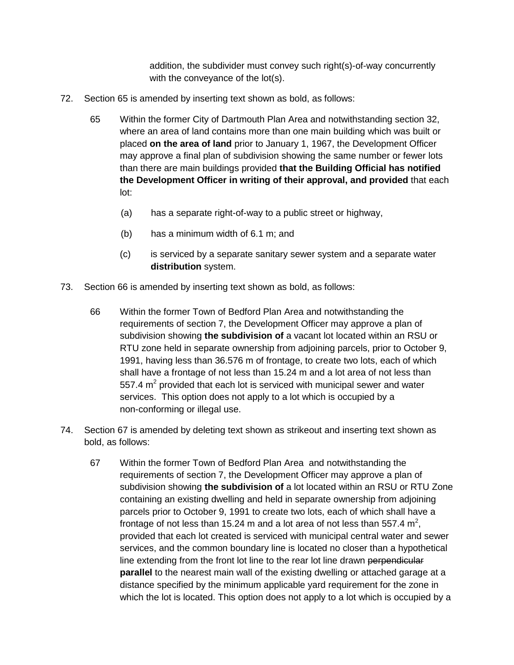addition, the subdivider must convey such right(s)-of-way concurrently with the conveyance of the lot(s).

- 72. Section 65 is amended by inserting text shown as bold, as follows:
	- 65 Within the former City of Dartmouth Plan Area and notwithstanding section 32, where an area of land contains more than one main building which was built or placed **on the area of land** prior to January 1, 1967, the Development Officer may approve a final plan of subdivision showing the same number or fewer lots than there are main buildings provided **that the Building Official has notified the Development Officer in writing of their approval, and provided** that each lot:
		- (a) has a separate right-of-way to a public street or highway,
		- (b) has a minimum width of 6.1 m; and
		- (c) is serviced by a separate sanitary sewer system and a separate water **distribution** system.
- 73. Section 66 is amended by inserting text shown as bold, as follows:
	- 66 Within the former Town of Bedford Plan Area and notwithstanding the requirements of section 7, the Development Officer may approve a plan of subdivision showing **the subdivision of** a vacant lot located within an RSU or RTU zone held in separate ownership from adjoining parcels, prior to October 9, 1991, having less than 36.576 m of frontage, to create two lots, each of which shall have a frontage of not less than 15.24 m and a lot area of not less than 557.4  $m<sup>2</sup>$  provided that each lot is serviced with municipal sewer and water services. This option does not apply to a lot which is occupied by a non-conforming or illegal use.
- 74. Section 67 is amended by deleting text shown as strikeout and inserting text shown as bold, as follows:
	- 67 Within the former Town of Bedford Plan Area and notwithstanding the requirements of section 7, the Development Officer may approve a plan of subdivision showing **the subdivision of** a lot located within an RSU or RTU Zone containing an existing dwelling and held in separate ownership from adjoining parcels prior to October 9, 1991 to create two lots, each of which shall have a frontage of not less than 15.24 m and a lot area of not less than 557.4  $m^2$ , provided that each lot created is serviced with municipal central water and sewer services, and the common boundary line is located no closer than a hypothetical line extending from the front lot line to the rear lot line drawn perpendicular **parallel** to the nearest main wall of the existing dwelling or attached garage at a distance specified by the minimum applicable yard requirement for the zone in which the lot is located. This option does not apply to a lot which is occupied by a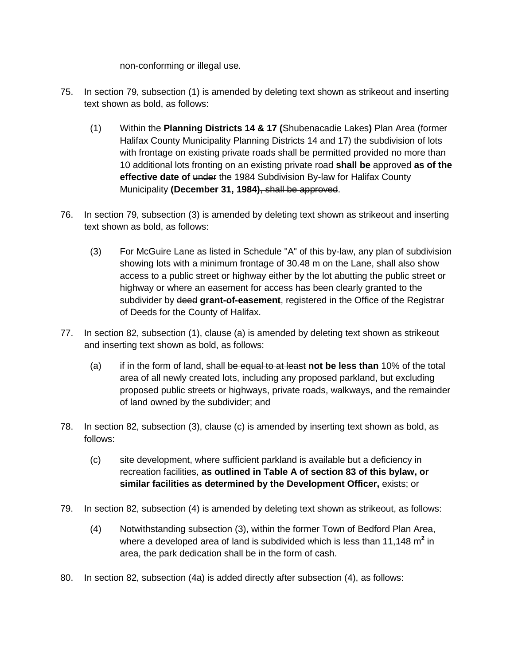non-conforming or illegal use.

- 75. In section 79, subsection (1) is amended by deleting text shown as strikeout and inserting text shown as bold, as follows:
	- (1) Within the **Planning Districts 14 & 17 (**Shubenacadie Lakes**)** Plan Area (former Halifax County Municipality Planning Districts 14 and 17) the subdivision of lots with frontage on existing private roads shall be permitted provided no more than 10 additional lots fronting on an existing private road **shall be** approved **as of the effective date of** under the 1984 Subdivision By-law for Halifax County Municipality **(December 31, 1984)**, shall be approved.
- 76. In section 79, subsection (3) is amended by deleting text shown as strikeout and inserting text shown as bold, as follows:
	- (3) For McGuire Lane as listed in Schedule "A" of this by-law, any plan of subdivision showing lots with a minimum frontage of 30.48 m on the Lane, shall also show access to a public street or highway either by the lot abutting the public street or highway or where an easement for access has been clearly granted to the subdivider by deed **grant-of-easement**, registered in the Office of the Registrar of Deeds for the County of Halifax.
- 77. In section 82, subsection (1), clause (a) is amended by deleting text shown as strikeout and inserting text shown as bold, as follows:
	- (a) if in the form of land, shall be equal to at least **not be less than** 10% of the total area of all newly created lots, including any proposed parkland, but excluding proposed public streets or highways, private roads, walkways, and the remainder of land owned by the subdivider; and
- 78. In section 82, subsection (3), clause (c) is amended by inserting text shown as bold, as follows:
	- (c) site development, where sufficient parkland is available but a deficiency in recreation facilities, **as outlined in Table A of section 83 of this bylaw, or similar facilities as determined by the Development Officer,** exists; or
- 79. In section 82, subsection (4) is amended by deleting text shown as strikeout, as follows:
	- (4) Notwithstanding subsection (3), within the former Town of Bedford Plan Area, where a developed area of land is subdivided which is less than 11,148 m<sup>2</sup> in area, the park dedication shall be in the form of cash.
- 80. In section 82, subsection (4a) is added directly after subsection (4), as follows: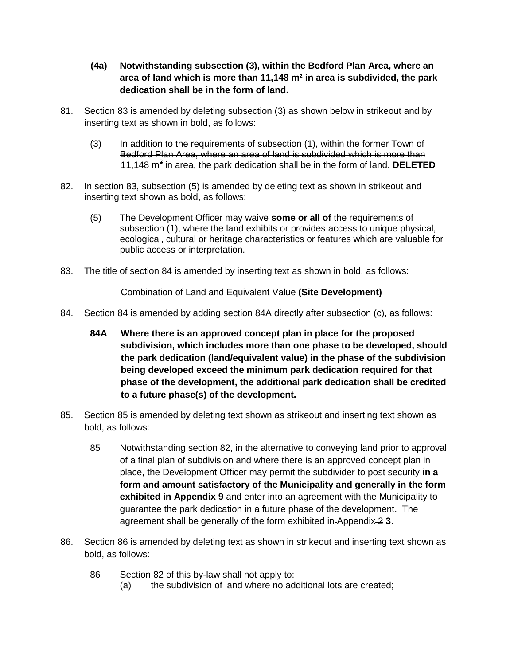- **(4a) Notwithstanding subsection (3), within the Bedford Plan Area, where an area of land which is more than 11,148 m² in area is subdivided, the park dedication shall be in the form of land.**
- 81. Section 83 is amended by deleting subsection (3) as shown below in strikeout and by inserting text as shown in bold, as follows:
	- (3) In addition to the requirements of subsection (1), within the former Town of Bedford Plan Area, where an area of land is subdivided which is more than 11,148 m<sup>2</sup> in area, the park dedication shall be in the form of land. **DELETED**
- 82. In section 83, subsection (5) is amended by deleting text as shown in strikeout and inserting text shown as bold, as follows:
	- (5) The Development Officer may waive **some or all of** the requirements of subsection (1), where the land exhibits or provides access to unique physical, ecological, cultural or heritage characteristics or features which are valuable for public access or interpretation.
- 83. The title of section 84 is amended by inserting text as shown in bold, as follows:

Combination of Land and Equivalent Value **(Site Development)**

- 84. Section 84 is amended by adding section 84A directly after subsection (c), as follows:
	- **84A Where there is an approved concept plan in place for the proposed subdivision, which includes more than one phase to be developed, should the park dedication (land/equivalent value) in the phase of the subdivision being developed exceed the minimum park dedication required for that phase of the development, the additional park dedication shall be credited to a future phase(s) of the development.**
- 85. Section 85 is amended by deleting text shown as strikeout and inserting text shown as bold, as follows:
	- 85 Notwithstanding section 82, in the alternative to conveying land prior to approval of a final plan of subdivision and where there is an approved concept plan in place, the Development Officer may permit the subdivider to post security **in a form and amount satisfactory of the Municipality and generally in the form exhibited in Appendix 9** and enter into an agreement with the Municipality to guarantee the park dedication in a future phase of the development. The agreement shall be generally of the form exhibited in Appendix 2 **3**.
- 86. Section 86 is amended by deleting text as shown in strikeout and inserting text shown as bold, as follows:
	- 86 Section 82 of this by-law shall not apply to:
		- (a) the subdivision of land where no additional lots are created;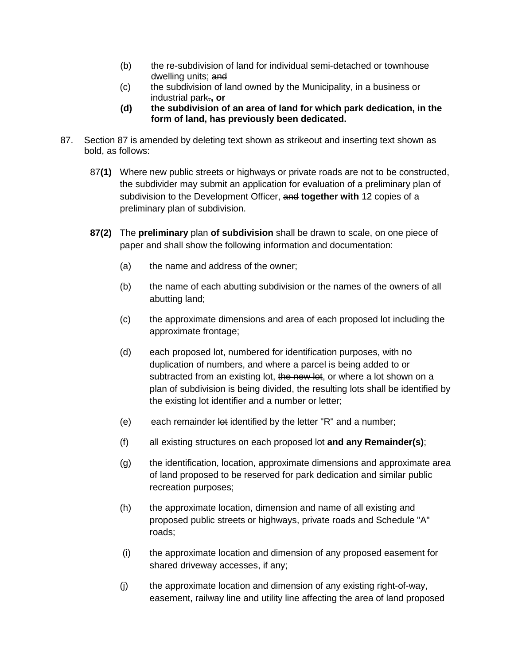- (b) the re-subdivision of land for individual semi-detached or townhouse dwelling units; and
- (c) the subdivision of land owned by the Municipality, in a business or industrial park.**, or**
- **(d) the subdivision of an area of land for which park dedication, in the form of land, has previously been dedicated.**
- 87. Section 87 is amended by deleting text shown as strikeout and inserting text shown as bold, as follows:
	- 87**(1)** Where new public streets or highways or private roads are not to be constructed, the subdivider may submit an application for evaluation of a preliminary plan of subdivision to the Development Officer, and **together with** 12 copies of a preliminary plan of subdivision.
	- **87(2)** The **preliminary** plan **of subdivision** shall be drawn to scale, on one piece of paper and shall show the following information and documentation:
		- (a) the name and address of the owner;
		- (b) the name of each abutting subdivision or the names of the owners of all abutting land;
		- (c) the approximate dimensions and area of each proposed lot including the approximate frontage;
		- (d) each proposed lot, numbered for identification purposes, with no duplication of numbers, and where a parcel is being added to or subtracted from an existing lot, the new lot, or where a lot shown on a plan of subdivision is being divided, the resulting lots shall be identified by the existing lot identifier and a number or letter;
		- (e) each remainder  $\theta$  identified by the letter "R" and a number;
		- (f) all existing structures on each proposed lot **and any Remainder(s)**;
		- (g) the identification, location, approximate dimensions and approximate area of land proposed to be reserved for park dedication and similar public recreation purposes;
		- (h) the approximate location, dimension and name of all existing and proposed public streets or highways, private roads and Schedule "A" roads;
		- (i) the approximate location and dimension of any proposed easement for shared driveway accesses, if any;
		- (j) the approximate location and dimension of any existing right-of-way, easement, railway line and utility line affecting the area of land proposed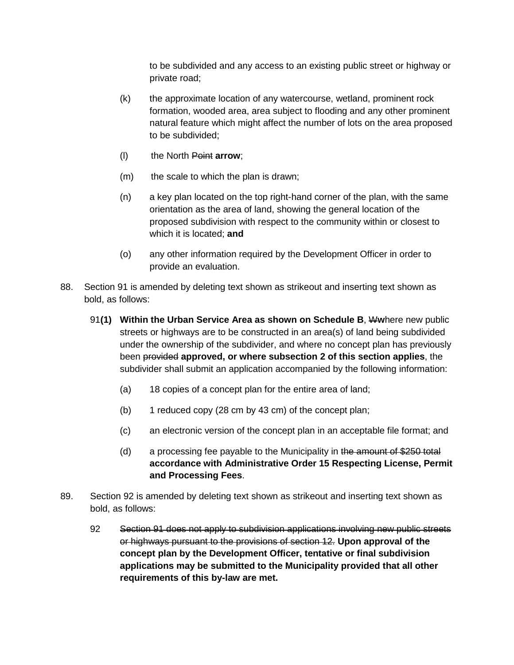to be subdivided and any access to an existing public street or highway or private road;

- (k) the approximate location of any watercourse, wetland, prominent rock formation, wooded area, area subject to flooding and any other prominent natural feature which might affect the number of lots on the area proposed to be subdivided;
- (l) the North Point **arrow**;
- (m) the scale to which the plan is drawn;
- (n) a key plan located on the top right-hand corner of the plan, with the same orientation as the area of land, showing the general location of the proposed subdivision with respect to the community within or closest to which it is located; **and**
- (o) any other information required by the Development Officer in order to provide an evaluation.
- 88. Section 91 is amended by deleting text shown as strikeout and inserting text shown as bold, as follows:
	- 91**(1) Within the Urban Service Area as shown on Schedule B**, W**w**here new public streets or highways are to be constructed in an area(s) of land being subdivided under the ownership of the subdivider, and where no concept plan has previously been provided **approved, or where subsection 2 of this section applies**, the subdivider shall submit an application accompanied by the following information:
		- (a) 18 copies of a concept plan for the entire area of land;
		- (b) 1 reduced copy (28 cm by 43 cm) of the concept plan;
		- (c) an electronic version of the concept plan in an acceptable file format; and
		- (d) a processing fee payable to the Municipality in the amount of  $$250$  total **accordance with Administrative Order 15 Respecting License, Permit and Processing Fees**.
- 89. Section 92 is amended by deleting text shown as strikeout and inserting text shown as bold, as follows:
	- 92 Section 91 does not apply to subdivision applications involving new public streets or highways pursuant to the provisions of section 12. **Upon approval of the concept plan by the Development Officer, tentative or final subdivision applications may be submitted to the Municipality provided that all other requirements of this by-law are met.**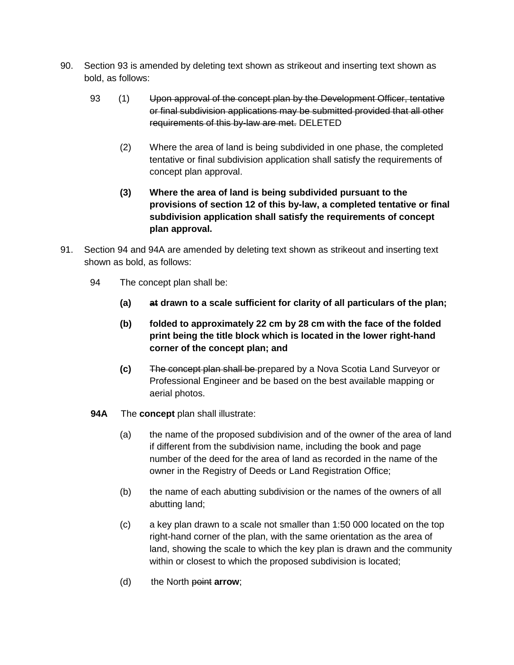- 90. Section 93 is amended by deleting text shown as strikeout and inserting text shown as bold, as follows:
	- 93 (1) Upon approval of the concept plan by the Development Officer, tentative or final subdivision applications may be submitted provided that all other requirements of this by-law are met. DELETED
		- (2) Where the area of land is being subdivided in one phase, the completed tentative or final subdivision application shall satisfy the requirements of concept plan approval.
		- **(3) Where the area of land is being subdivided pursuant to the provisions of section 12 of this by-law, a completed tentative or final subdivision application shall satisfy the requirements of concept plan approval.**
- 91. Section 94 and 94A are amended by deleting text shown as strikeout and inserting text shown as bold, as follows:
	- 94 The concept plan shall be:
		- **(a) at drawn to a scale sufficient for clarity of all particulars of the plan;**
		- **(b) folded to approximately 22 cm by 28 cm with the face of the folded print being the title block which is located in the lower right-hand corner of the concept plan; and**
		- **(c)** The concept plan shall be prepared by a Nova Scotia Land Surveyor or Professional Engineer and be based on the best available mapping or aerial photos.
	- **94A** The **concept** plan shall illustrate:
		- (a) the name of the proposed subdivision and of the owner of the area of land if different from the subdivision name, including the book and page number of the deed for the area of land as recorded in the name of the owner in the Registry of Deeds or Land Registration Office;
		- (b) the name of each abutting subdivision or the names of the owners of all abutting land;
		- (c) a key plan drawn to a scale not smaller than 1:50 000 located on the top right-hand corner of the plan, with the same orientation as the area of land, showing the scale to which the key plan is drawn and the community within or closest to which the proposed subdivision is located;
		- (d) the North point **arrow**;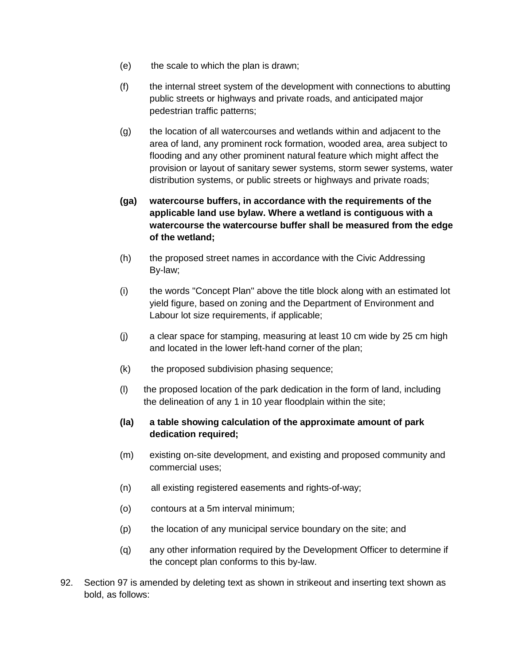- (e) the scale to which the plan is drawn;
- (f) the internal street system of the development with connections to abutting public streets or highways and private roads, and anticipated major pedestrian traffic patterns;
- (g) the location of all watercourses and wetlands within and adjacent to the area of land, any prominent rock formation, wooded area, area subject to flooding and any other prominent natural feature which might affect the provision or layout of sanitary sewer systems, storm sewer systems, water distribution systems, or public streets or highways and private roads;
- **(ga) watercourse buffers, in accordance with the requirements of the applicable land use bylaw. Where a wetland is contiguous with a watercourse the watercourse buffer shall be measured from the edge of the wetland;**
- (h) the proposed street names in accordance with the Civic Addressing By-law;
- (i) the words "Concept Plan" above the title block along with an estimated lot yield figure, based on zoning and the Department of Environment and Labour lot size requirements, if applicable;
- (j) a clear space for stamping, measuring at least 10 cm wide by 25 cm high and located in the lower left-hand corner of the plan;
- (k) the proposed subdivision phasing sequence;
- (l) the proposed location of the park dedication in the form of land, including the delineation of any 1 in 10 year floodplain within the site;
- **(la) a table showing calculation of the approximate amount of park dedication required;**
- (m) existing on-site development, and existing and proposed community and commercial uses;
- (n) all existing registered easements and rights-of-way;
- (o) contours at a 5m interval minimum;
- (p) the location of any municipal service boundary on the site; and
- (q) any other information required by the Development Officer to determine if the concept plan conforms to this by-law.
- 92. Section 97 is amended by deleting text as shown in strikeout and inserting text shown as bold, as follows: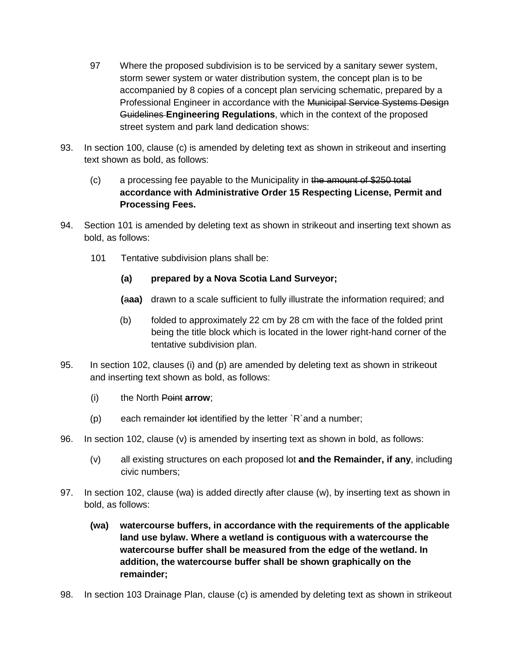- 97 Where the proposed subdivision is to be serviced by a sanitary sewer system, storm sewer system or water distribution system, the concept plan is to be accompanied by 8 copies of a concept plan servicing schematic, prepared by a Professional Engineer in accordance with the Municipal Service Systems Design Guidelines **Engineering Regulations**, which in the context of the proposed street system and park land dedication shows:
- 93. In section 100, clause (c) is amended by deleting text as shown in strikeout and inserting text shown as bold, as follows:
	- (c) a processing fee payable to the Municipality in the amount of \$250 total **accordance with Administrative Order 15 Respecting License, Permit and Processing Fees.**
- 94. Section 101 is amended by deleting text as shown in strikeout and inserting text shown as bold, as follows:
	- 101 Tentative subdivision plans shall be:
		- **(a) prepared by a Nova Scotia Land Surveyor;**
		- **(**a**aa)** drawn to a scale sufficient to fully illustrate the information required; and
		- (b) folded to approximately 22 cm by 28 cm with the face of the folded print being the title block which is located in the lower right-hand corner of the tentative subdivision plan.
- 95. In section 102, clauses (i) and (p) are amended by deleting text as shown in strikeout and inserting text shown as bold, as follows:
	- (i) the North Point **arrow**;
	- $(p)$  each remainder lot identified by the letter  $R$  and a number;
- 96. In section 102, clause (v) is amended by inserting text as shown in bold, as follows:
	- (v) all existing structures on each proposed lot **and the Remainder, if any**, including civic numbers;
- 97. In section 102, clause (wa) is added directly after clause (w), by inserting text as shown in bold, as follows:
	- **(wa) watercourse buffers, in accordance with the requirements of the applicable land use bylaw. Where a wetland is contiguous with a watercourse the watercourse buffer shall be measured from the edge of the wetland. In addition, the watercourse buffer shall be shown graphically on the remainder;**
- 98. In section 103 Drainage Plan, clause (c) is amended by deleting text as shown in strikeout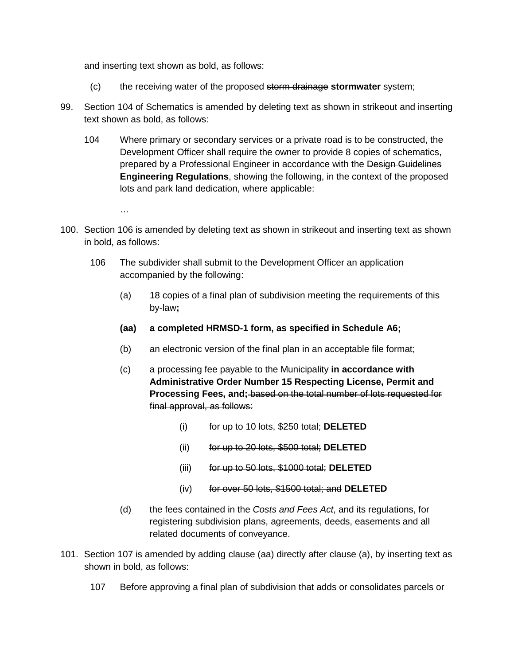and inserting text shown as bold, as follows:

- (c) the receiving water of the proposed storm drainage **stormwater** system;
- 99. Section 104 of Schematics is amended by deleting text as shown in strikeout and inserting text shown as bold, as follows:
	- 104 Where primary or secondary services or a private road is to be constructed, the Development Officer shall require the owner to provide 8 copies of schematics, prepared by a Professional Engineer in accordance with the Design Guidelines **Engineering Regulations**, showing the following, in the context of the proposed lots and park land dedication, where applicable:

…

- 100. Section 106 is amended by deleting text as shown in strikeout and inserting text as shown in bold, as follows:
	- 106 The subdivider shall submit to the Development Officer an application accompanied by the following:
		- (a) 18 copies of a final plan of subdivision meeting the requirements of this by-law**;**
		- **(aa) a completed HRMSD-1 form, as specified in Schedule A6;**
		- (b) an electronic version of the final plan in an acceptable file format;
		- (c) a processing fee payable to the Municipality **in accordance with Administrative Order Number 15 Respecting License, Permit and Processing Fees, and;** based on the total number of lots requested for final approval, as follows:
			- (i) for up to 10 lots, \$250 total; **DELETED**
			- (ii) for up to 20 lots, \$500 total; **DELETED**
			- (iii) for up to 50 lots, \$1000 total; **DELETED**
			- (iv) for over 50 lots, \$1500 total; and **DELETED**
		- (d) the fees contained in the *Costs and Fees Act*, and its regulations, for registering subdivision plans, agreements, deeds, easements and all related documents of conveyance.
- 101. Section 107 is amended by adding clause (aa) directly after clause (a), by inserting text as shown in bold, as follows:
	- 107 Before approving a final plan of subdivision that adds or consolidates parcels or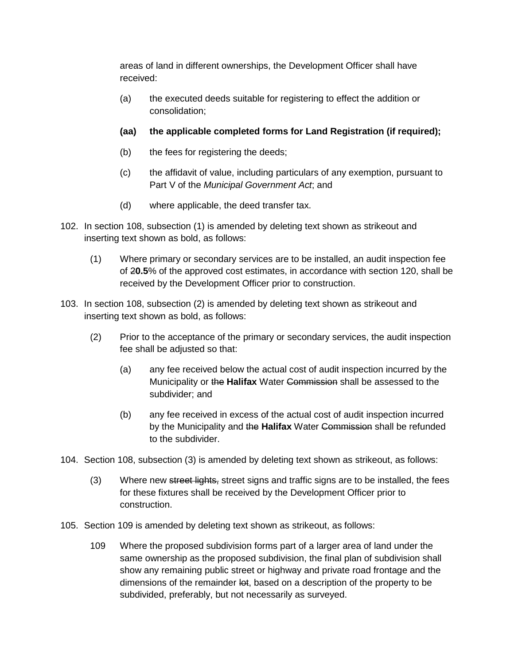areas of land in different ownerships, the Development Officer shall have received:

- (a) the executed deeds suitable for registering to effect the addition or consolidation;
- **(aa) the applicable completed forms for Land Registration (if required);**
- (b) the fees for registering the deeds;
- (c) the affidavit of value, including particulars of any exemption, pursuant to Part V of the *Municipal Government Act*; and
- (d) where applicable, the deed transfer tax.
- 102. In section 108, subsection (1) is amended by deleting text shown as strikeout and inserting text shown as bold, as follows:
	- (1) Where primary or secondary services are to be installed, an audit inspection fee of 2**0.5**% of the approved cost estimates, in accordance with section 120, shall be received by the Development Officer prior to construction.
- 103. In section 108, subsection (2) is amended by deleting text shown as strikeout and inserting text shown as bold, as follows:
	- (2) Prior to the acceptance of the primary or secondary services, the audit inspection fee shall be adjusted so that:
		- (a) any fee received below the actual cost of audit inspection incurred by the Municipality or the **Halifax** Water Commission shall be assessed to the subdivider; and
		- (b) any fee received in excess of the actual cost of audit inspection incurred by the Municipality and the **Halifax** Water Commission shall be refunded to the subdivider.
- 104. Section 108, subsection (3) is amended by deleting text shown as strikeout, as follows:
	- (3) Where new street lights, street signs and traffic signs are to be installed, the fees for these fixtures shall be received by the Development Officer prior to construction.
- 105. Section 109 is amended by deleting text shown as strikeout, as follows:
	- 109 Where the proposed subdivision forms part of a larger area of land under the same ownership as the proposed subdivision, the final plan of subdivision shall show any remaining public street or highway and private road frontage and the dimensions of the remainder lot, based on a description of the property to be subdivided, preferably, but not necessarily as surveyed.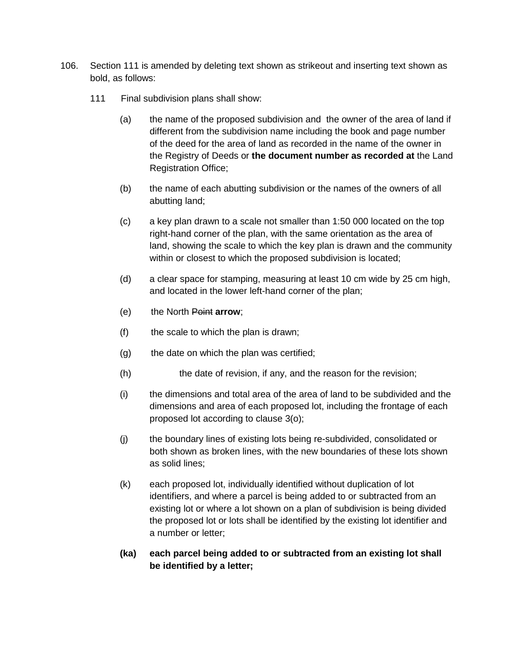- 106. Section 111 is amended by deleting text shown as strikeout and inserting text shown as bold, as follows:
	- 111 Final subdivision plans shall show:
		- (a) the name of the proposed subdivision and the owner of the area of land if different from the subdivision name including the book and page number of the deed for the area of land as recorded in the name of the owner in the Registry of Deeds or **the document number as recorded at** the Land Registration Office;
		- (b) the name of each abutting subdivision or the names of the owners of all abutting land;
		- (c) a key plan drawn to a scale not smaller than 1:50 000 located on the top right-hand corner of the plan, with the same orientation as the area of land, showing the scale to which the key plan is drawn and the community within or closest to which the proposed subdivision is located;
		- (d) a clear space for stamping, measuring at least 10 cm wide by 25 cm high, and located in the lower left-hand corner of the plan;
		- (e) the North Point **arrow**;
		- (f) the scale to which the plan is drawn;
		- (g) the date on which the plan was certified;
		- (h) the date of revision, if any, and the reason for the revision;
		- (i) the dimensions and total area of the area of land to be subdivided and the dimensions and area of each proposed lot, including the frontage of each proposed lot according to clause 3(o);
		- (j) the boundary lines of existing lots being re-subdivided, consolidated or both shown as broken lines, with the new boundaries of these lots shown as solid lines;
		- (k) each proposed lot, individually identified without duplication of lot identifiers, and where a parcel is being added to or subtracted from an existing lot or where a lot shown on a plan of subdivision is being divided the proposed lot or lots shall be identified by the existing lot identifier and a number or letter;
		- **(ka) each parcel being added to or subtracted from an existing lot shall be identified by a letter;**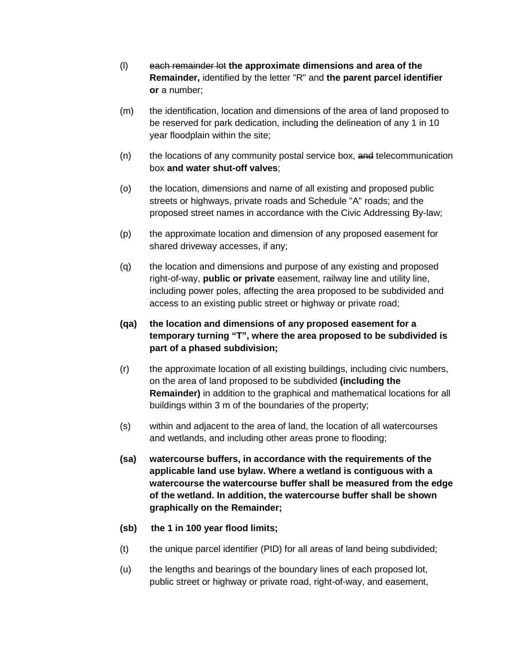- (l) each remainder lot **the approximate dimensions and area of the Remainder,** identified by the letter "R" and **the parent parcel identifier or** a number;
- (m) the identification, location and dimensions of the area of land proposed to be reserved for park dedication, including the delineation of any 1 in 10 year floodplain within the site;
- (n) the locations of any community postal service box, and telecommunication box **and water shut-off valves**;
- (o) the location, dimensions and name of all existing and proposed public streets or highways, private roads and Schedule "A" roads; and the proposed street names in accordance with the Civic Addressing By-law;
- (p) the approximate location and dimension of any proposed easement for shared driveway accesses, if any;
- (q) the location and dimensions and purpose of any existing and proposed right-of-way, **public or private** easement, railway line and utility line, including power poles, affecting the area proposed to be subdivided and access to an existing public street or highway or private road;

# **(qa) the location and dimensions of any proposed easement for a temporary turning "T", where the area proposed to be subdivided is part of a phased subdivision;**

- (r) the approximate location of all existing buildings, including civic numbers, on the area of land proposed to be subdivided **(including the Remainder)** in addition to the graphical and mathematical locations for all buildings within 3 m of the boundaries of the property;
- (s) within and adjacent to the area of land, the location of all watercourses and wetlands, and including other areas prone to flooding;
- **(sa) watercourse buffers, in accordance with the requirements of the applicable land use bylaw. Where a wetland is contiguous with a watercourse the watercourse buffer shall be measured from the edge of the wetland. In addition, the watercourse buffer shall be shown graphically on the Remainder;**
- **(sb) the 1 in 100 year flood limits;**
- (t) the unique parcel identifier (PID) for all areas of land being subdivided;
- (u) the lengths and bearings of the boundary lines of each proposed lot, public street or highway or private road, right-of-way, and easement,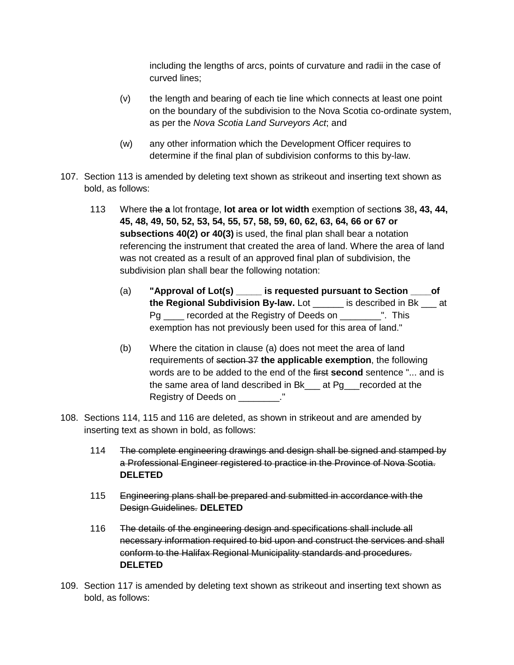including the lengths of arcs, points of curvature and radii in the case of curved lines;

- (v) the length and bearing of each tie line which connects at least one point on the boundary of the subdivision to the Nova Scotia co-ordinate system, as per the *Nova Scotia Land Surveyors Act*; and
- (w) any other information which the Development Officer requires to determine if the final plan of subdivision conforms to this by-law.
- 107. Section 113 is amended by deleting text shown as strikeout and inserting text shown as bold, as follows:
	- 113 Where the **a** lot frontage, **lot area or lot width** exemption of section**s** 38**, 43, 44, 45, 48, 49, 50, 52, 53, 54, 55, 57, 58, 59, 60, 62, 63, 64, 66 or 67 or subsections 40(2) or 40(3)** is used, the final plan shall bear a notation referencing the instrument that created the area of land. Where the area of land was not created as a result of an approved final plan of subdivision, the subdivision plan shall bear the following notation:
		- (a) **"Approval of Lot(s) \_\_\_\_\_ is requested pursuant to Section \_\_\_\_of the Regional Subdivision By-law.** Lot is described in Bk at Pg recorded at the Registry of Deeds on This exemption has not previously been used for this area of land."
		- (b) Where the citation in clause (a) does not meet the area of land requirements of section 37 **the applicable exemption**, the following words are to be added to the end of the first **second** sentence "... and is the same area of land described in Bk at Pg recorded at the Registry of Deeds on \_\_\_\_\_\_\_\_."
- 108. Sections 114, 115 and 116 are deleted, as shown in strikeout and are amended by inserting text as shown in bold, as follows:
	- 114 The complete engineering drawings and design shall be signed and stamped by a Professional Engineer registered to practice in the Province of Nova Scotia. **DELETED**
	- 115 Engineering plans shall be prepared and submitted in accordance with the Design Guidelines. **DELETED**
	- 116 The details of the engineering design and specifications shall include all necessary information required to bid upon and construct the services and shall conform to the Halifax Regional Municipality standards and procedures. **DELETED**
- 109. Section 117 is amended by deleting text shown as strikeout and inserting text shown as bold, as follows: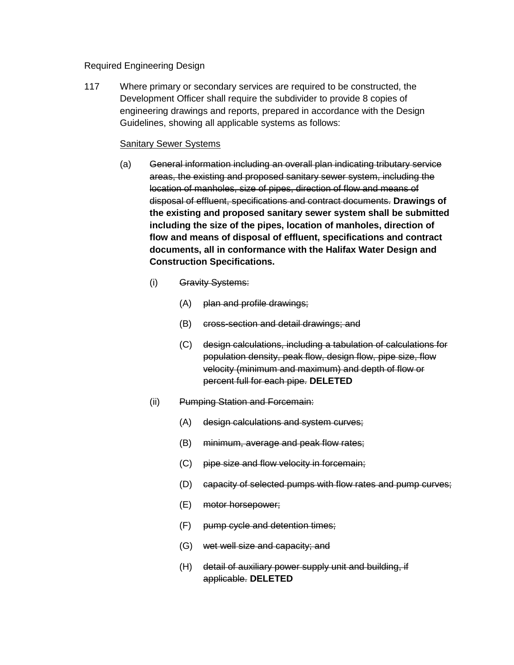#### Required Engineering Design

117 Where primary or secondary services are required to be constructed, the Development Officer shall require the subdivider to provide 8 copies of engineering drawings and reports, prepared in accordance with the Design Guidelines, showing all applicable systems as follows:

#### Sanitary Sewer Systems

- (a) General information including an overall plan indicating tributary service areas, the existing and proposed sanitary sewer system, including the location of manholes, size of pipes, direction of flow and means of disposal of effluent, specifications and contract documents. **Drawings of the existing and proposed sanitary sewer system shall be submitted including the size of the pipes, location of manholes, direction of flow and means of disposal of effluent, specifications and contract documents, all in conformance with the Halifax Water Design and Construction Specifications.**
	- (i) Gravity Systems:
		- (A) plan and profile drawings;
		- (B) cross-section and detail drawings; and
		- (C) design calculations, including a tabulation of calculations for population density, peak flow, design flow, pipe size, flow velocity (minimum and maximum) and depth of flow or percent full for each pipe. **DELETED**
	- (ii) Pumping Station and Forcemain:
		- (A) design calculations and system curves;
		- (B) minimum, average and peak flow rates;
		- (C) pipe size and flow velocity in forcemain;
		- (D) capacity of selected pumps with flow rates and pump curves;
		- (E) motor horsepower;
		- (F) pump cycle and detention times;
		- (G) wet well size and capacity; and
		- (H) detail of auxiliary power supply unit and building, if applicable. **DELETED**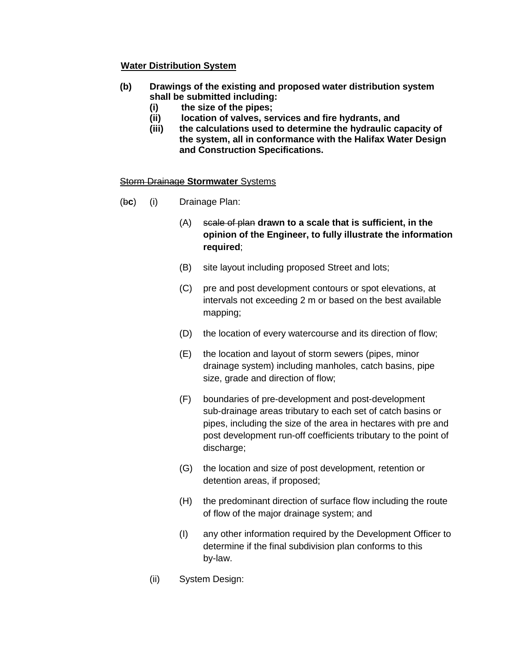# **Water Distribution System**

- **(b) Drawings of the existing and proposed water distribution system shall be submitted including:**
	- **(i) the size of the pipes;**
	- **(ii) location of valves, services and fire hydrants, and**
	- **(iii) the calculations used to determine the hydraulic capacity of the system, all in conformance with the Halifax Water Design and Construction Specifications.**

#### Storm Drainage **Stormwater** Systems

- (b**c**) (i) Drainage Plan:
	- (A) scale of plan **drawn to a scale that is sufficient, in the opinion of the Engineer, to fully illustrate the information required**;
	- (B) site layout including proposed Street and lots;
	- (C) pre and post development contours or spot elevations, at intervals not exceeding 2 m or based on the best available mapping;
	- (D) the location of every watercourse and its direction of flow;
	- (E) the location and layout of storm sewers (pipes, minor drainage system) including manholes, catch basins, pipe size, grade and direction of flow;
	- (F) boundaries of pre-development and post-development sub-drainage areas tributary to each set of catch basins or pipes, including the size of the area in hectares with pre and post development run-off coefficients tributary to the point of discharge;
	- (G) the location and size of post development, retention or detention areas, if proposed;
	- (H) the predominant direction of surface flow including the route of flow of the major drainage system; and
	- (I) any other information required by the Development Officer to determine if the final subdivision plan conforms to this by-law.
	- (ii) System Design: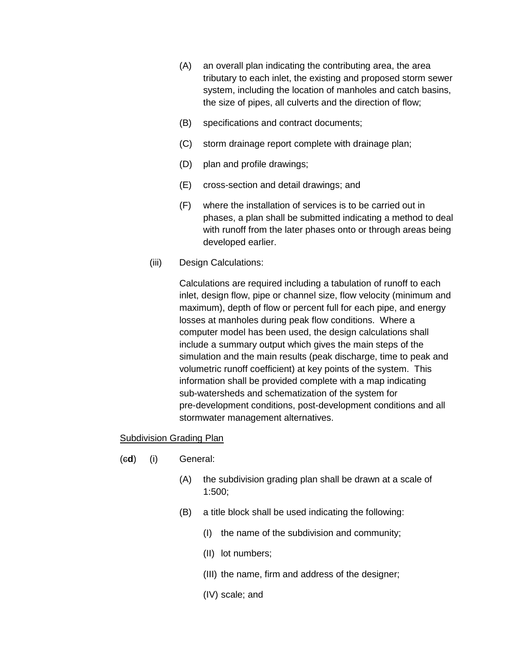- (A) an overall plan indicating the contributing area, the area tributary to each inlet, the existing and proposed storm sewer system, including the location of manholes and catch basins, the size of pipes, all culverts and the direction of flow;
- (B) specifications and contract documents;
- (C) storm drainage report complete with drainage plan;
- (D) plan and profile drawings;
- (E) cross-section and detail drawings; and
- (F) where the installation of services is to be carried out in phases, a plan shall be submitted indicating a method to deal with runoff from the later phases onto or through areas being developed earlier.
- (iii) Design Calculations:

Calculations are required including a tabulation of runoff to each inlet, design flow, pipe or channel size, flow velocity (minimum and maximum), depth of flow or percent full for each pipe, and energy losses at manholes during peak flow conditions. Where a computer model has been used, the design calculations shall include a summary output which gives the main steps of the simulation and the main results (peak discharge, time to peak and volumetric runoff coefficient) at key points of the system. This information shall be provided complete with a map indicating sub-watersheds and schematization of the system for pre-development conditions, post-development conditions and all stormwater management alternatives.

#### **Subdivision Grading Plan**

- (c**d**) (i) General:
	- (A) the subdivision grading plan shall be drawn at a scale of 1:500;
	- (B) a title block shall be used indicating the following:
		- (I) the name of the subdivision and community;
		- (II) lot numbers;
		- (III) the name, firm and address of the designer;
		- (IV) scale; and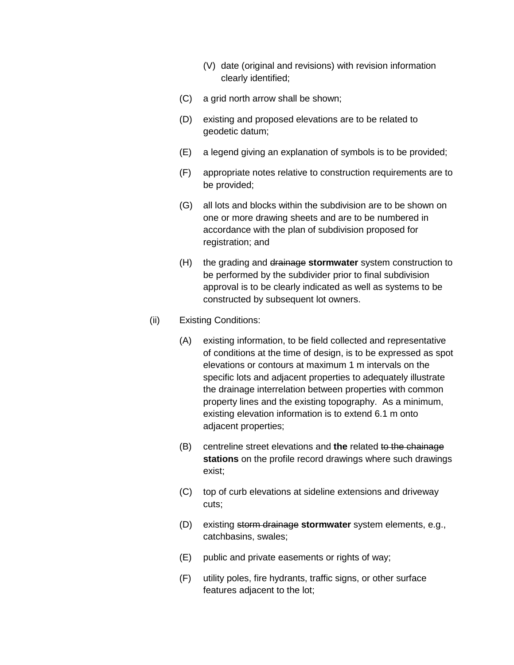- (V) date (original and revisions) with revision information clearly identified;
- (C) a grid north arrow shall be shown;
- (D) existing and proposed elevations are to be related to geodetic datum;
- (E) a legend giving an explanation of symbols is to be provided;
- (F) appropriate notes relative to construction requirements are to be provided;
- (G) all lots and blocks within the subdivision are to be shown on one or more drawing sheets and are to be numbered in accordance with the plan of subdivision proposed for registration; and
- (H) the grading and drainage **stormwater** system construction to be performed by the subdivider prior to final subdivision approval is to be clearly indicated as well as systems to be constructed by subsequent lot owners.
- (ii) Existing Conditions:
	- (A) existing information, to be field collected and representative of conditions at the time of design, is to be expressed as spot elevations or contours at maximum 1 m intervals on the specific lots and adjacent properties to adequately illustrate the drainage interrelation between properties with common property lines and the existing topography. As a minimum, existing elevation information is to extend 6.1 m onto adjacent properties;
	- (B) centreline street elevations and **the** related to the chainage **stations** on the profile record drawings where such drawings exist;
	- (C) top of curb elevations at sideline extensions and driveway cuts;
	- (D) existing storm drainage **stormwater** system elements, e.g., catchbasins, swales;
	- (E) public and private easements or rights of way;
	- (F) utility poles, fire hydrants, traffic signs, or other surface features adjacent to the lot;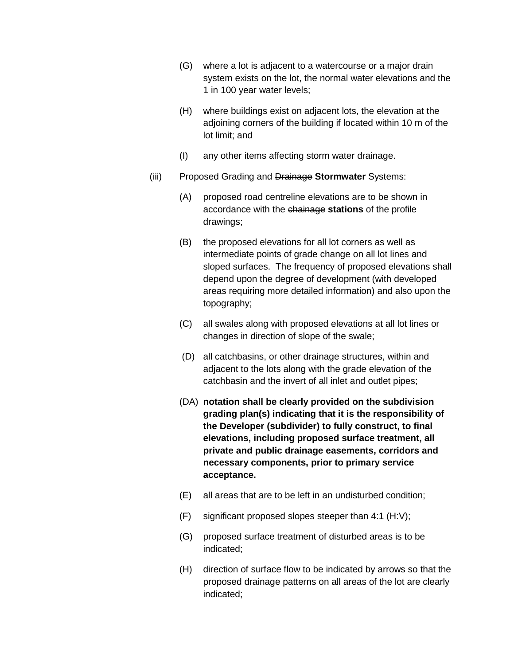- (G) where a lot is adjacent to a watercourse or a major drain system exists on the lot, the normal water elevations and the 1 in 100 year water levels;
- (H) where buildings exist on adjacent lots, the elevation at the adjoining corners of the building if located within 10 m of the lot limit; and
- (I) any other items affecting storm water drainage.
- (iii) Proposed Grading and Drainage **Stormwater** Systems:
	- (A) proposed road centreline elevations are to be shown in accordance with the chainage **stations** of the profile drawings;
	- (B) the proposed elevations for all lot corners as well as intermediate points of grade change on all lot lines and sloped surfaces. The frequency of proposed elevations shall depend upon the degree of development (with developed areas requiring more detailed information) and also upon the topography;
	- (C) all swales along with proposed elevations at all lot lines or changes in direction of slope of the swale;
	- (D) all catchbasins, or other drainage structures, within and adjacent to the lots along with the grade elevation of the catchbasin and the invert of all inlet and outlet pipes;
	- (DA) **notation shall be clearly provided on the subdivision grading plan(s) indicating that it is the responsibility of the Developer (subdivider) to fully construct, to final elevations, including proposed surface treatment, all private and public drainage easements, corridors and necessary components, prior to primary service acceptance.**
	- (E) all areas that are to be left in an undisturbed condition;
	- (F) significant proposed slopes steeper than 4:1 (H:V);
	- (G) proposed surface treatment of disturbed areas is to be indicated;
	- (H) direction of surface flow to be indicated by arrows so that the proposed drainage patterns on all areas of the lot are clearly indicated;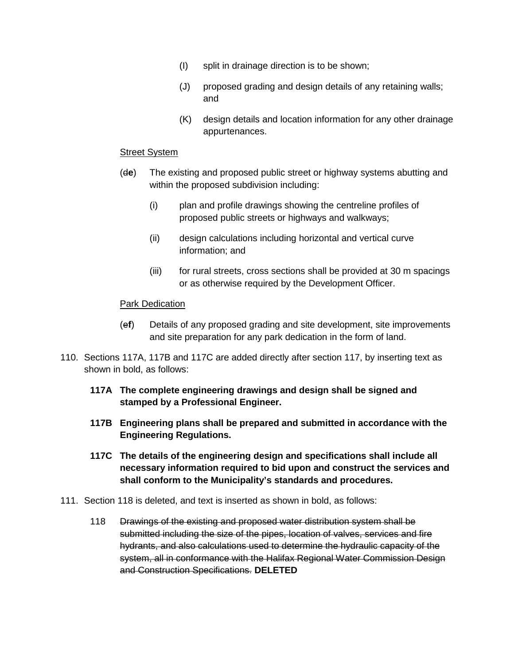- (I) split in drainage direction is to be shown;
- (J) proposed grading and design details of any retaining walls; and
- (K) design details and location information for any other drainage appurtenances.

#### Street System

- (d**e**) The existing and proposed public street or highway systems abutting and within the proposed subdivision including:
	- (i) plan and profile drawings showing the centreline profiles of proposed public streets or highways and walkways;
	- (ii) design calculations including horizontal and vertical curve information; and
	- (iii) for rural streets, cross sections shall be provided at 30 m spacings or as otherwise required by the Development Officer.

#### **Park Dedication**

- (e**f**) Details of any proposed grading and site development, site improvements and site preparation for any park dedication in the form of land.
- 110. Sections 117A, 117B and 117C are added directly after section 117, by inserting text as shown in bold, as follows:
	- **117A The complete engineering drawings and design shall be signed and stamped by a Professional Engineer.**
	- **117B Engineering plans shall be prepared and submitted in accordance with the Engineering Regulations.**
	- **117C The details of the engineering design and specifications shall include all necessary information required to bid upon and construct the services and shall conform to the Municipality's standards and procedures.**
- 111. Section 118 is deleted, and text is inserted as shown in bold, as follows:
	- 118 Drawings of the existing and proposed water distribution system shall be submitted including the size of the pipes, location of valves, services and fire hydrants, and also calculations used to determine the hydraulic capacity of the system, all in conformance with the Halifax Regional Water Commission Design and Construction Specifications. **DELETED**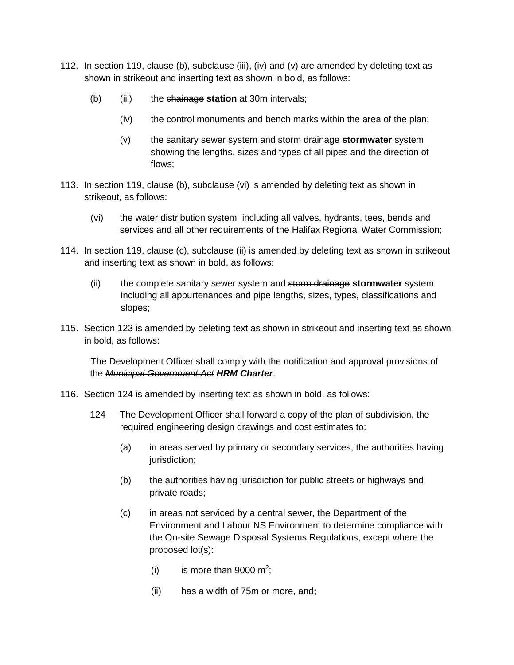- 112. In section 119, clause (b), subclause (iii), (iv) and (v) are amended by deleting text as shown in strikeout and inserting text as shown in bold, as follows:
	- (b) (iii) the chainage **station** at 30m intervals;
		- (iv) the control monuments and bench marks within the area of the plan;
		- (v) the sanitary sewer system and storm drainage **stormwater** system showing the lengths, sizes and types of all pipes and the direction of flows;
- 113. In section 119, clause (b), subclause (vi) is amended by deleting text as shown in strikeout, as follows:
	- (vi) the water distribution system including all valves, hydrants, tees, bends and services and all other requirements of the Halifax Regional Water Commission;
- 114. In section 119, clause (c), subclause (ii) is amended by deleting text as shown in strikeout and inserting text as shown in bold, as follows:
	- (ii) the complete sanitary sewer system and storm drainage **stormwater** system including all appurtenances and pipe lengths, sizes, types, classifications and slopes;
- 115. Section 123 is amended by deleting text as shown in strikeout and inserting text as shown in bold, as follows:

The Development Officer shall comply with the notification and approval provisions of the *Municipal Government Act HRM Charter*.

- 116. Section 124 is amended by inserting text as shown in bold, as follows:
	- 124 The Development Officer shall forward a copy of the plan of subdivision, the required engineering design drawings and cost estimates to:
		- (a) in areas served by primary or secondary services, the authorities having jurisdiction;
		- (b) the authorities having jurisdiction for public streets or highways and private roads;
		- (c) in areas not serviced by a central sewer, the Department of the Environment and Labour NS Environment to determine compliance with the On-site Sewage Disposal Systems Regulations, except where the proposed lot(s):
			- (i) is more than 9000  $m^2$ ;
			- (ii) has a width of 75m or more, and**;**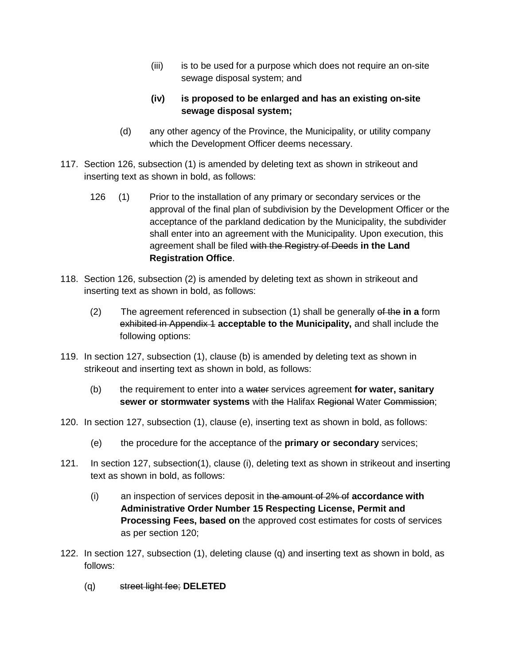(iii) is to be used for a purpose which does not require an on-site sewage disposal system; and

# **(iv) is proposed to be enlarged and has an existing on-site sewage disposal system;**

- (d) any other agency of the Province, the Municipality, or utility company which the Development Officer deems necessary.
- 117. Section 126, subsection (1) is amended by deleting text as shown in strikeout and inserting text as shown in bold, as follows:
	- 126 (1) Prior to the installation of any primary or secondary services or the approval of the final plan of subdivision by the Development Officer or the acceptance of the parkland dedication by the Municipality, the subdivider shall enter into an agreement with the Municipality. Upon execution, this agreement shall be filed with the Registry of Deeds **in the Land Registration Office**.
- 118. Section 126, subsection (2) is amended by deleting text as shown in strikeout and inserting text as shown in bold, as follows:
	- (2) The agreement referenced in subsection (1) shall be generally of the **in a** form exhibited in Appendix 1 **acceptable to the Municipality,** and shall include the following options:
- 119. In section 127, subsection (1), clause (b) is amended by deleting text as shown in strikeout and inserting text as shown in bold, as follows:
	- (b) the requirement to enter into a water services agreement **for water, sanitary sewer or stormwater systems** with the Halifax Regional Water Commission;
- 120. In section 127, subsection (1), clause (e), inserting text as shown in bold, as follows:
	- (e) the procedure for the acceptance of the **primary or secondary** services;
- 121. In section 127, subsection(1), clause (i), deleting text as shown in strikeout and inserting text as shown in bold, as follows:
	- (i) an inspection of services deposit in the amount of 2% of **accordance with Administrative Order Number 15 Respecting License, Permit and Processing Fees, based on** the approved cost estimates for costs of services as per section 120;
- 122. In section 127, subsection (1), deleting clause (q) and inserting text as shown in bold, as follows:
	- (q) street light fee; **DELETED**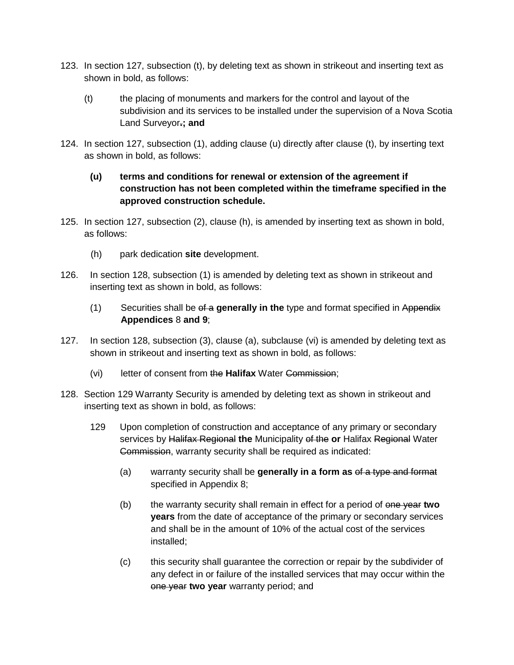- 123. In section 127, subsection (t), by deleting text as shown in strikeout and inserting text as shown in bold, as follows:
	- (t) the placing of monuments and markers for the control and layout of the subdivision and its services to be installed under the supervision of a Nova Scotia Land Surveyor**.; and**
- 124. In section 127, subsection (1), adding clause (u) directly after clause (t), by inserting text as shown in bold, as follows:

# **(u) terms and conditions for renewal or extension of the agreement if construction has not been completed within the timeframe specified in the approved construction schedule.**

- 125. In section 127, subsection (2), clause (h), is amended by inserting text as shown in bold, as follows:
	- (h) park dedication **site** development.
- 126. In section 128, subsection (1) is amended by deleting text as shown in strikeout and inserting text as shown in bold, as follows:
	- (1) Securities shall be of a **generally in the** type and format specified in Appendix **Appendices** 8 **and 9**;
- 127. In section 128, subsection (3), clause (a), subclause (vi) is amended by deleting text as shown in strikeout and inserting text as shown in bold, as follows:
	- (vi) letter of consent from the **Halifax** Water Commission;
- 128. Section 129 Warranty Security is amended by deleting text as shown in strikeout and inserting text as shown in bold, as follows:
	- 129 Upon completion of construction and acceptance of any primary or secondary services by Halifax Regional **the** Municipality of the **or** Halifax Regional Water Commission, warranty security shall be required as indicated:
		- (a) warranty security shall be **generally in a form as** of a type and format specified in Appendix 8;
		- (b) the warranty security shall remain in effect for a period of one year **two years** from the date of acceptance of the primary or secondary services and shall be in the amount of 10% of the actual cost of the services installed;
		- (c) this security shall guarantee the correction or repair by the subdivider of any defect in or failure of the installed services that may occur within the one year **two year** warranty period; and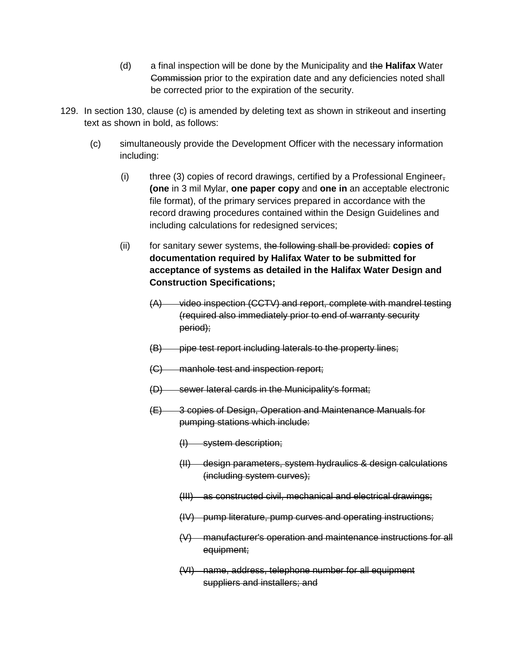- (d) a final inspection will be done by the Municipality and the **Halifax** Water Commission prior to the expiration date and any deficiencies noted shall be corrected prior to the expiration of the security.
- 129. In section 130, clause (c) is amended by deleting text as shown in strikeout and inserting text as shown in bold, as follows:
	- (c) simultaneously provide the Development Officer with the necessary information including:
		- (i) three (3) copies of record drawings, certified by a Professional Engineer-**(one** in 3 mil Mylar, **one paper copy** and **one in** an acceptable electronic file format), of the primary services prepared in accordance with the record drawing procedures contained within the Design Guidelines and including calculations for redesigned services;
		- (ii) for sanitary sewer systems, the following shall be provided: **copies of documentation required by Halifax Water to be submitted for acceptance of systems as detailed in the Halifax Water Design and Construction Specifications;**
			- (A) video inspection (CCTV) and report, complete with mandrel testing (required also immediately prior to end of warranty security period);
			- (B) pipe test report including laterals to the property lines;
			- (C) manhole test and inspection report;
			- (D) sewer lateral cards in the Municipality's format;
			- (E) 3 copies of Design, Operation and Maintenance Manuals for pumping stations which include:
				- (I) system description;
				- (II) design parameters, system hydraulics & design calculations (including system curves);
				- (III) as constructed civil, mechanical and electrical drawings;
				- (IV) pump literature, pump curves and operating instructions;
				- (V) manufacturer's operation and maintenance instructions for all equipment;
				- (VI) name, address, telephone number for all equipment suppliers and installers; and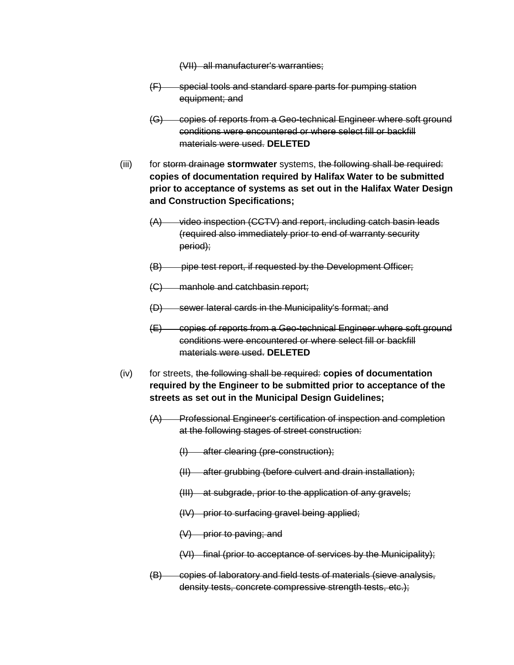(VII) all manufacturer's warranties;

- (F) special tools and standard spare parts for pumping station equipment; and
- (G) copies of reports from a Geo-technical Engineer where soft ground conditions were encountered or where select fill or backfill materials were used. **DELETED**
- (iii) for storm drainage **stormwater** systems, the following shall be required: **copies of documentation required by Halifax Water to be submitted prior to acceptance of systems as set out in the Halifax Water Design and Construction Specifications;**
	- (A) video inspection (CCTV) and report, including catch basin leads (required also immediately prior to end of warranty security period);
	- (B) pipe test report, if requested by the Development Officer;
	- (C) manhole and catchbasin report;
	- (D) sewer lateral cards in the Municipality's format; and
	- (E) copies of reports from a Geo-technical Engineer where soft ground conditions were encountered or where select fill or backfill materials were used. **DELETED**
- (iv) for streets, the following shall be required: **copies of documentation required by the Engineer to be submitted prior to acceptance of the streets as set out in the Municipal Design Guidelines;**
	- (A) Professional Engineer's certification of inspection and completion at the following stages of street construction:
		- (I) after clearing (pre-construction);
		- (II) after grubbing (before culvert and drain installation);
		- (III) at subgrade, prior to the application of any gravels;
		- (IV) prior to surfacing gravel being applied;
		- $(V)$  prior to paving; and
		- (VI) final (prior to acceptance of services by the Municipality);
	- (B) copies of laboratory and field tests of materials (sieve analysis, density tests, concrete compressive strength tests, etc.);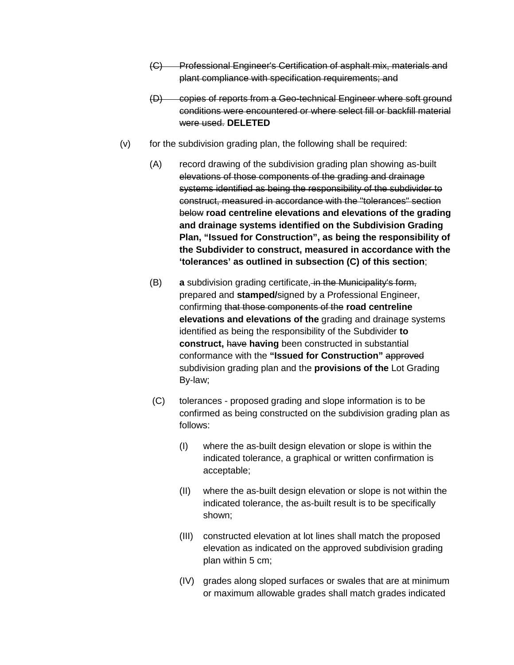- (C) Professional Engineer's Certification of asphalt mix, materials and plant compliance with specification requirements; and
- (D) copies of reports from a Geo-technical Engineer where soft ground conditions were encountered or where select fill or backfill material were used. **DELETED**
- (v) for the subdivision grading plan, the following shall be required:
	- (A) record drawing of the subdivision grading plan showing as-built elevations of those components of the grading and drainage systems identified as being the responsibility of the subdivider to construct, measured in accordance with the "tolerances" section below **road centreline elevations and elevations of the grading and drainage systems identified on the Subdivision Grading Plan, "Issued for Construction", as being the responsibility of the Subdivider to construct, measured in accordance with the 'tolerances' as outlined in subsection (C) of this section**;
	- (B) **a** subdivision grading certificate, in the Municipality's form, prepared and **stamped/**signed by a Professional Engineer, confirming that those components of the **road centreline elevations and elevations of the** grading and drainage systems identified as being the responsibility of the Subdivider **to construct,** have **having** been constructed in substantial conformance with the **"Issued for Construction"** approved subdivision grading plan and the **provisions of the** Lot Grading By-law;
	- (C) tolerances proposed grading and slope information is to be confirmed as being constructed on the subdivision grading plan as follows:
		- (I) where the as-built design elevation or slope is within the indicated tolerance, a graphical or written confirmation is acceptable;
		- (II) where the as-built design elevation or slope is not within the indicated tolerance, the as-built result is to be specifically shown;
		- (III) constructed elevation at lot lines shall match the proposed elevation as indicated on the approved subdivision grading plan within 5 cm;
		- (IV) grades along sloped surfaces or swales that are at minimum or maximum allowable grades shall match grades indicated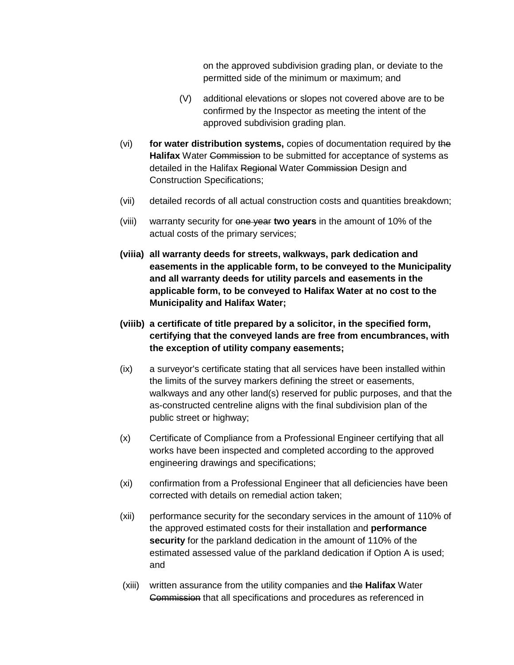on the approved subdivision grading plan, or deviate to the permitted side of the minimum or maximum; and

- (V) additional elevations or slopes not covered above are to be confirmed by the Inspector as meeting the intent of the approved subdivision grading plan.
- (vi) **for water distribution systems,** copies of documentation required by the **Halifax** Water Commission to be submitted for acceptance of systems as detailed in the Halifax Regional Water Commission Design and Construction Specifications;
- (vii) detailed records of all actual construction costs and quantities breakdown;
- (viii) warranty security for one year **two years** in the amount of 10% of the actual costs of the primary services;
- **(viiia) all warranty deeds for streets, walkways, park dedication and easements in the applicable form, to be conveyed to the Municipality and all warranty deeds for utility parcels and easements in the applicable form, to be conveyed to Halifax Water at no cost to the Municipality and Halifax Water;**
- **(viiib) a certificate of title prepared by a solicitor, in the specified form, certifying that the conveyed lands are free from encumbrances, with the exception of utility company easements;**
- (ix) a surveyor's certificate stating that all services have been installed within the limits of the survey markers defining the street or easements, walkways and any other land(s) reserved for public purposes, and that the as-constructed centreline aligns with the final subdivision plan of the public street or highway;
- (x) Certificate of Compliance from a Professional Engineer certifying that all works have been inspected and completed according to the approved engineering drawings and specifications;
- (xi) confirmation from a Professional Engineer that all deficiencies have been corrected with details on remedial action taken;
- (xii) performance security for the secondary services in the amount of 110% of the approved estimated costs for their installation and **performance security** for the parkland dedication in the amount of 110% of the estimated assessed value of the parkland dedication if Option A is used; and
- (xiii) written assurance from the utility companies and the **Halifax** Water Commission that all specifications and procedures as referenced in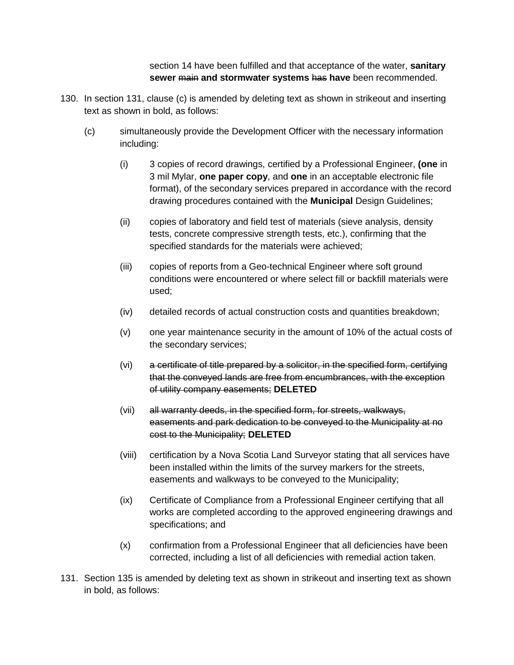section 14 have been fulfilled and that acceptance of the water, **sanitary sewer** main **and stormwater systems** has **have** been recommended.

- 130. In section 131, clause (c) is amended by deleting text as shown in strikeout and inserting text as shown in bold, as follows:
	- (c) simultaneously provide the Development Officer with the necessary information including:
		- (i) 3 copies of record drawings, certified by a Professional Engineer, **(one** in 3 mil Mylar, **one paper copy**, and **one** in an acceptable electronic file format), of the secondary services prepared in accordance with the record drawing procedures contained with the **Municipal** Design Guidelines;
		- (ii) copies of laboratory and field test of materials (sieve analysis, density tests, concrete compressive strength tests, etc.), confirming that the specified standards for the materials were achieved;
		- (iii) copies of reports from a Geo-technical Engineer where soft ground conditions were encountered or where select fill or backfill materials were used;
		- (iv) detailed records of actual construction costs and quantities breakdown;
		- (v) one year maintenance security in the amount of 10% of the actual costs of the secondary services;
		- (vi) a certificate of title prepared by a solicitor, in the specified form, certifying that the conveyed lands are free from encumbrances, with the exception of utility company easements; **DELETED**
		- (vii) all warranty deeds, in the specified form, for streets, walkways, easements and park dedication to be conveyed to the Municipality at no cost to the Municipality; **DELETED**
		- (viii) certification by a Nova Scotia Land Surveyor stating that all services have been installed within the limits of the survey markers for the streets, easements and walkways to be conveyed to the Municipality;
		- (ix) Certificate of Compliance from a Professional Engineer certifying that all works are completed according to the approved engineering drawings and specifications; and
		- (x) confirmation from a Professional Engineer that all deficiencies have been corrected, including a list of all deficiencies with remedial action taken.
- 131. Section 135 is amended by deleting text as shown in strikeout and inserting text as shown in bold, as follows: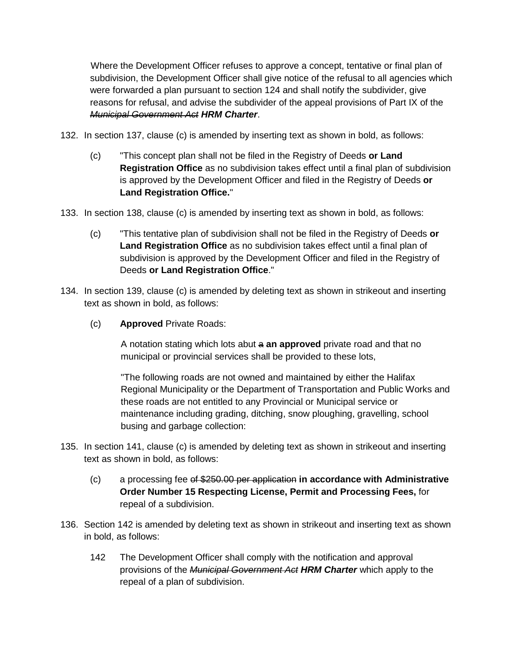Where the Development Officer refuses to approve a concept, tentative or final plan of subdivision, the Development Officer shall give notice of the refusal to all agencies which were forwarded a plan pursuant to section 124 and shall notify the subdivider, give reasons for refusal, and advise the subdivider of the appeal provisions of Part IX of the *Municipal Government Act HRM Charter*.

- 132. In section 137, clause (c) is amended by inserting text as shown in bold, as follows:
	- (c) "This concept plan shall not be filed in the Registry of Deeds **or Land Registration Office** as no subdivision takes effect until a final plan of subdivision is approved by the Development Officer and filed in the Registry of Deeds **or Land Registration Office.**"
- 133. In section 138, clause (c) is amended by inserting text as shown in bold, as follows:
	- (c) "This tentative plan of subdivision shall not be filed in the Registry of Deeds **or Land Registration Office** as no subdivision takes effect until a final plan of subdivision is approved by the Development Officer and filed in the Registry of Deeds **or Land Registration Office**."
- 134. In section 139, clause (c) is amended by deleting text as shown in strikeout and inserting text as shown in bold, as follows:
	- (c) **Approved** Private Roads:

A notation stating which lots abut a **an approved** private road and that no municipal or provincial services shall be provided to these lots,

"The following roads are not owned and maintained by either the Halifax Regional Municipality or the Department of Transportation and Public Works and these roads are not entitled to any Provincial or Municipal service or maintenance including grading, ditching, snow ploughing, gravelling, school busing and garbage collection:

- 135. In section 141, clause (c) is amended by deleting text as shown in strikeout and inserting text as shown in bold, as follows:
	- (c) a processing fee of \$250.00 per application **in accordance with Administrative Order Number 15 Respecting License, Permit and Processing Fees,** for repeal of a subdivision.
- 136. Section 142 is amended by deleting text as shown in strikeout and inserting text as shown in bold, as follows:
	- 142 The Development Officer shall comply with the notification and approval provisions of the *Municipal Government Act HRM Charter* which apply to the repeal of a plan of subdivision.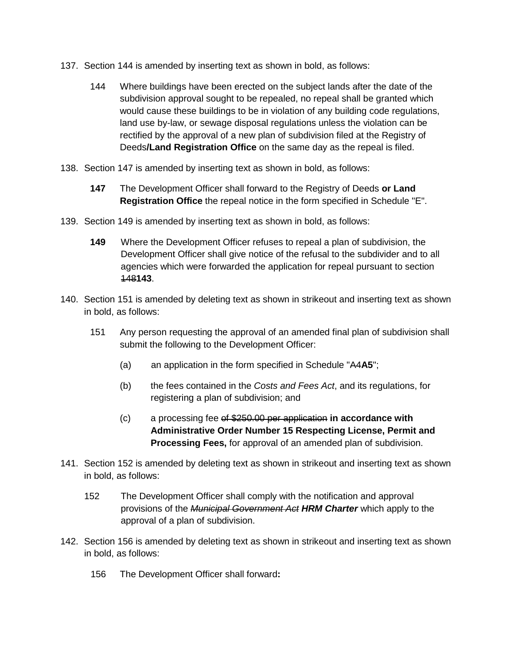- 137. Section 144 is amended by inserting text as shown in bold, as follows:
	- 144 Where buildings have been erected on the subject lands after the date of the subdivision approval sought to be repealed, no repeal shall be granted which would cause these buildings to be in violation of any building code regulations, land use by-law, or sewage disposal regulations unless the violation can be rectified by the approval of a new plan of subdivision filed at the Registry of Deeds**/Land Registration Office** on the same day as the repeal is filed.
- 138. Section 147 is amended by inserting text as shown in bold, as follows:
	- **147** The Development Officer shall forward to the Registry of Deeds **or Land Registration Office** the repeal notice in the form specified in Schedule "E".
- 139. Section 149 is amended by inserting text as shown in bold, as follows:
	- **149** Where the Development Officer refuses to repeal a plan of subdivision, the Development Officer shall give notice of the refusal to the subdivider and to all agencies which were forwarded the application for repeal pursuant to section 148**143**.
- 140. Section 151 is amended by deleting text as shown in strikeout and inserting text as shown in bold, as follows:
	- 151 Any person requesting the approval of an amended final plan of subdivision shall submit the following to the Development Officer:
		- (a) an application in the form specified in Schedule "A4**A5**";
		- (b) the fees contained in the *Costs and Fees Act*, and its regulations, for registering a plan of subdivision; and
		- (c) a processing fee of \$250.00 per application **in accordance with Administrative Order Number 15 Respecting License, Permit and Processing Fees,** for approval of an amended plan of subdivision.
- 141. Section 152 is amended by deleting text as shown in strikeout and inserting text as shown in bold, as follows:
	- 152 The Development Officer shall comply with the notification and approval provisions of the *Municipal Government Act HRM Charter* which apply to the approval of a plan of subdivision.
- 142. Section 156 is amended by deleting text as shown in strikeout and inserting text as shown in bold, as follows:
	- 156 The Development Officer shall forward**:**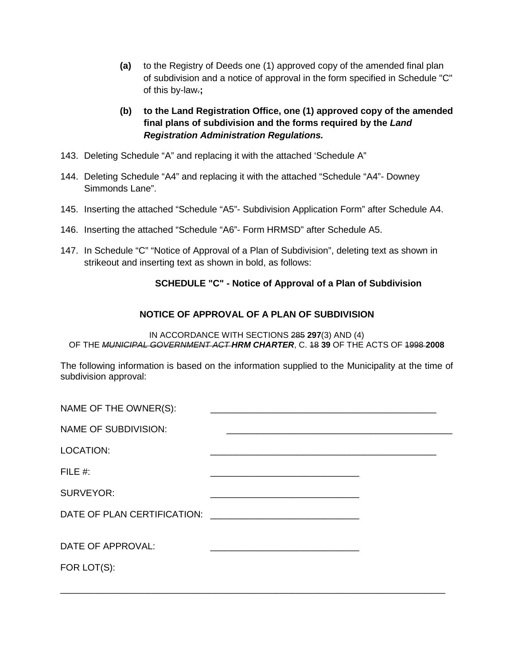- **(a)** to the Registry of Deeds one (1) approved copy of the amended final plan of subdivision and a notice of approval in the form specified in Schedule "C" of this by-law.**;**
- **(b) to the Land Registration Office, one (1) approved copy of the amended final plans of subdivision and the forms required by the** *Land Registration Administration Regulations.*
- 143. Deleting Schedule "A" and replacing it with the attached 'Schedule A"
- 144. Deleting Schedule "A4" and replacing it with the attached "Schedule "A4"- Downey Simmonds Lane".
- 145. Inserting the attached "Schedule "A5"- Subdivision Application Form" after Schedule A4.
- 146. Inserting the attached "Schedule "A6"- Form HRMSD" after Schedule A5.
- 147. In Schedule "C" "Notice of Approval of a Plan of Subdivision", deleting text as shown in strikeout and inserting text as shown in bold, as follows:

#### **SCHEDULE "C" - Notice of Approval of a Plan of Subdivision**

# **NOTICE OF APPROVAL OF A PLAN OF SUBDIVISION**

IN ACCORDANCE WITH SECTIONS 285 **297**(3) AND (4) OF THE *MUNICIPAL GOVERNMENT ACT HRM CHARTER*, C. 18 **39** OF THE ACTS OF 1998 **2008**

The following information is based on the information supplied to the Municipality at the time of subdivision approval:

| <u> 1980 - Johann John Stone, market fan it ferstjer fan it ferstjer fan it ferstjer fan it ferstjer fan it fers</u> |  |
|----------------------------------------------------------------------------------------------------------------------|--|
|                                                                                                                      |  |
|                                                                                                                      |  |
|                                                                                                                      |  |
|                                                                                                                      |  |
|                                                                                                                      |  |

\_\_\_\_\_\_\_\_\_\_\_\_\_\_\_\_\_\_\_\_\_\_\_\_\_\_\_\_\_\_\_\_\_\_\_\_\_\_\_\_\_\_\_\_\_\_\_\_\_\_\_\_\_\_\_\_\_\_\_\_\_\_\_\_\_\_\_\_\_\_\_\_\_\_\_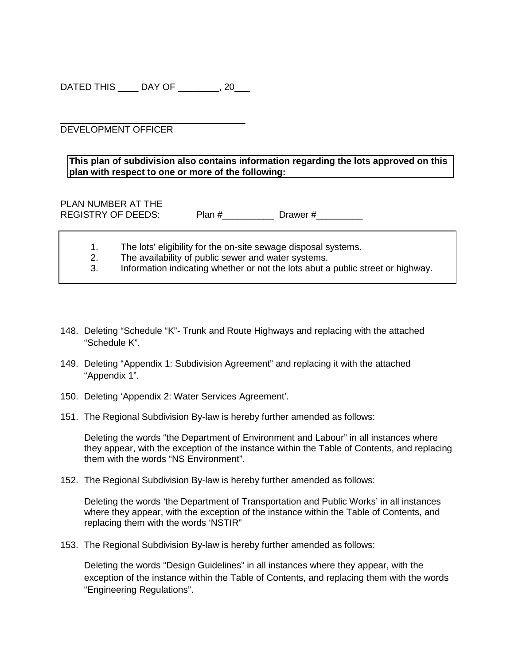DATED THIS \_\_\_\_ DAY OF \_\_\_\_\_\_\_\_, 20\_\_\_

\_\_\_\_\_\_\_\_\_\_\_\_\_\_\_\_\_\_\_\_\_\_\_\_\_\_\_\_\_\_\_\_\_\_\_\_ DEVELOPMENT OFFICER

**This plan of subdivision also contains information regarding the lots approved on this plan with respect to one or more of the following:**

PLAN NUMBER AT THE REGISTRY OF DEEDS: Plan #\_\_\_\_\_\_\_\_\_\_\_ Drawer #\_\_\_\_\_\_\_\_\_

|  |  |  | The lots' eligibility for the on-site sewage disposal systems. |
|--|--|--|----------------------------------------------------------------|
|  |  |  |                                                                |

2. The availability of public sewer and water systems.<br>3. Information indicating whether or not the lots abut a

Information indicating whether or not the lots abut a public street or highway.

- 148. Deleting "Schedule "K"- Trunk and Route Highways and replacing with the attached "Schedule K".
- 149. Deleting "Appendix 1: Subdivision Agreement" and replacing it with the attached "Appendix 1".
- 150. Deleting 'Appendix 2: Water Services Agreement'.
- 151. The Regional Subdivision By-law is hereby further amended as follows:

Deleting the words "the Department of Environment and Labour" in all instances where they appear, with the exception of the instance within the Table of Contents, and replacing them with the words "NS Environment".

152. The Regional Subdivision By-law is hereby further amended as follows:

Deleting the words 'the Department of Transportation and Public Works' in all instances where they appear, with the exception of the instance within the Table of Contents, and replacing them with the words 'NSTIR"

153. The Regional Subdivision By-law is hereby further amended as follows:

Deleting the words "Design Guidelines" in all instances where they appear, with the exception of the instance within the Table of Contents, and replacing them with the words "Engineering Regulations".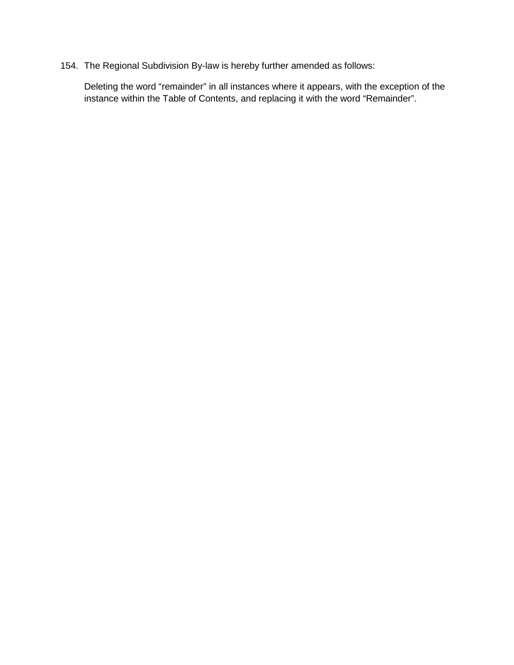154. The Regional Subdivision By-law is hereby further amended as follows:

Deleting the word "remainder" in all instances where it appears, with the exception of the instance within the Table of Contents, and replacing it with the word "Remainder".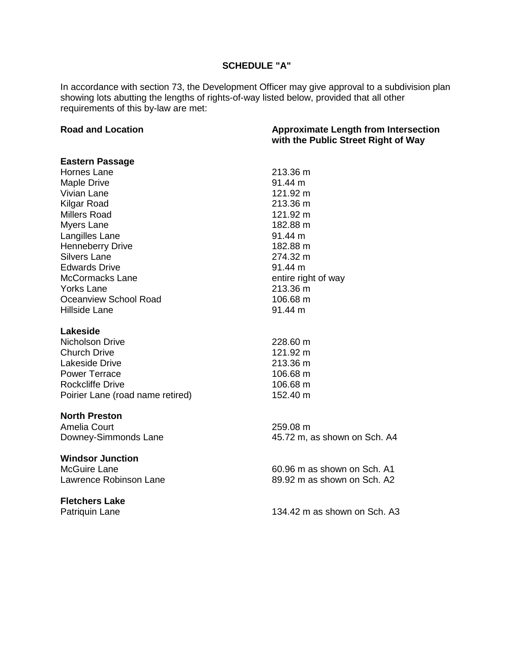# **SCHEDULE "A"**

In accordance with section 73, the Development Officer may give approval to a subdivision plan showing lots abutting the lengths of rights-of-way listed below, provided that all other requirements of this by-law are met:

| <b>Road and Location</b><br><b>Approximate Length from Intersection</b><br>with the Public Street Right of Way |                              |
|----------------------------------------------------------------------------------------------------------------|------------------------------|
| <b>Eastern Passage</b>                                                                                         |                              |
| Hornes Lane                                                                                                    | 213.36 m                     |
| <b>Maple Drive</b>                                                                                             | 91.44 m                      |
| Vivian Lane                                                                                                    | 121.92 m                     |
| Kilgar Road                                                                                                    | 213.36 m                     |
| <b>Millers Road</b>                                                                                            | 121.92 m                     |
| Myers Lane                                                                                                     | 182.88 m                     |
| Langilles Lane                                                                                                 | 91.44 m                      |
| <b>Henneberry Drive</b>                                                                                        | 182.88 m                     |
| <b>Silvers Lane</b>                                                                                            | 274.32 m                     |
| <b>Edwards Drive</b>                                                                                           | $91.44 \text{ m}$            |
| <b>McCormacks Lane</b>                                                                                         | entire right of way          |
| <b>Yorks Lane</b>                                                                                              | 213.36 m                     |
| Oceanview School Road                                                                                          | 106.68 m                     |
| <b>Hillside Lane</b>                                                                                           | 91.44 m                      |
| Lakeside                                                                                                       |                              |
| Nicholson Drive                                                                                                | 228.60 m                     |
| <b>Church Drive</b>                                                                                            | 121.92 m                     |
| Lakeside Drive                                                                                                 | 213.36 m                     |
| <b>Power Terrace</b>                                                                                           | 106.68 m                     |
| <b>Rockcliffe Drive</b>                                                                                        | 106.68 m                     |
| Poirier Lane (road name retired)                                                                               | 152.40 m                     |
| <b>North Preston</b>                                                                                           |                              |
| Amelia Court                                                                                                   | 259.08 m                     |
| Downey-Simmonds Lane                                                                                           | 45.72 m, as shown on Sch. A4 |
| <b>Windsor Junction</b>                                                                                        |                              |
| <b>McGuire Lane</b>                                                                                            | 60.96 m as shown on Sch. A1  |
| Lawrence Robinson Lane                                                                                         | 89.92 m as shown on Sch. A2  |
| <b>Fletchers Lake</b>                                                                                          |                              |
| Patriquin Lane                                                                                                 | 134.42 m as shown on Sch. A3 |
|                                                                                                                |                              |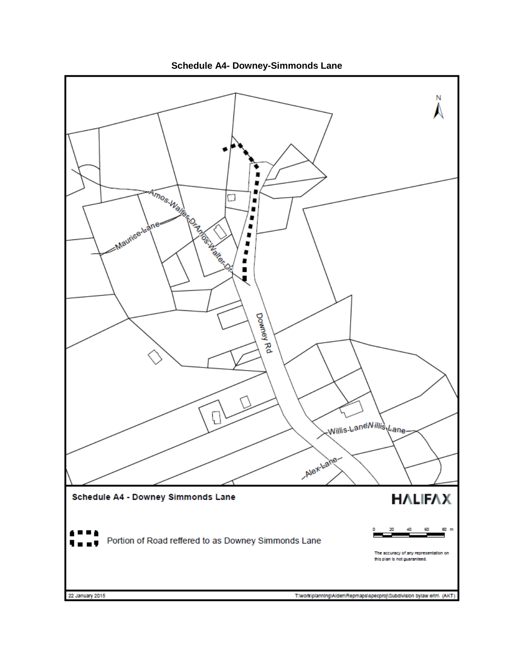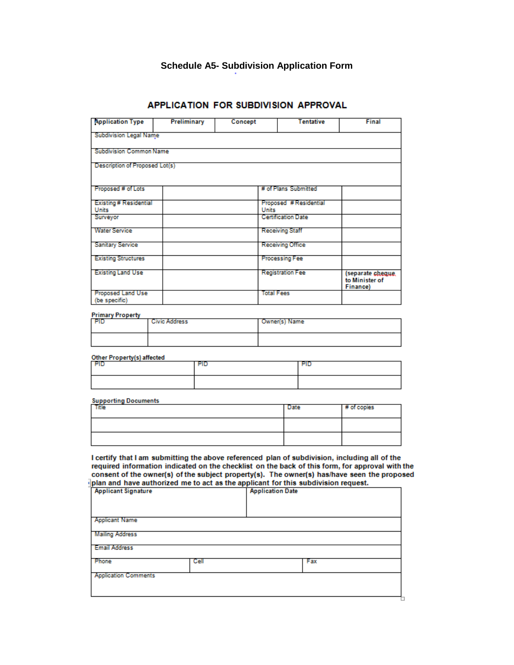# **Schedule A5- Subdivision Application Form**

| <b>Application Type</b>                       | <b>Preliminary</b>   | Concept      | <b>Tentative</b>          | <b>Final</b>                                          |
|-----------------------------------------------|----------------------|--------------|---------------------------|-------------------------------------------------------|
| <b>Subdivision Legal Name</b>                 |                      |              |                           |                                                       |
| <b>Subdivision Common Name</b>                |                      |              |                           |                                                       |
| Description of Proposed Lot(s)                |                      |              |                           |                                                       |
| Proposed # of Lots                            |                      |              | # of Plans Submitted      |                                                       |
| <b>Existing # Residential</b><br><b>Units</b> |                      | <b>Units</b> | Proposed #Residential     |                                                       |
| Surveyor                                      |                      |              | <b>Certification Date</b> |                                                       |
| <b>Water Service</b>                          |                      |              | <b>Receiving Staff</b>    |                                                       |
| <b>Sanitary Service</b>                       |                      |              | <b>Receiving Office</b>   |                                                       |
| <b>Existing Structures</b>                    |                      |              | <b>Processing Fee</b>     |                                                       |
| <b>Existing Land Use</b>                      |                      |              | <b>Registration Fee</b>   | (separate cheque<br>to Minister of<br><b>Financel</b> |
| <b>Proposed Land Use</b><br>(be specific)     |                      |              | <b>Total Fees</b>         |                                                       |
| <b>Primary Property</b>                       |                      |              |                           |                                                       |
| PID                                           | <b>Civic Address</b> |              | Owner(s) Name             |                                                       |
|                                               |                      |              |                           |                                                       |
| Other Property(s) affected                    |                      |              |                           |                                                       |
| PID                                           | <b>PID</b>           |              | PID                       |                                                       |

#### APPLICATION FOR SUBDIVISION APPROVAL

# **Supporting Documents**

| Title | Date | # of copies |
|-------|------|-------------|
|       |      |             |
|       |      |             |

I certify that I am submitting the above referenced plan of subdivision, including all of the required information indicated on the checklist on the back of this form, for approval with the consent of the owner(s) of the subject property(s). The owner(s) has/have seen the proposed  $\frac{1}{2}$ plan and have authorized me to act as the applicant for this subdivision request.

| <b>Applicant Signature</b>  |      | <b>Application Date</b> |     |  |
|-----------------------------|------|-------------------------|-----|--|
|                             |      |                         |     |  |
|                             |      |                         |     |  |
| <b>Applicant Name</b>       |      |                         |     |  |
| Mailing Address             |      |                         |     |  |
| <b>Email Address</b>        |      |                         |     |  |
|                             |      |                         |     |  |
| Phone                       | Cell |                         | Fax |  |
| <b>Application Comments</b> |      |                         |     |  |
|                             |      |                         |     |  |
|                             |      |                         |     |  |
|                             |      |                         |     |  |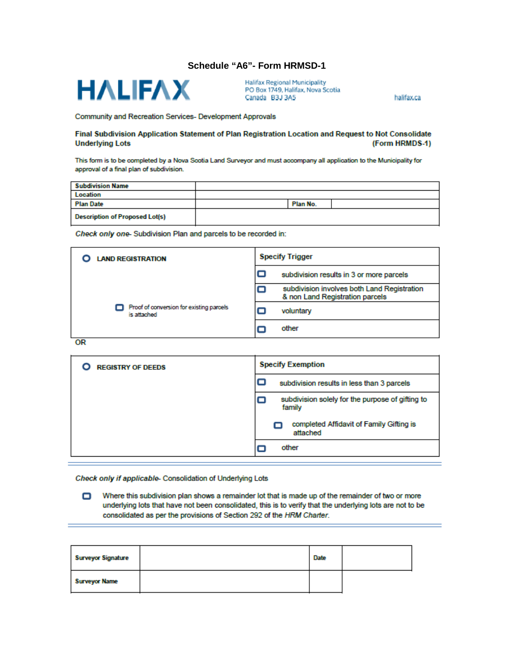#### **Schedule "A6"- Form HRMSD-1**



**Halifax Regional Municipality** PO Box 1749, Halifax, Nova Scotia Canada B3J 3A5

halifax.ca

Community and Recreation Services- Development Approvals

#### Final Subdivision Application Statement of Plan Registration Location and Request to Not Consolidate (Form HRMDS-1) **Underlying Lots**

This form is to be completed by a Nova Scotia Land Surveyor and must accompany all application to the Municipality for approval of a final plan of subdivision.

| <b>Subdivision Name</b>               |          |  |
|---------------------------------------|----------|--|
| <b>Location</b>                       |          |  |
| <b>Plan Date</b>                      | Plan No. |  |
| <b>Description of Proposed Lot(s)</b> |          |  |

Check only one-Subdivision Plan and parcels to be recorded in:

| <b>LAND REGISTRATION</b>                                | <b>Specify Trigger</b>                                                         |  |
|---------------------------------------------------------|--------------------------------------------------------------------------------|--|
|                                                         | о<br>subdivision results in 3 or more parcels                                  |  |
|                                                         | subdivision involves both Land Registration<br>& non Land Registration parcels |  |
| Proof of conversion for existing parcels<br>is attached | voluntary                                                                      |  |
|                                                         | other                                                                          |  |
| $\sim$                                                  |                                                                                |  |

OR

| <b>REGISTRY OF DEEDS</b> | <b>Specify Exemption</b>                                        |  |  |
|--------------------------|-----------------------------------------------------------------|--|--|
|                          | subdivision results in less than 3 parcels                      |  |  |
|                          | subdivision solely for the purpose of gifting to<br>⊏<br>family |  |  |
|                          | completed Affidavit of Family Gifting is<br>attached            |  |  |
|                          | other                                                           |  |  |

Check only if applicable- Consolidation of Underlying Lots

Where this subdivision plan shows a remainder lot that is made up of the remainder of two or more ο underlying lots that have not been consolidated, this is to verify that the underlying lots are not to be consolidated as per the provisions of Section 292 of the HRM Charter.

| <b>Surveyor Signature</b> | <b>Date</b> |  |
|---------------------------|-------------|--|
| <b>Surveyor Name</b>      |             |  |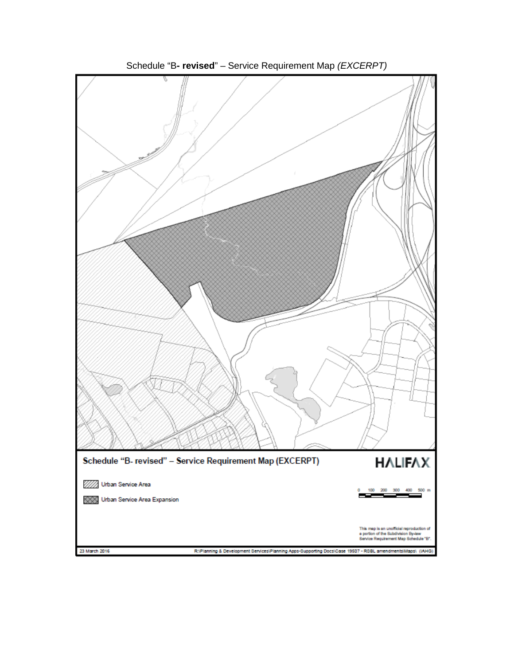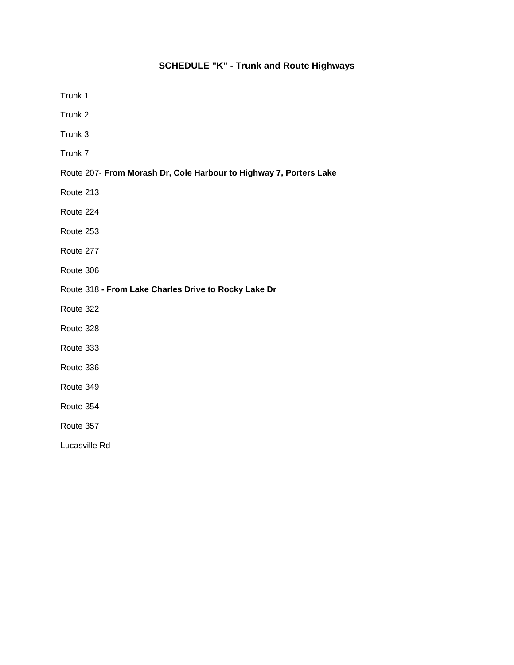# **SCHEDULE "K" - Trunk and Route Highways**

Trunk 1

Trunk 2

Trunk 3

Trunk 7

#### Route 207- **From Morash Dr, Cole Harbour to Highway 7, Porters Lake**

Route 213

Route 224

Route 253

Route 277

Route 306

Route 318 **- From Lake Charles Drive to Rocky Lake Dr**

Route 322

Route 328

Route 333

Route 336

Route 349

Route 354

Route 357

Lucasville Rd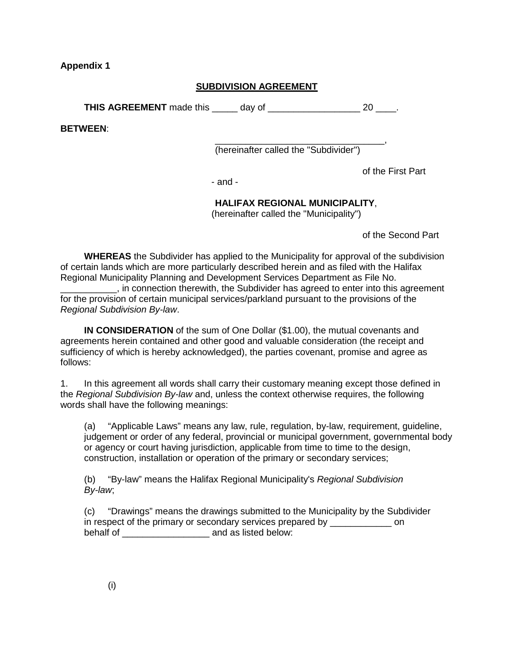**Appendix 1**

# **SUBDIVISION AGREEMENT**

**THIS AGREEMENT** made this day of  $\qquad 20$  .

**BETWEEN**:

\_\_\_\_\_\_\_\_\_\_\_\_\_\_\_\_\_\_\_\_\_\_\_\_\_\_\_\_\_\_\_\_\_, (hereinafter called the "Subdivider")

of the First Part

- and -

# **HALIFAX REGIONAL MUNICIPALITY**,

(hereinafter called the "Municipality")

of the Second Part

**WHEREAS** the Subdivider has applied to the Municipality for approval of the subdivision of certain lands which are more particularly described herein and as filed with the Halifax Regional Municipality Planning and Development Services Department as File No.

\_\_\_\_\_\_\_\_\_\_\_, in connection therewith, the Subdivider has agreed to enter into this agreement for the provision of certain municipal services/parkland pursuant to the provisions of the *Regional Subdivision By-law*.

**IN CONSIDERATION** of the sum of One Dollar (\$1.00), the mutual covenants and agreements herein contained and other good and valuable consideration (the receipt and sufficiency of which is hereby acknowledged), the parties covenant, promise and agree as follows:

1. In this agreement all words shall carry their customary meaning except those defined in the *Regional Subdivision By-law* and, unless the context otherwise requires, the following words shall have the following meanings:

(a) "Applicable Laws" means any law, rule, regulation, by-law, requirement, guideline, judgement or order of any federal, provincial or municipal government, governmental body or agency or court having jurisdiction, applicable from time to time to the design, construction, installation or operation of the primary or secondary services;

(b) "By-law" means the Halifax Regional Municipality's *Regional Subdivision By-law*;

(c) "Drawings" means the drawings submitted to the Municipality by the Subdivider in respect of the primary or secondary services prepared by \_\_\_\_\_\_\_\_\_\_\_\_\_\_\_ on behalf of \_\_\_\_\_\_\_\_\_\_\_\_\_\_\_\_\_\_\_\_\_\_\_\_\_ and as listed below: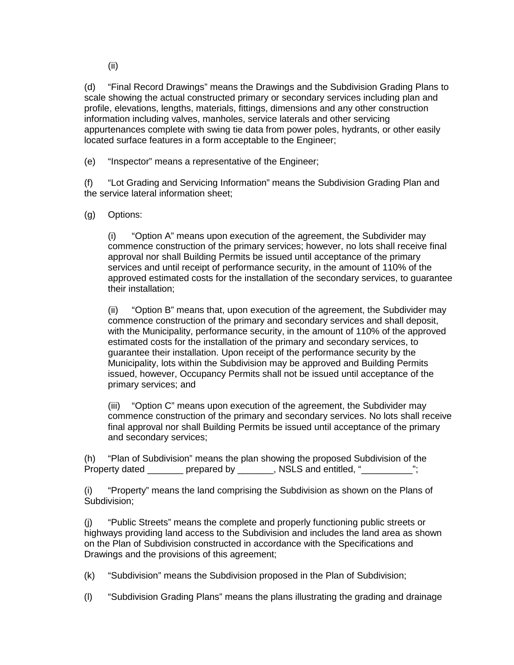(ii)

(d) "Final Record Drawings" means the Drawings and the Subdivision Grading Plans to scale showing the actual constructed primary or secondary services including plan and profile, elevations, lengths, materials, fittings, dimensions and any other construction information including valves, manholes, service laterals and other servicing appurtenances complete with swing tie data from power poles, hydrants, or other easily located surface features in a form acceptable to the Engineer;

(e) "Inspector" means a representative of the Engineer;

(f) "Lot Grading and Servicing Information" means the Subdivision Grading Plan and the service lateral information sheet;

(g) Options:

(i) "Option A" means upon execution of the agreement, the Subdivider may commence construction of the primary services; however, no lots shall receive final approval nor shall Building Permits be issued until acceptance of the primary services and until receipt of performance security, in the amount of 110% of the approved estimated costs for the installation of the secondary services, to guarantee their installation;

(ii) "Option B" means that, upon execution of the agreement, the Subdivider may commence construction of the primary and secondary services and shall deposit, with the Municipality, performance security, in the amount of 110% of the approved estimated costs for the installation of the primary and secondary services, to guarantee their installation. Upon receipt of the performance security by the Municipality, lots within the Subdivision may be approved and Building Permits issued, however, Occupancy Permits shall not be issued until acceptance of the primary services; and

(iii) "Option C" means upon execution of the agreement, the Subdivider may commence construction of the primary and secondary services. No lots shall receive final approval nor shall Building Permits be issued until acceptance of the primary and secondary services;

(h) "Plan of Subdivision" means the plan showing the proposed Subdivision of the Property dated prepared by Ensuingly RSLS and entitled, "

(i) "Property" means the land comprising the Subdivision as shown on the Plans of Subdivision;

(j) "Public Streets" means the complete and properly functioning public streets or highways providing land access to the Subdivision and includes the land area as shown on the Plan of Subdivision constructed in accordance with the Specifications and Drawings and the provisions of this agreement;

(k) "Subdivision" means the Subdivision proposed in the Plan of Subdivision;

(l) "Subdivision Grading Plans" means the plans illustrating the grading and drainage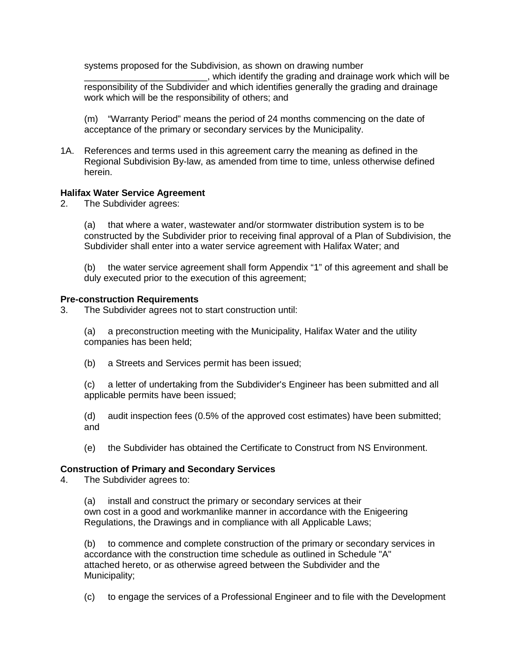systems proposed for the Subdivision, as shown on drawing number

\_\_\_\_\_\_\_\_\_\_\_\_\_\_\_\_\_\_\_\_\_\_\_\_, which identify the grading and drainage work which will be responsibility of the Subdivider and which identifies generally the grading and drainage work which will be the responsibility of others; and

(m) "Warranty Period" means the period of 24 months commencing on the date of acceptance of the primary or secondary services by the Municipality.

1A. References and terms used in this agreement carry the meaning as defined in the Regional Subdivision By-law, as amended from time to time, unless otherwise defined herein.

#### **Halifax Water Service Agreement**

2. The Subdivider agrees:

(a) that where a water, wastewater and/or stormwater distribution system is to be constructed by the Subdivider prior to receiving final approval of a Plan of Subdivision, the Subdivider shall enter into a water service agreement with Halifax Water; and

(b) the water service agreement shall form Appendix "1" of this agreement and shall be duly executed prior to the execution of this agreement;

#### **Pre-construction Requirements**

3. The Subdivider agrees not to start construction until:

(a) a preconstruction meeting with the Municipality, Halifax Water and the utility companies has been held;

(b) a Streets and Services permit has been issued;

(c) a letter of undertaking from the Subdivider's Engineer has been submitted and all applicable permits have been issued;

(d) audit inspection fees (0.5% of the approved cost estimates) have been submitted; and

(e) the Subdivider has obtained the Certificate to Construct from NS Environment.

# **Construction of Primary and Secondary Services**

The Subdivider agrees to:

(a) install and construct the primary or secondary services at their own cost in a good and workmanlike manner in accordance with the Enigeering Regulations, the Drawings and in compliance with all Applicable Laws;

(b) to commence and complete construction of the primary or secondary services in accordance with the construction time schedule as outlined in Schedule "A" attached hereto, or as otherwise agreed between the Subdivider and the Municipality;

(c) to engage the services of a Professional Engineer and to file with the Development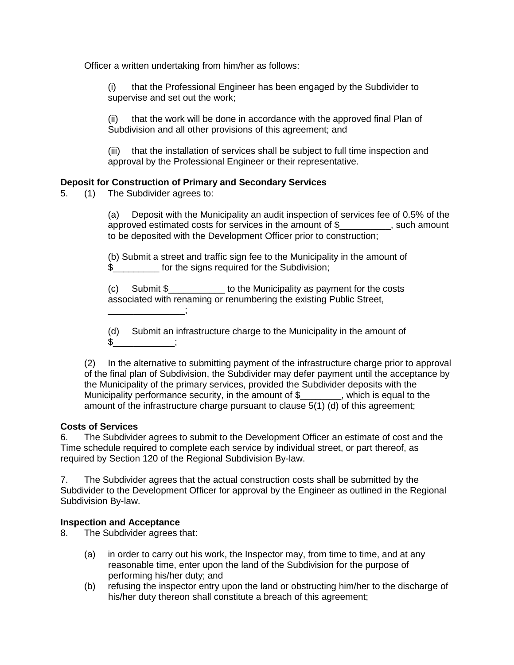Officer a written undertaking from him/her as follows:

(i) that the Professional Engineer has been engaged by the Subdivider to supervise and set out the work;

(ii) that the work will be done in accordance with the approved final Plan of Subdivision and all other provisions of this agreement; and

(iii) that the installation of services shall be subject to full time inspection and approval by the Professional Engineer or their representative.

# **Deposit for Construction of Primary and Secondary Services**

5. (1) The Subdivider agrees to:

(a) Deposit with the Municipality an audit inspection of services fee of 0.5% of the approved estimated costs for services in the amount of \$\_\_\_\_\_\_\_\_\_\_, such amount to be deposited with the Development Officer prior to construction;

(b) Submit a street and traffic sign fee to the Municipality in the amount of \$ for the signs required for the Subdivision;

(c) Submit \$\_\_\_\_\_\_\_\_\_\_\_ to the Municipality as payment for the costs associated with renaming or renumbering the existing Public Street,  $\sim$   $\sim$   $\sim$   $\sim$   $\sim$   $\sim$ 

(d) Submit an infrastructure charge to the Municipality in the amount of  $\frac{1}{2}$  ;

(2) In the alternative to submitting payment of the infrastructure charge prior to approval of the final plan of Subdivision, the Subdivider may defer payment until the acceptance by the Municipality of the primary services, provided the Subdivider deposits with the Municipality performance security, in the amount of \$\_\_\_\_\_\_\_\_, which is equal to the amount of the infrastructure charge pursuant to clause 5(1) (d) of this agreement;

#### **Costs of Services**

6. The Subdivider agrees to submit to the Development Officer an estimate of cost and the Time schedule required to complete each service by individual street, or part thereof, as required by Section 120 of the Regional Subdivision By-law.

7. The Subdivider agrees that the actual construction costs shall be submitted by the Subdivider to the Development Officer for approval by the Engineer as outlined in the Regional Subdivision By-law.

# **Inspection and Acceptance**

8. The Subdivider agrees that:

- (a) in order to carry out his work, the Inspector may, from time to time, and at any reasonable time, enter upon the land of the Subdivision for the purpose of performing his/her duty; and
- (b) refusing the inspector entry upon the land or obstructing him/her to the discharge of his/her duty thereon shall constitute a breach of this agreement;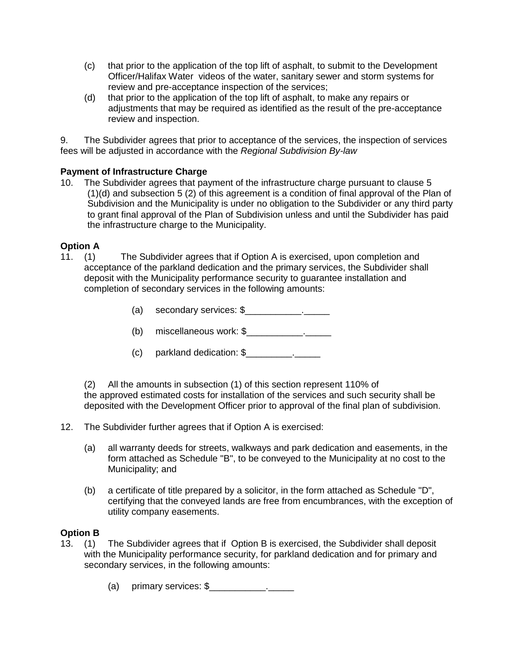- (c) that prior to the application of the top lift of asphalt, to submit to the Development Officer/Halifax Water videos of the water, sanitary sewer and storm systems for review and pre-acceptance inspection of the services;
- (d) that prior to the application of the top lift of asphalt, to make any repairs or adjustments that may be required as identified as the result of the pre-acceptance review and inspection.

9. The Subdivider agrees that prior to acceptance of the services, the inspection of services fees will be adjusted in accordance with the *Regional Subdivision By-law*

# **Payment of Infrastructure Charge**

10. The Subdivider agrees that payment of the infrastructure charge pursuant to clause 5 (1)(d) and subsection 5 (2) of this agreement is a condition of final approval of the Plan of Subdivision and the Municipality is under no obligation to the Subdivider or any third party to grant final approval of the Plan of Subdivision unless and until the Subdivider has paid the infrastructure charge to the Municipality.

- **Option A**<br>11. (1) The Subdivider agrees that if Option A is exercised, upon completion and acceptance of the parkland dedication and the primary services, the Subdivider shall deposit with the Municipality performance security to guarantee installation and completion of secondary services in the following amounts:
	- (a) secondary services: \$\_\_\_\_\_\_\_\_\_\_\_.\_\_\_\_\_
	- (b) miscellaneous work: \$\_\_\_\_\_\_\_\_\_\_\_.\_\_\_\_\_
	- (c) parkland dedication: \$\_\_\_\_\_\_\_\_\_.\_\_\_\_\_

(2) All the amounts in subsection (1) of this section represent 110% of the approved estimated costs for installation of the services and such security shall be deposited with the Development Officer prior to approval of the final plan of subdivision.

12. The Subdivider further agrees that if Option A is exercised:

- (a) all warranty deeds for streets, walkways and park dedication and easements, in the form attached as Schedule "B", to be conveyed to the Municipality at no cost to the Municipality; and
- (b) a certificate of title prepared by a solicitor, in the form attached as Schedule "D", certifying that the conveyed lands are free from encumbrances, with the exception of utility company easements.

# **Option B**

- 13. (1) The Subdivider agrees that if Option B is exercised, the Subdivider shall deposit with the Municipality performance security, for parkland dedication and for primary and secondary services, in the following amounts:
	- (a) primary services: \$\_\_\_\_\_\_\_\_\_\_\_.\_\_\_\_\_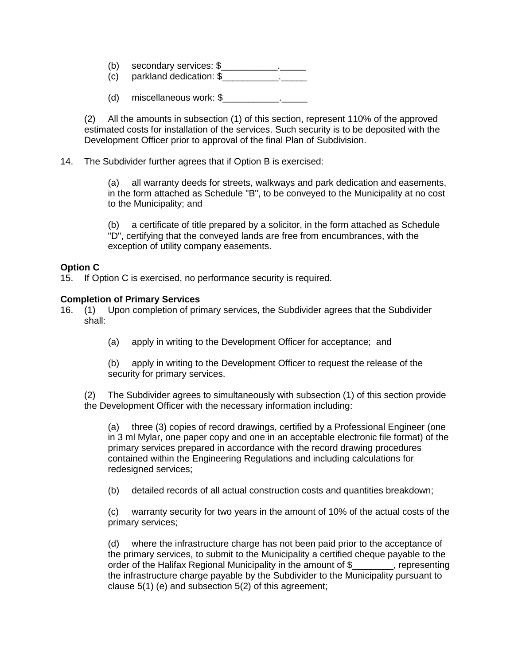- (b) secondary services: \$\_\_\_\_\_\_\_\_\_\_\_.\_\_\_\_\_
- (c) parkland dedication: \$\_\_\_\_\_\_\_\_\_\_\_.\_\_\_\_\_
- (d) miscellaneous work: \$\_\_\_\_\_\_\_\_\_\_\_.\_\_\_\_\_

(2) All the amounts in subsection (1) of this section, represent 110% of the approved estimated costs for installation of the services. Such security is to be deposited with the Development Officer prior to approval of the final Plan of Subdivision.

14. The Subdivider further agrees that if Option B is exercised:

(a) all warranty deeds for streets, walkways and park dedication and easements, in the form attached as Schedule "B", to be conveyed to the Municipality at no cost to the Municipality; and

(b) a certificate of title prepared by a solicitor, in the form attached as Schedule "D", certifying that the conveyed lands are free from encumbrances, with the exception of utility company easements.

# **Option C**

15. If Option C is exercised, no performance security is required.

#### **Completion of Primary Services**

- 16. (1) Upon completion of primary services, the Subdivider agrees that the Subdivider shall:
	- (a) apply in writing to the Development Officer for acceptance; and

(b) apply in writing to the Development Officer to request the release of the security for primary services.

(2) The Subdivider agrees to simultaneously with subsection (1) of this section provide the Development Officer with the necessary information including:

(a) three (3) copies of record drawings, certified by a Professional Engineer (one in 3 ml Mylar, one paper copy and one in an acceptable electronic file format) of the primary services prepared in accordance with the record drawing procedures contained within the Engineering Regulations and including calculations for redesigned services;

(b) detailed records of all actual construction costs and quantities breakdown;

(c) warranty security for two years in the amount of 10% of the actual costs of the primary services;

(d) where the infrastructure charge has not been paid prior to the acceptance of the primary services, to submit to the Municipality a certified cheque payable to the order of the Halifax Regional Municipality in the amount of \$ representing the infrastructure charge payable by the Subdivider to the Municipality pursuant to clause 5(1) (e) and subsection 5(2) of this agreement;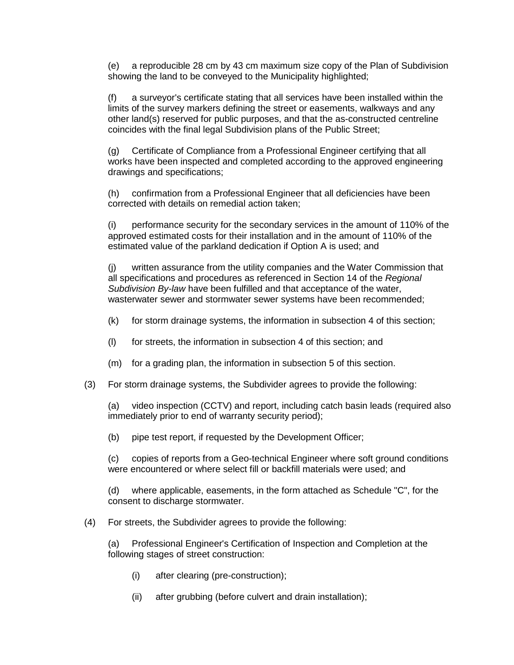(e) a reproducible 28 cm by 43 cm maximum size copy of the Plan of Subdivision showing the land to be conveyed to the Municipality highlighted;

(f) a surveyor's certificate stating that all services have been installed within the limits of the survey markers defining the street or easements, walkways and any other land(s) reserved for public purposes, and that the as-constructed centreline coincides with the final legal Subdivision plans of the Public Street;

(g) Certificate of Compliance from a Professional Engineer certifying that all works have been inspected and completed according to the approved engineering drawings and specifications;

(h) confirmation from a Professional Engineer that all deficiencies have been corrected with details on remedial action taken;

(i) performance security for the secondary services in the amount of 110% of the approved estimated costs for their installation and in the amount of 110% of the estimated value of the parkland dedication if Option A is used; and

(j) written assurance from the utility companies and the Water Commission that all specifications and procedures as referenced in Section 14 of the *Regional Subdivision By-law* have been fulfilled and that acceptance of the water, wasterwater sewer and stormwater sewer systems have been recommended;

- (k) for storm drainage systems, the information in subsection 4 of this section;
- (l) for streets, the information in subsection 4 of this section; and
- (m) for a grading plan, the information in subsection 5 of this section.
- (3) For storm drainage systems, the Subdivider agrees to provide the following:

(a) video inspection (CCTV) and report, including catch basin leads (required also immediately prior to end of warranty security period);

(b) pipe test report, if requested by the Development Officer;

(c) copies of reports from a Geo-technical Engineer where soft ground conditions were encountered or where select fill or backfill materials were used; and

(d) where applicable, easements, in the form attached as Schedule "C", for the consent to discharge stormwater.

(4) For streets, the Subdivider agrees to provide the following:

(a) Professional Engineer's Certification of Inspection and Completion at the following stages of street construction:

- (i) after clearing (pre-construction);
- (ii) after grubbing (before culvert and drain installation);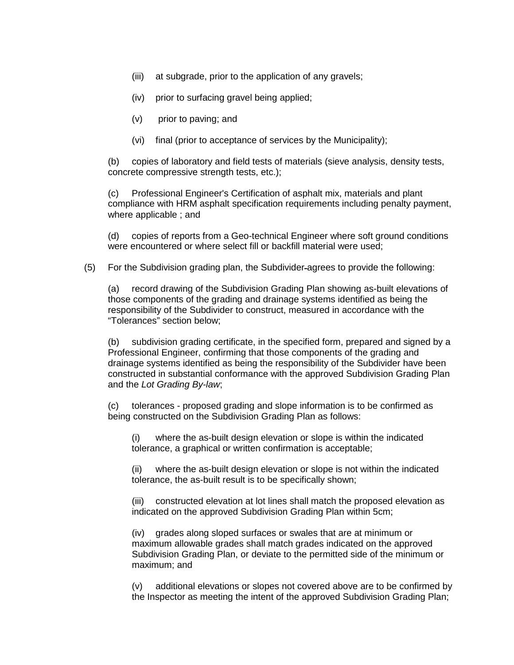- (iii) at subgrade, prior to the application of any gravels;
- (iv) prior to surfacing gravel being applied;
- (v) prior to paving; and
- (vi) final (prior to acceptance of services by the Municipality);

(b) copies of laboratory and field tests of materials (sieve analysis, density tests, concrete compressive strength tests, etc.);

(c) Professional Engineer's Certification of asphalt mix, materials and plant compliance with HRM asphalt specification requirements including penalty payment, where applicable ; and

(d) copies of reports from a Geo-technical Engineer where soft ground conditions were encountered or where select fill or backfill material were used;

(5) For the Subdivision grading plan, the Subdivider agrees to provide the following:

(a) record drawing of the Subdivision Grading Plan showing as-built elevations of those components of the grading and drainage systems identified as being the responsibility of the Subdivider to construct, measured in accordance with the "Tolerances" section below;

(b) subdivision grading certificate, in the specified form, prepared and signed by a Professional Engineer, confirming that those components of the grading and drainage systems identified as being the responsibility of the Subdivider have been constructed in substantial conformance with the approved Subdivision Grading Plan and the *Lot Grading By-law*;

(c) tolerances - proposed grading and slope information is to be confirmed as being constructed on the Subdivision Grading Plan as follows:

(i) where the as-built design elevation or slope is within the indicated tolerance, a graphical or written confirmation is acceptable;

(ii) where the as-built design elevation or slope is not within the indicated tolerance, the as-built result is to be specifically shown;

(iii) constructed elevation at lot lines shall match the proposed elevation as indicated on the approved Subdivision Grading Plan within 5cm;

(iv) grades along sloped surfaces or swales that are at minimum or maximum allowable grades shall match grades indicated on the approved Subdivision Grading Plan, or deviate to the permitted side of the minimum or maximum; and

(v) additional elevations or slopes not covered above are to be confirmed by the Inspector as meeting the intent of the approved Subdivision Grading Plan;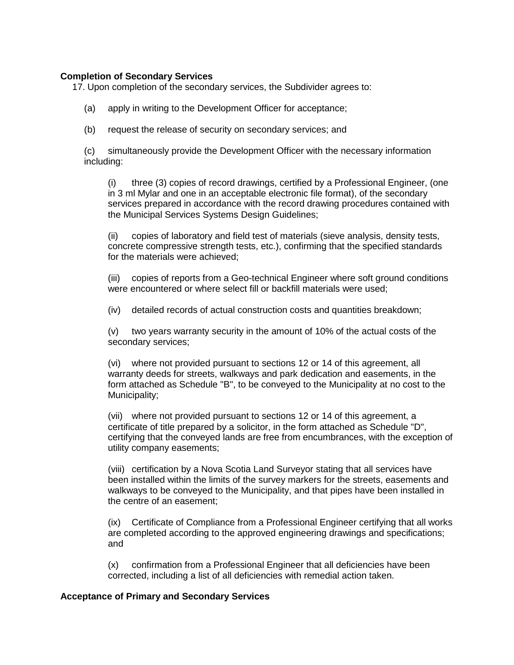# **Completion of Secondary Services**

17. Upon completion of the secondary services, the Subdivider agrees to:

- (a) apply in writing to the Development Officer for acceptance;
- (b) request the release of security on secondary services; and

(c) simultaneously provide the Development Officer with the necessary information including:

(i) three (3) copies of record drawings, certified by a Professional Engineer, (one in 3 ml Mylar and one in an acceptable electronic file format), of the secondary services prepared in accordance with the record drawing procedures contained with the Municipal Services Systems Design Guidelines;

(ii) copies of laboratory and field test of materials (sieve analysis, density tests, concrete compressive strength tests, etc.), confirming that the specified standards for the materials were achieved;

(iii) copies of reports from a Geo-technical Engineer where soft ground conditions were encountered or where select fill or backfill materials were used;

(iv) detailed records of actual construction costs and quantities breakdown;

(v) two years warranty security in the amount of 10% of the actual costs of the secondary services;

(vi) where not provided pursuant to sections 12 or 14 of this agreement, all warranty deeds for streets, walkways and park dedication and easements, in the form attached as Schedule "B", to be conveyed to the Municipality at no cost to the Municipality;

(vii) where not provided pursuant to sections 12 or 14 of this agreement, a certificate of title prepared by a solicitor, in the form attached as Schedule "D", certifying that the conveyed lands are free from encumbrances, with the exception of utility company easements;

(viii) certification by a Nova Scotia Land Surveyor stating that all services have been installed within the limits of the survey markers for the streets, easements and walkways to be conveyed to the Municipality, and that pipes have been installed in the centre of an easement;

(ix) Certificate of Compliance from a Professional Engineer certifying that all works are completed according to the approved engineering drawings and specifications; and

(x) confirmation from a Professional Engineer that all deficiencies have been corrected, including a list of all deficiencies with remedial action taken.

#### **Acceptance of Primary and Secondary Services**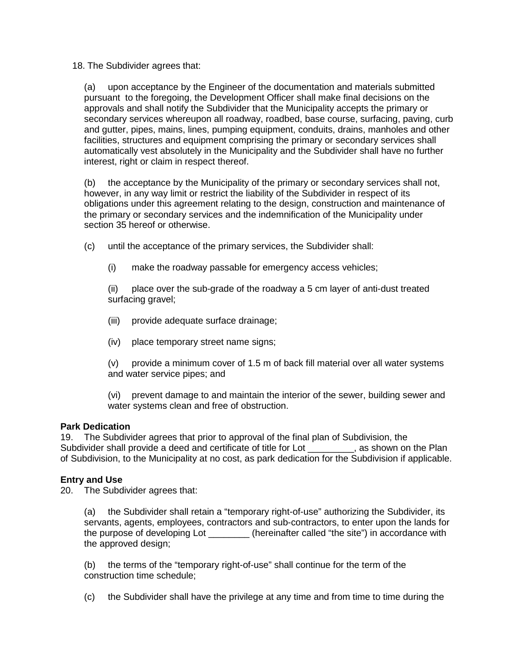18. The Subdivider agrees that:

(a) upon acceptance by the Engineer of the documentation and materials submitted pursuant to the foregoing, the Development Officer shall make final decisions on the approvals and shall notify the Subdivider that the Municipality accepts the primary or secondary services whereupon all roadway, roadbed, base course, surfacing, paving, curb and gutter, pipes, mains, lines, pumping equipment, conduits, drains, manholes and other facilities, structures and equipment comprising the primary or secondary services shall automatically vest absolutely in the Municipality and the Subdivider shall have no further interest, right or claim in respect thereof.

(b) the acceptance by the Municipality of the primary or secondary services shall not, however, in any way limit or restrict the liability of the Subdivider in respect of its obligations under this agreement relating to the design, construction and maintenance of the primary or secondary services and the indemnification of the Municipality under section 35 hereof or otherwise.

(c) until the acceptance of the primary services, the Subdivider shall:

(i) make the roadway passable for emergency access vehicles;

(ii) place over the sub-grade of the roadway a 5 cm layer of anti-dust treated surfacing gravel;

- (iii) provide adequate surface drainage;
- (iv) place temporary street name signs;

(v) provide a minimum cover of 1.5 m of back fill material over all water systems and water service pipes; and

(vi) prevent damage to and maintain the interior of the sewer, building sewer and water systems clean and free of obstruction.

# **Park Dedication**

19. The Subdivider agrees that prior to approval of the final plan of Subdivision, the Subdivider shall provide a deed and certificate of title for Lot \_\_\_\_\_\_\_\_, as shown on the Plan of Subdivision, to the Municipality at no cost, as park dedication for the Subdivision if applicable.

# **Entry and Use**

20. The Subdivider agrees that:

(a) the Subdivider shall retain a "temporary right-of-use" authorizing the Subdivider, its servants, agents, employees, contractors and sub-contractors, to enter upon the lands for the purpose of developing Lot \_\_\_\_\_\_\_\_ (hereinafter called "the site") in accordance with the approved design;

(b) the terms of the "temporary right-of-use" shall continue for the term of the construction time schedule;

(c) the Subdivider shall have the privilege at any time and from time to time during the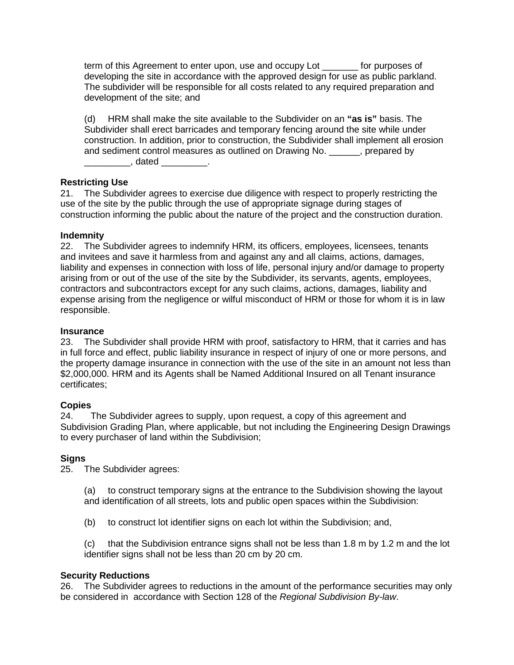term of this Agreement to enter upon, use and occupy Lot \_\_\_\_\_\_\_ for purposes of developing the site in accordance with the approved design for use as public parkland. The subdivider will be responsible for all costs related to any required preparation and development of the site; and

(d) HRM shall make the site available to the Subdivider on an **"as is"** basis. The Subdivider shall erect barricades and temporary fencing around the site while under construction. In addition, prior to construction, the Subdivider shall implement all erosion and sediment control measures as outlined on Drawing No. \_\_\_\_\_\_, prepared by  $\Box$  dated  $\Box$ 

# **Restricting Use**

21. The Subdivider agrees to exercise due diligence with respect to properly restricting the use of the site by the public through the use of appropriate signage during stages of construction informing the public about the nature of the project and the construction duration.

# **Indemnity**

22. The Subdivider agrees to indemnify HRM, its officers, employees, licensees, tenants and invitees and save it harmless from and against any and all claims, actions, damages, liability and expenses in connection with loss of life, personal injury and/or damage to property arising from or out of the use of the site by the Subdivider, its servants, agents, employees, contractors and subcontractors except for any such claims, actions, damages, liability and expense arising from the negligence or wilful misconduct of HRM or those for whom it is in law responsible.

## **Insurance**

23. The Subdivider shall provide HRM with proof, satisfactory to HRM, that it carries and has in full force and effect, public liability insurance in respect of injury of one or more persons, and the property damage insurance in connection with the use of the site in an amount not less than \$2,000,000. HRM and its Agents shall be Named Additional Insured on all Tenant insurance certificates;

# **Copies**

24. The Subdivider agrees to supply, upon request, a copy of this agreement and Subdivision Grading Plan, where applicable, but not including the Engineering Design Drawings to every purchaser of land within the Subdivision;

# **Signs**<br>25.

The Subdivider agrees:

(a) to construct temporary signs at the entrance to the Subdivision showing the layout and identification of all streets, lots and public open spaces within the Subdivision:

(b) to construct lot identifier signs on each lot within the Subdivision; and,

(c) that the Subdivision entrance signs shall not be less than 1.8 m by 1.2 m and the lot identifier signs shall not be less than 20 cm by 20 cm.

# **Security Reductions**

26. The Subdivider agrees to reductions in the amount of the performance securities may only be considered in accordance with Section 128 of the *Regional Subdivision By-law*.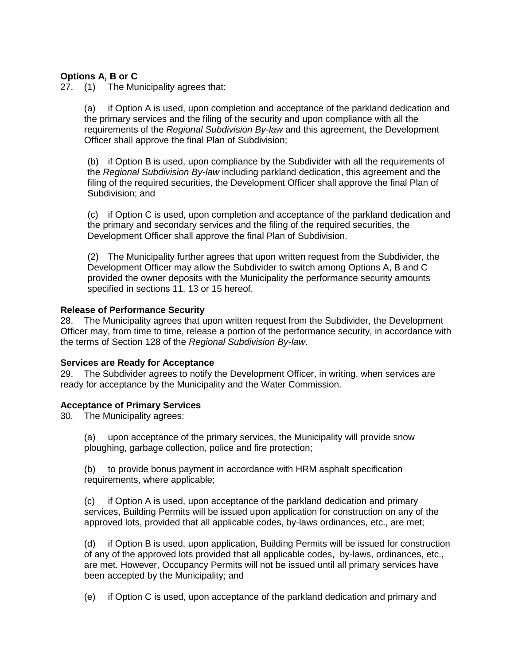# **Options A, B or C**

27. (1) The Municipality agrees that:

(a) if Option A is used, upon completion and acceptance of the parkland dedication and the primary services and the filing of the security and upon compliance with all the requirements of the *Regional Subdivision By-law* and this agreement, the Development Officer shall approve the final Plan of Subdivision;

(b) if Option B is used, upon compliance by the Subdivider with all the requirements of the *Regional Subdivision By-law* including parkland dedication, this agreement and the filing of the required securities, the Development Officer shall approve the final Plan of Subdivision; and

(c) if Option C is used, upon completion and acceptance of the parkland dedication and the primary and secondary services and the filing of the required securities, the Development Officer shall approve the final Plan of Subdivision.

(2) The Municipality further agrees that upon written request from the Subdivider, the Development Officer may allow the Subdivider to switch among Options A, B and C provided the owner deposits with the Municipality the performance security amounts specified in sections 11, 13 or 15 hereof.

# **Release of Performance Security**

28. The Municipality agrees that upon written request from the Subdivider, the Development Officer may, from time to time, release a portion of the performance security, in accordance with the terms of Section 128 of the *Regional Subdivision By-law*.

#### **Services are Ready for Acceptance**

29. The Subdivider agrees to notify the Development Officer, in writing, when services are ready for acceptance by the Municipality and the Water Commission.

#### **Acceptance of Primary Services**

30. The Municipality agrees:

(a) upon acceptance of the primary services, the Municipality will provide snow ploughing, garbage collection, police and fire protection;

(b) to provide bonus payment in accordance with HRM asphalt specification requirements, where applicable;

(c) if Option A is used, upon acceptance of the parkland dedication and primary services, Building Permits will be issued upon application for construction on any of the approved lots, provided that all applicable codes, by-laws ordinances, etc., are met;

(d) if Option B is used, upon application, Building Permits will be issued for construction of any of the approved lots provided that all applicable codes, by-laws, ordinances, etc., are met. However, Occupancy Permits will not be issued until all primary services have been accepted by the Municipality; and

(e) if Option C is used, upon acceptance of the parkland dedication and primary and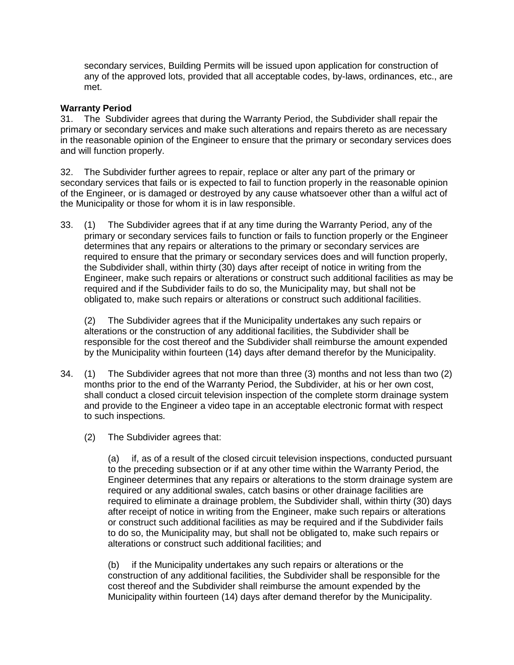secondary services, Building Permits will be issued upon application for construction of any of the approved lots, provided that all acceptable codes, by-laws, ordinances, etc., are met.

# **Warranty Period**

31. The Subdivider agrees that during the Warranty Period, the Subdivider shall repair the primary or secondary services and make such alterations and repairs thereto as are necessary in the reasonable opinion of the Engineer to ensure that the primary or secondary services does and will function properly.

32. The Subdivider further agrees to repair, replace or alter any part of the primary or secondary services that fails or is expected to fail to function properly in the reasonable opinion of the Engineer, or is damaged or destroyed by any cause whatsoever other than a wilful act of the Municipality or those for whom it is in law responsible.

33. (1) The Subdivider agrees that if at any time during the Warranty Period, any of the primary or secondary services fails to function or fails to function properly or the Engineer determines that any repairs or alterations to the primary or secondary services are required to ensure that the primary or secondary services does and will function properly, the Subdivider shall, within thirty (30) days after receipt of notice in writing from the Engineer, make such repairs or alterations or construct such additional facilities as may be required and if the Subdivider fails to do so, the Municipality may, but shall not be obligated to, make such repairs or alterations or construct such additional facilities.

(2) The Subdivider agrees that if the Municipality undertakes any such repairs or alterations or the construction of any additional facilities, the Subdivider shall be responsible for the cost thereof and the Subdivider shall reimburse the amount expended by the Municipality within fourteen (14) days after demand therefor by the Municipality.

- 34. (1) The Subdivider agrees that not more than three (3) months and not less than two (2) months prior to the end of the Warranty Period, the Subdivider, at his or her own cost, shall conduct a closed circuit television inspection of the complete storm drainage system and provide to the Engineer a video tape in an acceptable electronic format with respect to such inspections.
	- (2) The Subdivider agrees that:

(a) if, as of a result of the closed circuit television inspections, conducted pursuant to the preceding subsection or if at any other time within the Warranty Period, the Engineer determines that any repairs or alterations to the storm drainage system are required or any additional swales, catch basins or other drainage facilities are required to eliminate a drainage problem, the Subdivider shall, within thirty (30) days after receipt of notice in writing from the Engineer, make such repairs or alterations or construct such additional facilities as may be required and if the Subdivider fails to do so, the Municipality may, but shall not be obligated to, make such repairs or alterations or construct such additional facilities; and

(b) if the Municipality undertakes any such repairs or alterations or the construction of any additional facilities, the Subdivider shall be responsible for the cost thereof and the Subdivider shall reimburse the amount expended by the Municipality within fourteen (14) days after demand therefor by the Municipality.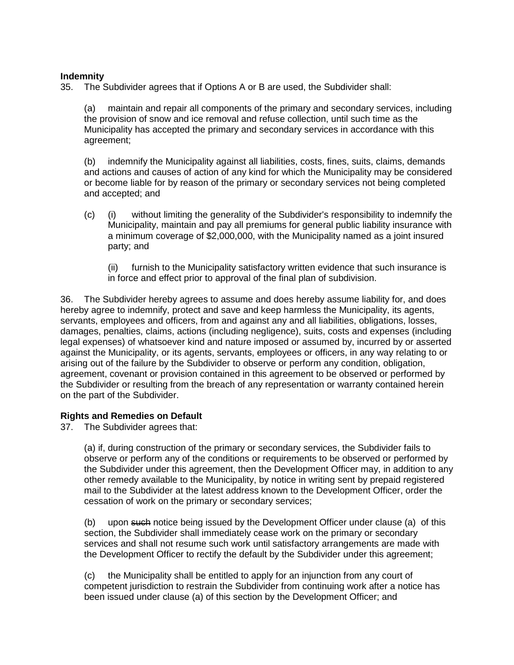# **Indemnity**

35. The Subdivider agrees that if Options A or B are used, the Subdivider shall:

(a) maintain and repair all components of the primary and secondary services, including the provision of snow and ice removal and refuse collection, until such time as the Municipality has accepted the primary and secondary services in accordance with this agreement;

(b) indemnify the Municipality against all liabilities, costs, fines, suits, claims, demands and actions and causes of action of any kind for which the Municipality may be considered or become liable for by reason of the primary or secondary services not being completed and accepted; and

- (c) (i) without limiting the generality of the Subdivider's responsibility to indemnify the Municipality, maintain and pay all premiums for general public liability insurance with a minimum coverage of \$2,000,000, with the Municipality named as a joint insured party; and
	- (ii) furnish to the Municipality satisfactory written evidence that such insurance is in force and effect prior to approval of the final plan of subdivision.

36. The Subdivider hereby agrees to assume and does hereby assume liability for, and does hereby agree to indemnify, protect and save and keep harmless the Municipality, its agents, servants, employees and officers, from and against any and all liabilities, obligations, losses, damages, penalties, claims, actions (including negligence), suits, costs and expenses (including legal expenses) of whatsoever kind and nature imposed or assumed by, incurred by or asserted against the Municipality, or its agents, servants, employees or officers, in any way relating to or arising out of the failure by the Subdivider to observe or perform any condition, obligation, agreement, covenant or provision contained in this agreement to be observed or performed by the Subdivider or resulting from the breach of any representation or warranty contained herein on the part of the Subdivider.

#### **Rights and Remedies on Default**

37. The Subdivider agrees that:

(a) if, during construction of the primary or secondary services, the Subdivider fails to observe or perform any of the conditions or requirements to be observed or performed by the Subdivider under this agreement, then the Development Officer may, in addition to any other remedy available to the Municipality, by notice in writing sent by prepaid registered mail to the Subdivider at the latest address known to the Development Officer, order the cessation of work on the primary or secondary services;

(b) upon such notice being issued by the Development Officer under clause (a) of this section, the Subdivider shall immediately cease work on the primary or secondary services and shall not resume such work until satisfactory arrangements are made with the Development Officer to rectify the default by the Subdivider under this agreement;

(c) the Municipality shall be entitled to apply for an injunction from any court of competent jurisdiction to restrain the Subdivider from continuing work after a notice has been issued under clause (a) of this section by the Development Officer; and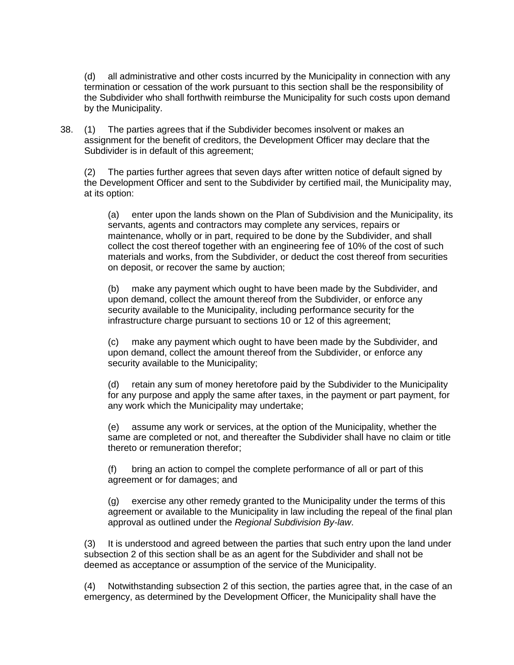(d) all administrative and other costs incurred by the Municipality in connection with any termination or cessation of the work pursuant to this section shall be the responsibility of the Subdivider who shall forthwith reimburse the Municipality for such costs upon demand by the Municipality.

38. (1) The parties agrees that if the Subdivider becomes insolvent or makes an assignment for the benefit of creditors, the Development Officer may declare that the Subdivider is in default of this agreement;

(2) The parties further agrees that seven days after written notice of default signed by the Development Officer and sent to the Subdivider by certified mail, the Municipality may, at its option:

(a) enter upon the lands shown on the Plan of Subdivision and the Municipality, its servants, agents and contractors may complete any services, repairs or maintenance, wholly or in part, required to be done by the Subdivider, and shall collect the cost thereof together with an engineering fee of 10% of the cost of such materials and works, from the Subdivider, or deduct the cost thereof from securities on deposit, or recover the same by auction;

(b) make any payment which ought to have been made by the Subdivider, and upon demand, collect the amount thereof from the Subdivider, or enforce any security available to the Municipality, including performance security for the infrastructure charge pursuant to sections 10 or 12 of this agreement;

(c) make any payment which ought to have been made by the Subdivider, and upon demand, collect the amount thereof from the Subdivider, or enforce any security available to the Municipality;

(d) retain any sum of money heretofore paid by the Subdivider to the Municipality for any purpose and apply the same after taxes, in the payment or part payment, for any work which the Municipality may undertake;

(e) assume any work or services, at the option of the Municipality, whether the same are completed or not, and thereafter the Subdivider shall have no claim or title thereto or remuneration therefor;

(f) bring an action to compel the complete performance of all or part of this agreement or for damages; and

(g) exercise any other remedy granted to the Municipality under the terms of this agreement or available to the Municipality in law including the repeal of the final plan approval as outlined under the *Regional Subdivision By-law*.

(3) It is understood and agreed between the parties that such entry upon the land under subsection 2 of this section shall be as an agent for the Subdivider and shall not be deemed as acceptance or assumption of the service of the Municipality.

(4) Notwithstanding subsection 2 of this section, the parties agree that, in the case of an emergency, as determined by the Development Officer, the Municipality shall have the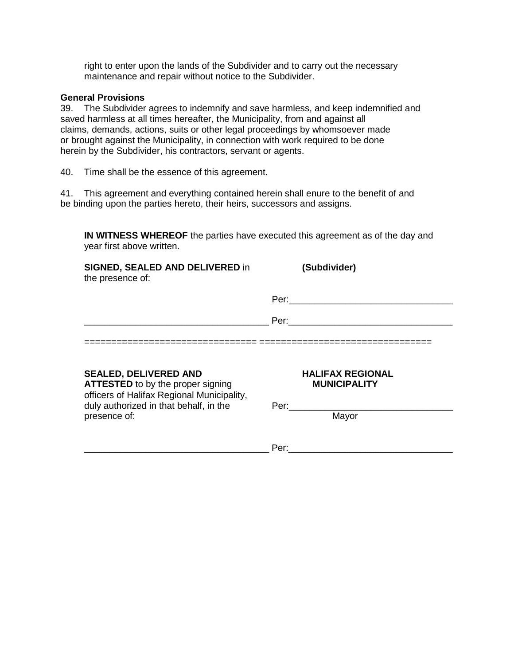right to enter upon the lands of the Subdivider and to carry out the necessary maintenance and repair without notice to the Subdivider.

# **General Provisions**

39. The Subdivider agrees to indemnify and save harmless, and keep indemnified and saved harmless at all times hereafter, the Municipality, from and against all claims, demands, actions, suits or other legal proceedings by whomsoever made or brought against the Municipality, in connection with work required to be done herein by the Subdivider, his contractors, servant or agents.

40. Time shall be the essence of this agreement.

41. This agreement and everything contained herein shall enure to the benefit of and be binding upon the parties hereto, their heirs, successors and assigns.

**IN WITNESS WHEREOF** the parties have executed this agreement as of the day and year first above written.

| <b>SIGNED, SEALED AND DELIVERED in</b><br>the presence of:                                                             | (Subdivider)                                                                                                                                                                                                                   |
|------------------------------------------------------------------------------------------------------------------------|--------------------------------------------------------------------------------------------------------------------------------------------------------------------------------------------------------------------------------|
|                                                                                                                        |                                                                                                                                                                                                                                |
|                                                                                                                        | Per: the contract of the contract of the contract of the contract of the contract of the contract of the contract of the contract of the contract of the contract of the contract of the contract of the contract of the contr |
|                                                                                                                        |                                                                                                                                                                                                                                |
| <b>SEALED, DELIVERED AND</b><br><b>ATTESTED</b> to by the proper signing<br>officers of Halifax Regional Municipality, | <b>HALIFAX REGIONAL</b><br><b>MUNICIPALITY</b>                                                                                                                                                                                 |
| duly authorized in that behalf, in the<br>presence of:                                                                 | Per:<br>Mayor                                                                                                                                                                                                                  |
|                                                                                                                        | Per:                                                                                                                                                                                                                           |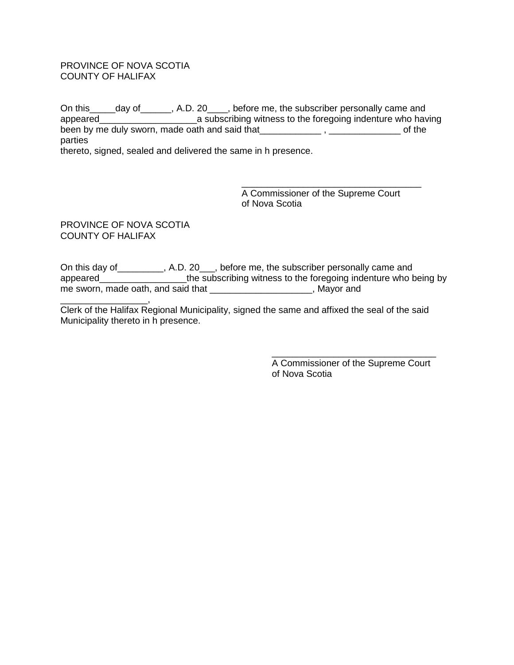#### PROVINCE OF NOVA SCOTIA COUNTY OF HALIFAX

On this\_\_\_\_\_day of\_\_\_\_\_\_, A.D. 20\_\_\_\_, before me, the subscriber personally came and appeared\_\_\_\_\_\_\_\_\_\_\_\_\_\_\_\_\_\_\_a subscribing witness to the foregoing indenture who having been by me duly sworn, made oath and said that\_\_\_\_\_\_\_\_\_\_\_\_\_\_, \_\_\_\_\_\_\_\_\_\_\_\_\_\_\_\_\_\_\_ of the parties thereto, signed, sealed and delivered the same in h presence.

> \_\_\_\_\_\_\_\_\_\_\_\_\_\_\_\_\_\_\_\_\_\_\_\_\_\_\_\_\_\_\_\_\_\_\_ A Commissioner of the Supreme Court of Nova Scotia

PROVINCE OF NOVA SCOTIA COUNTY OF HALIFAX

On this day of\_\_\_\_\_\_\_\_\_, A.D. 20\_\_\_, before me, the subscriber personally came and appeared appeared the subscribing witness to the foregoing indenture who being by me sworn, made oath, and said that \_\_\_\_\_\_\_\_\_\_\_\_\_\_\_\_\_\_\_\_\_, Mayor and

\_\_\_\_\_\_\_\_\_\_\_\_\_\_\_\_\_, Clerk of the Halifax Regional Municipality, signed the same and affixed the seal of the said Municipality thereto in h presence.

> \_\_\_\_\_\_\_\_\_\_\_\_\_\_\_\_\_\_\_\_\_\_\_\_\_\_\_\_\_\_\_\_ A Commissioner of the Supreme Court of Nova Scotia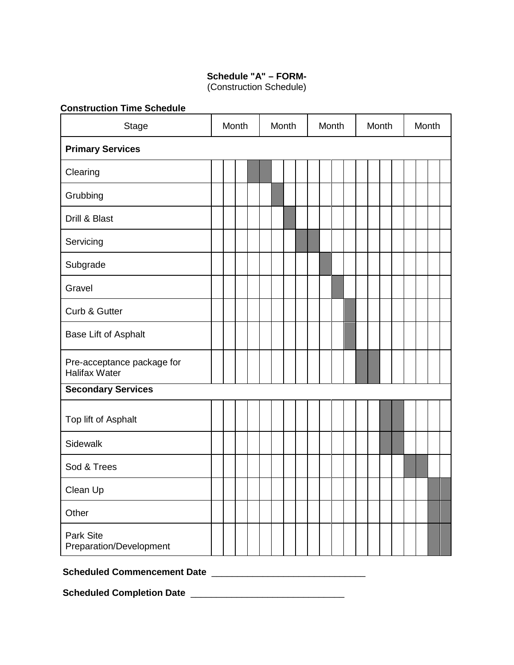# **Schedule "A" – FORM-**

(Construction Schedule)

| <b>Stage</b>                                       |  | Month |  | Month |  | Month |  | Month |  | Month |  |
|----------------------------------------------------|--|-------|--|-------|--|-------|--|-------|--|-------|--|
| <b>Primary Services</b>                            |  |       |  |       |  |       |  |       |  |       |  |
| Clearing                                           |  |       |  |       |  |       |  |       |  |       |  |
| Grubbing                                           |  |       |  |       |  |       |  |       |  |       |  |
| Drill & Blast                                      |  |       |  |       |  |       |  |       |  |       |  |
| Servicing                                          |  |       |  |       |  |       |  |       |  |       |  |
| Subgrade                                           |  |       |  |       |  |       |  |       |  |       |  |
| Gravel                                             |  |       |  |       |  |       |  |       |  |       |  |
| Curb & Gutter                                      |  |       |  |       |  |       |  |       |  |       |  |
| Base Lift of Asphalt                               |  |       |  |       |  |       |  |       |  |       |  |
| Pre-acceptance package for<br><b>Halifax Water</b> |  |       |  |       |  |       |  |       |  |       |  |
| <b>Secondary Services</b>                          |  |       |  |       |  |       |  |       |  |       |  |
| Top lift of Asphalt                                |  |       |  |       |  |       |  |       |  |       |  |
| Sidewalk                                           |  |       |  |       |  |       |  |       |  |       |  |
| Sod & Trees                                        |  |       |  |       |  |       |  |       |  |       |  |
| Clean Up                                           |  |       |  |       |  |       |  |       |  |       |  |
| Other                                              |  |       |  |       |  |       |  |       |  |       |  |
| Park Site<br>Preparation/Development               |  |       |  |       |  |       |  |       |  |       |  |

# **Scheduled Commencement Date** \_\_\_\_\_\_\_\_\_\_\_\_\_\_\_\_\_\_\_\_\_\_\_\_\_\_\_\_\_\_

**Scheduled Completion Date** \_\_\_\_\_\_\_\_\_\_\_\_\_\_\_\_\_\_\_\_\_\_\_\_\_\_\_\_\_\_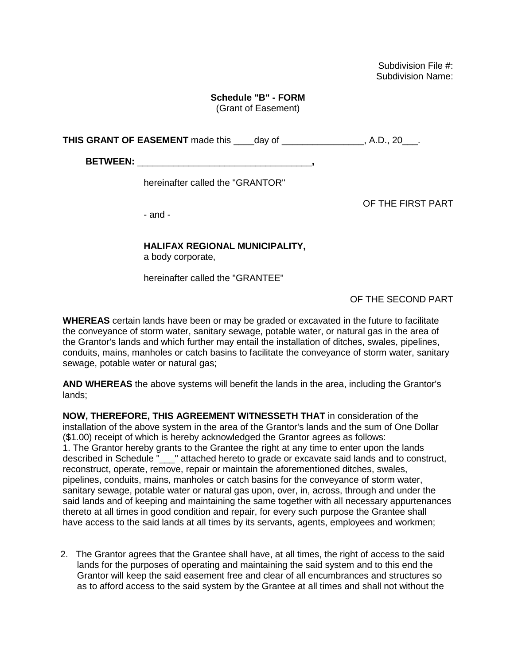Subdivision File #: Subdivision Name:

# **Schedule "B" - FORM**

(Grant of Easement)

**THIS GRANT OF EASEMENT** made this day of the state of the state of the state of the state of the state of the state of the state of the state of the state of the state of the state of the state of the state of the state o

**BETWEEN:** \_\_\_\_\_\_\_\_\_\_\_\_\_\_\_\_\_\_\_\_\_\_\_\_\_\_\_\_\_\_\_\_\_\_**,** 

hereinafter called the "GRANTOR"

OF THE FIRST PART

- and -

# **HALIFAX REGIONAL MUNICIPALITY,**

a body corporate,

hereinafter called the "GRANTEE"

OF THE SECOND PART

**WHEREAS** certain lands have been or may be graded or excavated in the future to facilitate the conveyance of storm water, sanitary sewage, potable water, or natural gas in the area of the Grantor's lands and which further may entail the installation of ditches, swales, pipelines, conduits, mains, manholes or catch basins to facilitate the conveyance of storm water, sanitary sewage, potable water or natural gas;

**AND WHEREAS** the above systems will benefit the lands in the area, including the Grantor's lands;

**NOW, THEREFORE, THIS AGREEMENT WITNESSETH THAT** in consideration of the installation of the above system in the area of the Grantor's lands and the sum of One Dollar (\$1.00) receipt of which is hereby acknowledged the Grantor agrees as follows: 1. The Grantor hereby grants to the Grantee the right at any time to enter upon the lands described in Schedule " \_\_ " attached hereto to grade or excavate said lands and to construct, reconstruct, operate, remove, repair or maintain the aforementioned ditches, swales, pipelines, conduits, mains, manholes or catch basins for the conveyance of storm water, sanitary sewage, potable water or natural gas upon, over, in, across, through and under the said lands and of keeping and maintaining the same together with all necessary appurtenances thereto at all times in good condition and repair, for every such purpose the Grantee shall have access to the said lands at all times by its servants, agents, employees and workmen;

2. The Grantor agrees that the Grantee shall have, at all times, the right of access to the said lands for the purposes of operating and maintaining the said system and to this end the Grantor will keep the said easement free and clear of all encumbrances and structures so as to afford access to the said system by the Grantee at all times and shall not without the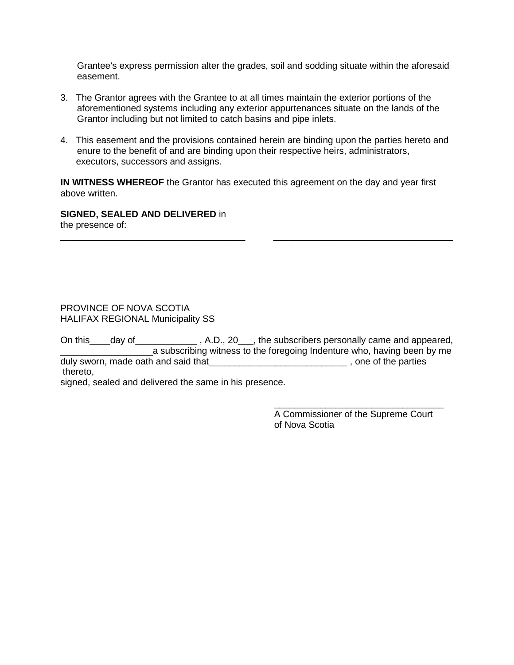Grantee's express permission alter the grades, soil and sodding situate within the aforesaid easement.

- 3. The Grantor agrees with the Grantee to at all times maintain the exterior portions of the aforementioned systems including any exterior appurtenances situate on the lands of the Grantor including but not limited to catch basins and pipe inlets.
- 4. This easement and the provisions contained herein are binding upon the parties hereto and enure to the benefit of and are binding upon their respective heirs, administrators, executors, successors and assigns.

**IN WITNESS WHEREOF** the Grantor has executed this agreement on the day and year first above written.

\_\_\_\_\_\_\_\_\_\_\_\_\_\_\_\_\_\_\_\_\_\_\_\_\_\_\_\_\_\_\_\_\_\_\_\_ \_\_\_\_\_\_\_\_\_\_\_\_\_\_\_\_\_\_\_\_\_\_\_\_\_\_\_\_\_\_\_\_\_\_\_

**SIGNED, SEALED AND DELIVERED** in the presence of:

#### PROVINCE OF NOVA SCOTIA HALIFAX REGIONAL Municipality SS

On this \_\_\_\_day of \_\_\_\_\_\_\_\_\_\_\_\_\_\_\_, A.D., 20\_\_\_, the subscribers personally came and appeared, a subscribing witness to the foregoing Indenture who, having been by me duly sworn, made oath and said that the state of the parties of the parties thereto,

signed, sealed and delivered the same in his presence.

A Commissioner of the Supreme Court of Nova Scotia

\_\_\_\_\_\_\_\_\_\_\_\_\_\_\_\_\_\_\_\_\_\_\_\_\_\_\_\_\_\_\_\_\_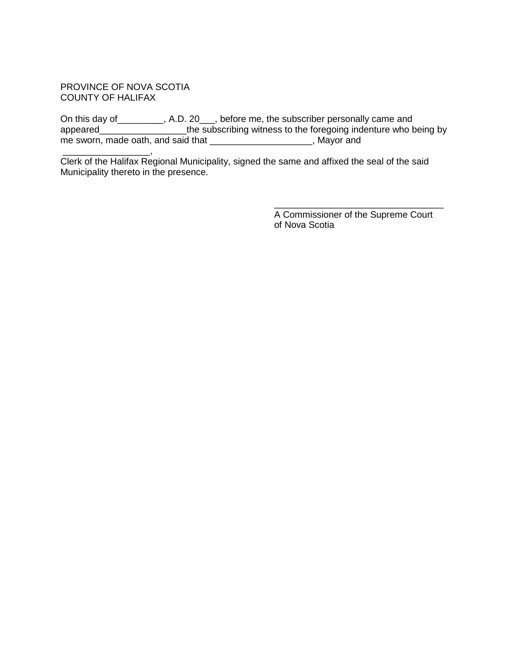### PROVINCE OF NOVA SCOTIA COUNTY OF HALIFAX

On this day of \_\_\_\_\_\_\_\_\_, A.D. 20\_\_\_, before me, the subscriber personally came and appeared\_\_\_\_\_\_\_\_\_\_\_\_\_\_\_\_\_\_\_the subscribing witness to the foregoing indenture who being by me sworn, made oath, and said that \_\_\_\_\_\_\_\_\_\_\_\_\_\_\_\_\_\_\_\_\_\_\_, Mayor and

\_\_\_\_\_\_\_\_\_\_\_\_\_\_\_\_\_, Clerk of the Halifax Regional Municipality, signed the same and affixed the seal of the said Municipality thereto in the presence.

> A Commissioner of the Supreme Court of Nova Scotia

\_\_\_\_\_\_\_\_\_\_\_\_\_\_\_\_\_\_\_\_\_\_\_\_\_\_\_\_\_\_\_\_\_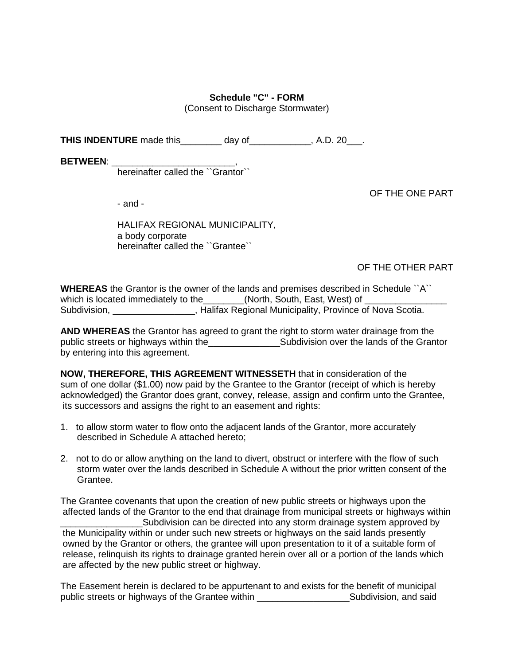# **Schedule "C" - FORM**

(Consent to Discharge Stormwater)

**THIS INDENTURE** made this day of the state of the state of the state of the state of the state of the state of the state of the state of the state of the state of the state of the state of the state of the state of the st

**BETWEEN**: \_\_\_\_\_\_\_\_\_\_\_\_\_\_\_\_\_\_\_\_\_\_\_\_,

hereinafter called the ``Grantor``

OF THE ONE PART

- and -

HALIFAX REGIONAL MUNICIPALITY, a body corporate hereinafter called the ``Grantee``

OF THE OTHER PART

**WHEREAS** the Grantor is the owner of the lands and premises described in Schedule ``A`` which is located immediately to the\_\_\_\_\_\_\_\_(North, South, East, West) of \_ Subdivision, **Exercice 2.1 Contracts** Halifax Regional Municipality, Province of Nova Scotia.

**AND WHEREAS** the Grantor has agreed to grant the right to storm water drainage from the public streets or highways within the\_\_\_\_\_\_\_\_\_\_\_\_\_\_\_\_\_\_\_\_\_\_\_\_Subdivision over the lands of the Grantor by entering into this agreement.

**NOW, THEREFORE, THIS AGREEMENT WITNESSETH** that in consideration of the sum of one dollar (\$1.00) now paid by the Grantee to the Grantor (receipt of which is hereby acknowledged) the Grantor does grant, convey, release, assign and confirm unto the Grantee, its successors and assigns the right to an easement and rights:

- 1. to allow storm water to flow onto the adjacent lands of the Grantor, more accurately described in Schedule A attached hereto;
- 2. not to do or allow anything on the land to divert, obstruct or interfere with the flow of such storm water over the lands described in Schedule A without the prior written consent of the Grantee.

The Grantee covenants that upon the creation of new public streets or highways upon the affected lands of the Grantor to the end that drainage from municipal streets or highways within \_\_\_\_\_\_\_\_\_\_\_\_\_\_\_\_Subdivision can be directed into any storm drainage system approved by the Municipality within or under such new streets or highways on the said lands presently owned by the Grantor or others, the grantee will upon presentation to it of a suitable form of release, relinquish its rights to drainage granted herein over all or a portion of the lands which are affected by the new public street or highway.

The Easement herein is declared to be appurtenant to and exists for the benefit of municipal public streets or highways of the Grantee within \_\_\_\_\_\_\_\_\_\_\_\_\_\_\_\_\_\_Subdivision, and said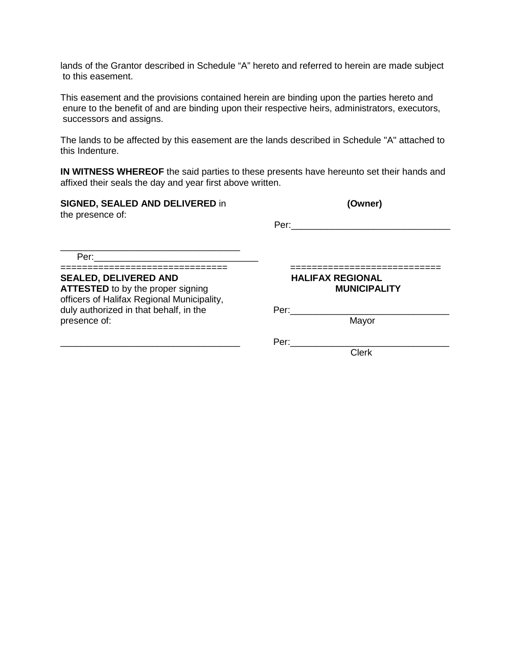lands of the Grantor described in Schedule "A" hereto and referred to herein are made subject to this easement.

This easement and the provisions contained herein are binding upon the parties hereto and enure to the benefit of and are binding upon their respective heirs, administrators, executors, successors and assigns.

The lands to be affected by this easement are the lands described in Schedule "A" attached to this Indenture.

**IN WITNESS WHEREOF** the said parties to these presents have hereunto set their hands and affixed their seals the day and year first above written.

| <b>SIGNED, SEALED AND DELIVERED in</b><br>the presence of:                                                             | (Owner)                                                                                                                                                                                                                        |  |  |  |  |
|------------------------------------------------------------------------------------------------------------------------|--------------------------------------------------------------------------------------------------------------------------------------------------------------------------------------------------------------------------------|--|--|--|--|
|                                                                                                                        | Per: the contract of the contract of the contract of the contract of the contract of the contract of the contract of the contract of the contract of the contract of the contract of the contract of the contract of the contr |  |  |  |  |
| Per: _________________________                                                                                         |                                                                                                                                                                                                                                |  |  |  |  |
| <b>SEALED, DELIVERED AND</b><br><b>ATTESTED</b> to by the proper signing<br>officers of Halifax Regional Municipality, | <b>HALIFAX REGIONAL</b><br><b>MUNICIPALITY</b>                                                                                                                                                                                 |  |  |  |  |
| duly authorized in that behalf, in the<br>presence of:                                                                 | Per:<br>Mayor                                                                                                                                                                                                                  |  |  |  |  |
|                                                                                                                        | Per:<br><b>Clerk</b>                                                                                                                                                                                                           |  |  |  |  |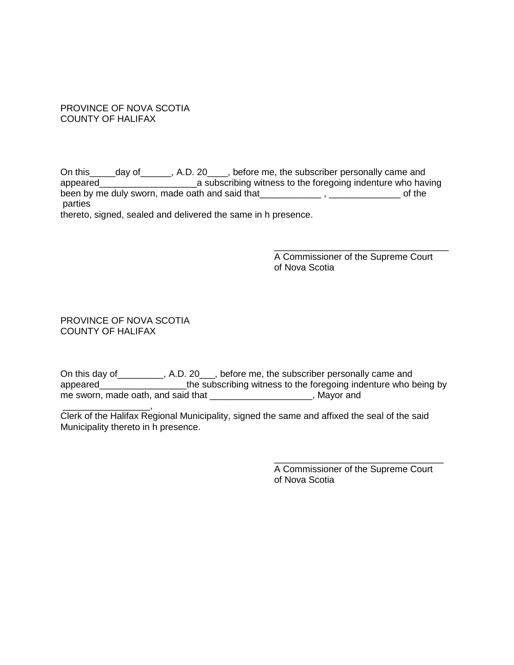# PROVINCE OF NOVA SCOTIA COUNTY OF HALIFAX

On this\_\_\_\_\_day of\_\_\_\_\_\_, A.D. 20\_\_\_\_, before me, the subscriber personally came and appeared\_\_\_\_\_\_\_\_\_\_\_\_\_\_\_\_\_\_\_a subscribing witness to the foregoing indenture who having been by me duly sworn, made oath and said that\_\_\_\_\_\_\_\_\_\_\_\_\_\_\_, \_\_\_\_\_\_\_\_\_\_\_\_\_\_\_\_\_\_ of the parties

thereto, signed, sealed and delivered the same in h presence.

A Commissioner of the Supreme Court of Nova Scotia

\_\_\_\_\_\_\_\_\_\_\_\_\_\_\_\_\_\_\_\_\_\_\_\_\_\_\_\_\_\_\_\_\_\_

PROVINCE OF NOVA SCOTIA COUNTY OF HALIFAX

On this day of \_\_\_\_\_\_\_\_\_, A.D. 20\_\_\_, before me, the subscriber personally came and appeared\_\_\_\_\_\_\_\_\_\_\_\_\_\_\_\_\_\_\_\_the subscribing witness to the foregoing indenture who being by me sworn, made oath, and said that \_\_\_\_\_\_\_\_\_\_\_\_\_\_\_\_\_\_\_\_\_, Mayor and

\_\_\_\_\_\_\_\_\_\_\_\_\_\_\_\_\_, Clerk of the Halifax Regional Municipality, signed the same and affixed the seal of the said Municipality thereto in h presence.

> A Commissioner of the Supreme Court of Nova Scotia

\_\_\_\_\_\_\_\_\_\_\_\_\_\_\_\_\_\_\_\_\_\_\_\_\_\_\_\_\_\_\_\_\_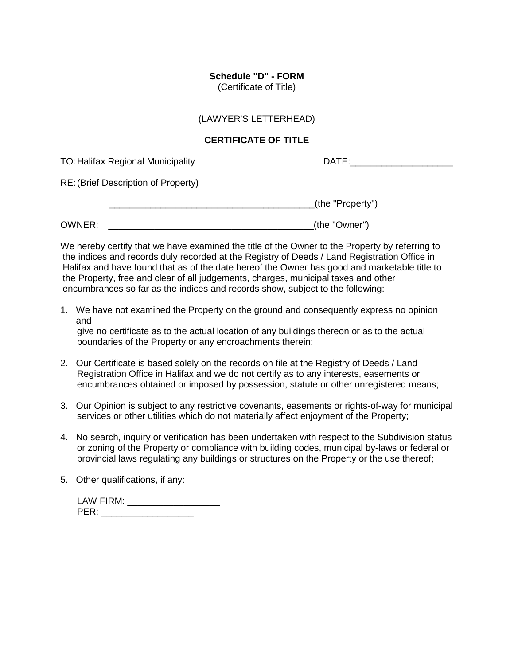# **Schedule "D" - FORM**

(Certificate of Title)

#### (LAWYER'S LETTERHEAD)

## **CERTIFICATE OF TITLE**

TO: Halifax Regional Municipality DATE: DATE:

RE:(Brief Description of Property)

| ے کا ک | $\cdots$<br>- 11 -<br>M |
|--------|-------------------------|
|--------|-------------------------|

OWNER: \_\_\_\_\_\_\_\_\_\_\_\_\_\_\_\_\_\_\_\_\_\_\_\_\_\_\_\_\_\_\_\_\_\_\_\_\_\_\_\_(the "Owner")

We hereby certify that we have examined the title of the Owner to the Property by referring to the indices and records duly recorded at the Registry of Deeds / Land Registration Office in Halifax and have found that as of the date hereof the Owner has good and marketable title to the Property, free and clear of all judgements, charges, municipal taxes and other encumbrances so far as the indices and records show, subject to the following:

- 1. We have not examined the Property on the ground and consequently express no opinion and give no certificate as to the actual location of any buildings thereon or as to the actual boundaries of the Property or any encroachments therein;
- 2. Our Certificate is based solely on the records on file at the Registry of Deeds / Land Registration Office in Halifax and we do not certify as to any interests, easements or encumbrances obtained or imposed by possession, statute or other unregistered means;
- 3. Our Opinion is subject to any restrictive covenants, easements or rights-of-way for municipal services or other utilities which do not materially affect enjoyment of the Property;
- 4. No search, inquiry or verification has been undertaken with respect to the Subdivision status or zoning of the Property or compliance with building codes, municipal by-laws or federal or provincial laws regulating any buildings or structures on the Property or the use thereof;
- 5. Other qualifications, if any:

| LAW FIRM: |  |
|-----------|--|
| PER:      |  |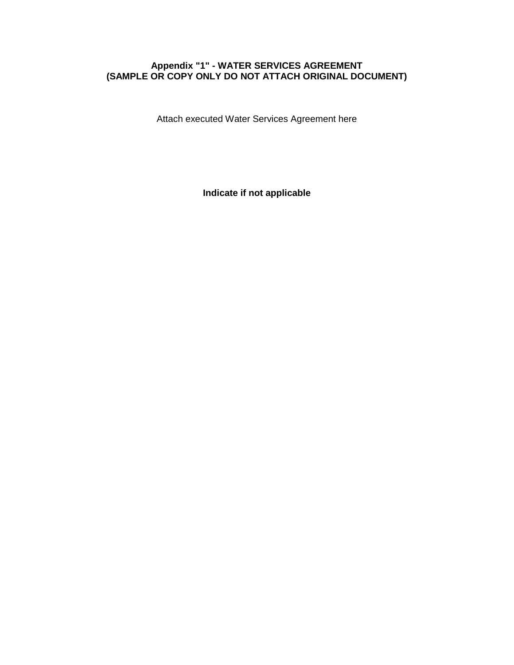# **Appendix "1" - WATER SERVICES AGREEMENT (SAMPLE OR COPY ONLY DO NOT ATTACH ORIGINAL DOCUMENT)**

Attach executed Water Services Agreement here

**Indicate if not applicable**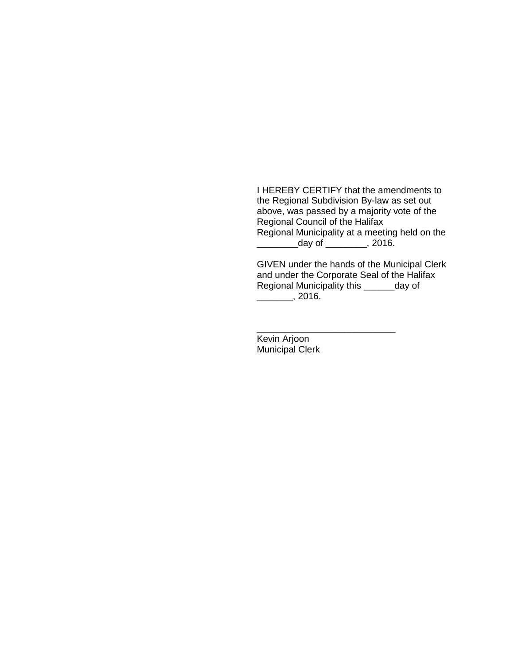I HEREBY CERTIFY that the amendments to the Regional Subdivision By-law as set out above, was passed by a majority vote of the Regional Council of the Halifax Regional Municipality at a meeting held on the  $\frac{1}{\sqrt{2}}$  day of  $\frac{1}{\sqrt{2}}$ , 2016.

GIVEN under the hands of the Municipal Clerk and under the Corporate Seal of the Halifax Regional Municipality this \_\_\_\_\_\_day of  $\frac{2016.}{\frac{1}{2016}}$ 

Kevin Arjoon Municipal Clerk

\_\_\_\_\_\_\_\_\_\_\_\_\_\_\_\_\_\_\_\_\_\_\_\_\_\_\_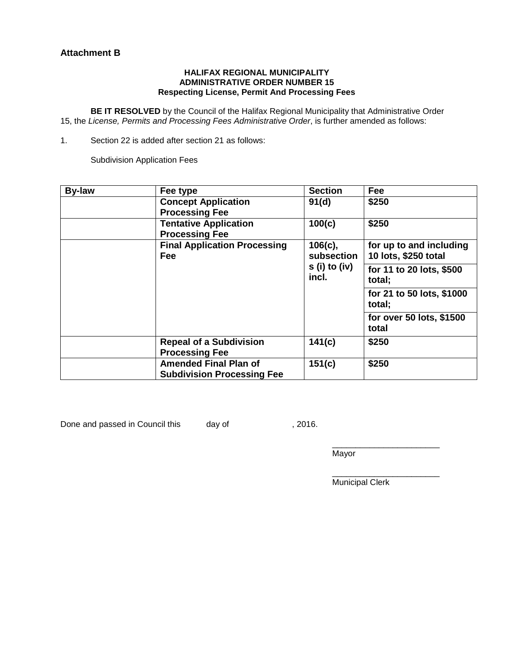## **Attachment B**

#### **HALIFAX REGIONAL MUNICIPALITY ADMINISTRATIVE ORDER NUMBER 15 Respecting License, Permit And Processing Fees**

**BE IT RESOLVED** by the Council of the Halifax Regional Municipality that Administrative Order 15, the *License, Permits and Processing Fees Administrative Order*, is further amended as follows:

1. Section 22 is added after section 21 as follows:

Subdivision Application Fees

| <b>By-law</b> | Fee type                                          | <b>Section</b>          | Fee                                 |  |  |
|---------------|---------------------------------------------------|-------------------------|-------------------------------------|--|--|
|               | <b>Concept Application</b>                        | 91(d)                   | \$250                               |  |  |
|               | <b>Processing Fee</b>                             |                         |                                     |  |  |
|               | <b>Tentative Application</b>                      | 100(c)                  | \$250                               |  |  |
|               | <b>Processing Fee</b>                             |                         |                                     |  |  |
|               | <b>Final Application Processing</b><br>$106(c)$ , |                         | for up to and including             |  |  |
|               | Fee                                               | subsection              | 10 lots, \$250 total                |  |  |
|               |                                                   | $s(i)$ to (iv)<br>incl. | for 11 to 20 lots, \$500            |  |  |
|               |                                                   |                         | total;                              |  |  |
|               |                                                   |                         | for 21 to 50 lots, \$1000<br>total; |  |  |
|               |                                                   |                         | for over 50 lots, \$1500<br>total   |  |  |
|               | <b>Repeal of a Subdivision</b>                    | 141(c)                  | \$250                               |  |  |
|               | <b>Processing Fee</b>                             |                         |                                     |  |  |
|               | <b>Amended Final Plan of</b>                      | 151(c)                  | \$250                               |  |  |
|               | <b>Subdivision Processing Fee</b>                 |                         |                                     |  |  |

Done and passed in Council this day of , 2016.

\_\_\_\_\_\_\_\_\_\_\_\_\_\_\_\_\_\_\_\_\_\_\_ Mayor

 $\mathcal{L}_\text{max}$  , and the contract of the contract of the contract of the contract of the contract of the contract of the contract of the contract of the contract of the contract of the contract of the contract of the contr Municipal Clerk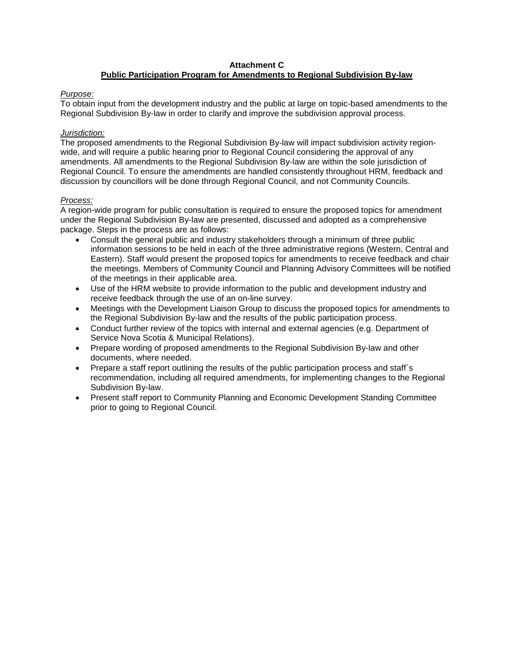#### **Attachment C Public Participation Program for Amendments to Regional Subdivision By-law**

#### *Purpose:*

To obtain input from the development industry and the public at large on topic-based amendments to the Regional Subdivision By-law in order to clarify and improve the subdivision approval process.

#### *Jurisdiction:*

The proposed amendments to the Regional Subdivision By-law will impact subdivision activity regionwide, and will require a public hearing prior to Regional Council considering the approval of any amendments. All amendments to the Regional Subdivision By-law are within the sole jurisdiction of Regional Council. To ensure the amendments are handled consistently throughout HRM, feedback and discussion by councillors will be done through Regional Council, and not Community Councils.

#### *Process:*

A region-wide program for public consultation is required to ensure the proposed topics for amendment under the Regional Subdivision By-law are presented, discussed and adopted as a comprehensive package. Steps in the process are as follows:

- Consult the general public and industry stakeholders through a minimum of three public information sessions to be held in each of the three administrative regions (Western, Central and Eastern). Staff would present the proposed topics for amendments to receive feedback and chair the meetings. Members of Community Council and Planning Advisory Committees will be notified of the meetings in their applicable area.
- Use of the HRM website to provide information to the public and development industry and receive feedback through the use of an on-line survey.
- Meetings with the Development Liaison Group to discuss the proposed topics for amendments to the Regional Subdivision By-law and the results of the public participation process.
- Conduct further review of the topics with internal and external agencies (e.g. Department of Service Nova Scotia & Municipal Relations).
- Prepare wording of proposed amendments to the Regional Subdivision By-law and other documents, where needed.
- Prepare a staff report outlining the results of the public participation process and staff's recommendation, including all required amendments, for implementing changes to the Regional Subdivision By-law.
- Present staff report to Community Planning and Economic Development Standing Committee prior to going to Regional Council.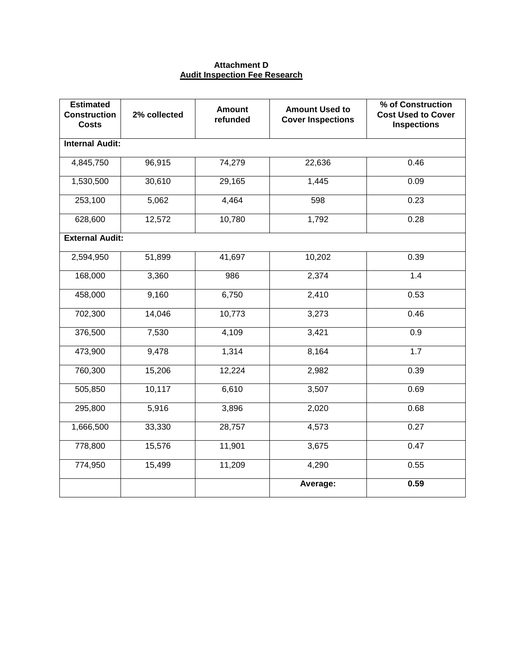## **Attachment D Audit Inspection Fee Research**

| <b>Estimated</b><br><b>Construction</b><br><b>Costs</b> | 2% collected | <b>Amount</b><br>refunded | <b>Amount Used to</b><br><b>Cover Inspections</b> | % of Construction<br><b>Cost Used to Cover</b><br><b>Inspections</b> |
|---------------------------------------------------------|--------------|---------------------------|---------------------------------------------------|----------------------------------------------------------------------|
| <b>Internal Audit:</b>                                  |              |                           |                                                   |                                                                      |
| 4,845,750                                               | 96,915       | 74,279                    | 22,636                                            | 0.46                                                                 |
| 1,530,500                                               | 30,610       | 29,165                    | 1,445                                             | 0.09                                                                 |
| 253,100                                                 | 5,062        | 4,464                     | 598                                               | 0.23                                                                 |
| 628,600                                                 | 12,572       | 10,780                    | 1,792                                             | 0.28                                                                 |
| <b>External Audit:</b>                                  |              |                           |                                                   |                                                                      |
| 2,594,950                                               | 51,899       | 41,697                    | 10,202                                            | 0.39                                                                 |
| 168,000                                                 | 3,360        | 986                       | 2,374                                             | 1.4                                                                  |
| 458,000                                                 | 9,160        | 6,750                     | 2,410                                             | 0.53                                                                 |
| 702,300                                                 | 14,046       | 10,773                    | 3,273                                             | 0.46                                                                 |
| 376,500                                                 | 7,530        | 4,109                     | 3,421                                             | 0.9                                                                  |
| 473,900                                                 | 9,478        | 1,314                     | 8,164                                             | 1.7                                                                  |
| 760,300                                                 | 15,206       | 12,224                    | 2,982                                             | 0.39                                                                 |
| 505,850                                                 | 10,117       | 6,610                     | 3,507                                             | 0.69                                                                 |
| 295,800                                                 | 5,916        | 3,896                     | 2,020                                             | 0.68                                                                 |
| 1,666,500                                               | 33,330       | 28,757                    | 4,573                                             | 0.27                                                                 |
| 778,800                                                 | 15,576       | 11,901                    | 3,675                                             | 0.47                                                                 |
| 774,950                                                 | 15,499       | 11,209                    | 4,290                                             | 0.55                                                                 |
|                                                         |              |                           | Average:                                          | 0.59                                                                 |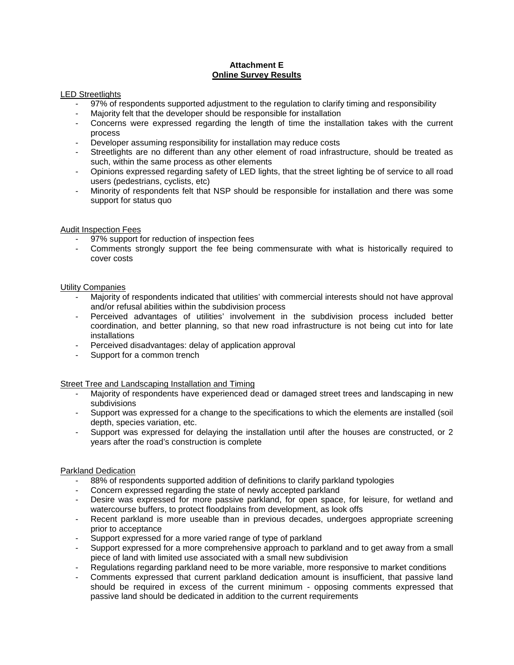## **Attachment E Online Survey Results**

#### LED Streetlights

- 97% of respondents supported adjustment to the regulation to clarify timing and responsibility
- Majority felt that the developer should be responsible for installation
- Concerns were expressed regarding the length of time the installation takes with the current process
- Developer assuming responsibility for installation may reduce costs
- Streetlights are no different than any other element of road infrastructure, should be treated as such, within the same process as other elements
- Opinions expressed regarding safety of LED lights, that the street lighting be of service to all road users (pedestrians, cyclists, etc)
- Minority of respondents felt that NSP should be responsible for installation and there was some support for status quo

#### Audit Inspection Fees

- 97% support for reduction of inspection fees
- Comments strongly support the fee being commensurate with what is historically required to cover costs

#### Utility Companies

- Majority of respondents indicated that utilities' with commercial interests should not have approval and/or refusal abilities within the subdivision process
- Perceived advantages of utilities' involvement in the subdivision process included better coordination, and better planning, so that new road infrastructure is not being cut into for late installations
- Perceived disadvantages: delay of application approval
- Support for a common trench

#### Street Tree and Landscaping Installation and Timing

- Majority of respondents have experienced dead or damaged street trees and landscaping in new subdivisions
- Support was expressed for a change to the specifications to which the elements are installed (soil depth, species variation, etc.
- Support was expressed for delaying the installation until after the houses are constructed, or 2 years after the road's construction is complete

#### Parkland Dedication

- 88% of respondents supported addition of definitions to clarify parkland typologies
- Concern expressed regarding the state of newly accepted parkland
- Desire was expressed for more passive parkland, for open space, for leisure, for wetland and watercourse buffers, to protect floodplains from development, as look offs
- Recent parkland is more useable than in previous decades, undergoes appropriate screening prior to acceptance
- Support expressed for a more varied range of type of parkland
- Support expressed for a more comprehensive approach to parkland and to get away from a small piece of land with limited use associated with a small new subdivision
- Regulations regarding parkland need to be more variable, more responsive to market conditions
- Comments expressed that current parkland dedication amount is insufficient, that passive land should be required in excess of the current minimum - opposing comments expressed that passive land should be dedicated in addition to the current requirements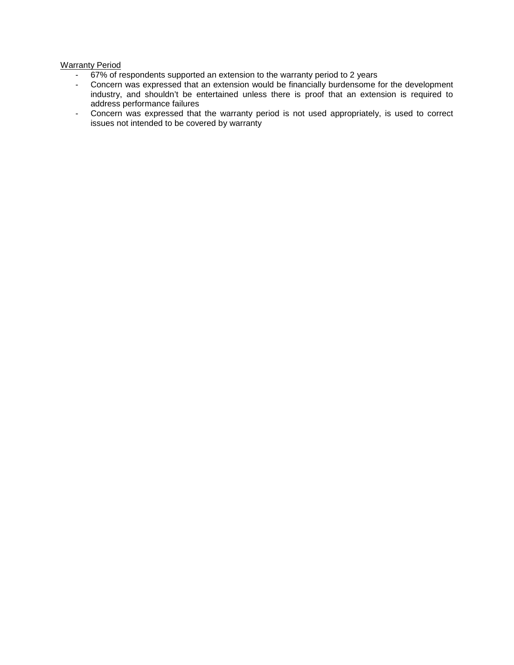#### Warranty Period

- 67% of respondents supported an extension to the warranty period to 2 years
- Concern was expressed that an extension would be financially burdensome for the development industry, and shouldn't be entertained unless there is proof that an extension is required to address performance failures
- Concern was expressed that the warranty period is not used appropriately, is used to correct issues not intended to be covered by warranty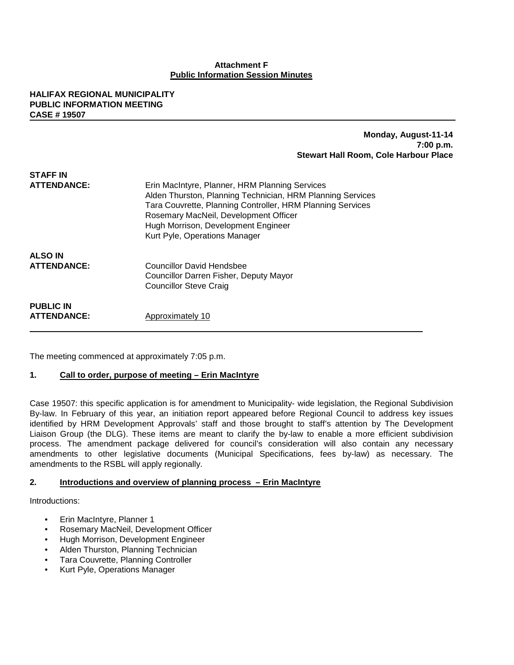#### **Attachment F Public Information Session Minutes**

#### **HALIFAX REGIONAL MUNICIPALITY PUBLIC INFORMATION MEETING CASE # 19507**

#### **Monday, August-11-14 7:00 p.m. Stewart Hall Room, Cole Harbour Place**

| STAFF IN<br><b>ATTENDANCE:</b>         | Erin MacIntyre, Planner, HRM Planning Services<br>Alden Thurston, Planning Technician, HRM Planning Services<br>Tara Couvrette, Planning Controller, HRM Planning Services<br>Rosemary MacNeil, Development Officer<br>Hugh Morrison, Development Engineer<br>Kurt Pyle, Operations Manager |
|----------------------------------------|---------------------------------------------------------------------------------------------------------------------------------------------------------------------------------------------------------------------------------------------------------------------------------------------|
| <b>ALSO IN</b><br><b>ATTENDANCE:</b>   | <b>Councillor David Hendsbee</b><br>Councillor Darren Fisher, Deputy Mayor<br><b>Councillor Steve Craig</b>                                                                                                                                                                                 |
| <b>PUBLIC IN</b><br><b>ATTENDANCE:</b> | Approximately 10                                                                                                                                                                                                                                                                            |

The meeting commenced at approximately 7:05 p.m.

#### **1. Call to order, purpose of meeting – Erin MacIntyre**

Case 19507: this specific application is for amendment to Municipality- wide legislation, the Regional Subdivision By-law. In February of this year, an initiation report appeared before Regional Council to address key issues identified by HRM Development Approvals' staff and those brought to staff's attention by The Development Liaison Group (the DLG). These items are meant to clarify the by-law to enable a more efficient subdivision process. The amendment package delivered for council's consideration will also contain any necessary amendments to other legislative documents (Municipal Specifications, fees by-law) as necessary. The amendments to the RSBL will apply regionally.

#### **2. Introductions and overview of planning process – Erin MacIntyre**

Introductions:

- Erin MacIntyre, Planner 1
- Rosemary MacNeil, Development Officer
- Hugh Morrison, Development Engineer
- Alden Thurston, Planning Technician
- Tara Couvrette, Planning Controller
- Kurt Pyle, Operations Manager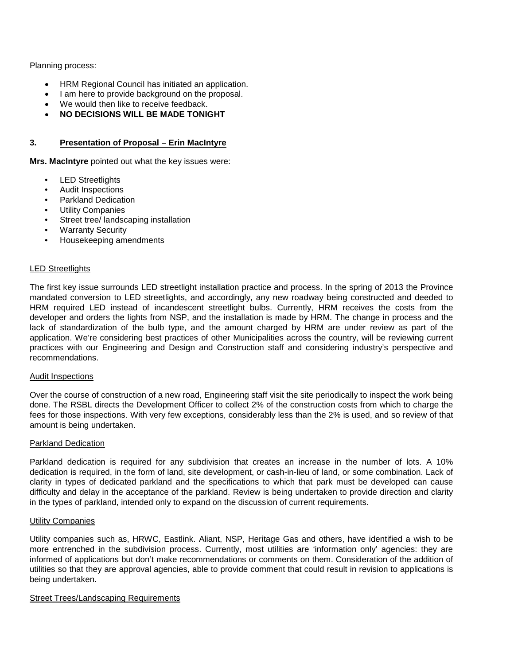Planning process:

- HRM Regional Council has initiated an application.
- I am here to provide background on the proposal.
- We would then like to receive feedback.
- **NO DECISIONS WILL BE MADE TONIGHT**

#### **3. Presentation of Proposal – Erin MacIntyre**

**Mrs. MacIntyre** pointed out what the key issues were:

- LED Streetlights
- Audit Inspections
- Parkland Dedication
- Utility Companies
- Street tree/ landscaping installation
- **Warranty Security**
- Housekeeping amendments

#### LED Streetlights

The first key issue surrounds LED streetlight installation practice and process. In the spring of 2013 the Province mandated conversion to LED streetlights, and accordingly, any new roadway being constructed and deeded to HRM required LED instead of incandescent streetlight bulbs. Currently, HRM receives the costs from the developer and orders the lights from NSP, and the installation is made by HRM. The change in process and the lack of standardization of the bulb type, and the amount charged by HRM are under review as part of the application. We're considering best practices of other Municipalities across the country, will be reviewing current practices with our Engineering and Design and Construction staff and considering industry's perspective and recommendations.

#### Audit Inspections

Over the course of construction of a new road, Engineering staff visit the site periodically to inspect the work being done. The RSBL directs the Development Officer to collect 2% of the construction costs from which to charge the fees for those inspections. With very few exceptions, considerably less than the 2% is used, and so review of that amount is being undertaken.

#### Parkland Dedication

Parkland dedication is required for any subdivision that creates an increase in the number of lots. A 10% dedication is required, in the form of land, site development, or cash-in-lieu of land, or some combination. Lack of clarity in types of dedicated parkland and the specifications to which that park must be developed can cause difficulty and delay in the acceptance of the parkland. Review is being undertaken to provide direction and clarity in the types of parkland, intended only to expand on the discussion of current requirements.

#### Utility Companies

Utility companies such as, HRWC, Eastlink. Aliant, NSP, Heritage Gas and others, have identified a wish to be more entrenched in the subdivision process. Currently, most utilities are 'information only' agencies: they are informed of applications but don't make recommendations or comments on them. Consideration of the addition of utilities so that they are approval agencies, able to provide comment that could result in revision to applications is being undertaken.

#### Street Trees/Landscaping Requirements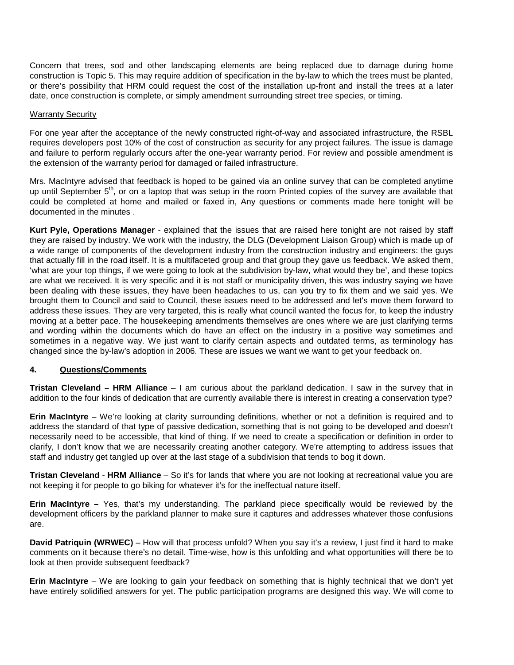Concern that trees, sod and other landscaping elements are being replaced due to damage during home construction is Topic 5. This may require addition of specification in the by-law to which the trees must be planted, or there's possibility that HRM could request the cost of the installation up-front and install the trees at a later date, once construction is complete, or simply amendment surrounding street tree species, or timing.

#### Warranty Security

For one year after the acceptance of the newly constructed right-of-way and associated infrastructure, the RSBL requires developers post 10% of the cost of construction as security for any project failures. The issue is damage and failure to perform regularly occurs after the one-year warranty period. For review and possible amendment is the extension of the warranty period for damaged or failed infrastructure.

Mrs. MacIntyre advised that feedback is hoped to be gained via an online survey that can be completed anytime up until September 5<sup>th</sup>, or on a laptop that was setup in the room Printed copies of the survey are available that could be completed at home and mailed or faxed in, Any questions or comments made here tonight will be documented in the minutes .

**Kurt Pyle, Operations Manager** - explained that the issues that are raised here tonight are not raised by staff they are raised by industry. We work with the industry, the DLG (Development Liaison Group) which is made up of a wide range of components of the development industry from the construction industry and engineers: the guys that actually fill in the road itself. It is a multifaceted group and that group they gave us feedback. We asked them, 'what are your top things, if we were going to look at the subdivision by-law, what would they be', and these topics are what we received. It is very specific and it is not staff or municipality driven, this was industry saying we have been dealing with these issues, they have been headaches to us, can you try to fix them and we said yes. We brought them to Council and said to Council, these issues need to be addressed and let's move them forward to address these issues. They are very targeted, this is really what council wanted the focus for, to keep the industry moving at a better pace. The housekeeping amendments themselves are ones where we are just clarifying terms and wording within the documents which do have an effect on the industry in a positive way sometimes and sometimes in a negative way. We just want to clarify certain aspects and outdated terms, as terminology has changed since the by-law's adoption in 2006. These are issues we want we want to get your feedback on.

#### **4. Questions/Comments**

**Tristan Cleveland – HRM Alliance** – I am curious about the parkland dedication. I saw in the survey that in addition to the four kinds of dedication that are currently available there is interest in creating a conservation type?

**Erin MacIntyre** – We're looking at clarity surrounding definitions, whether or not a definition is required and to address the standard of that type of passive dedication, something that is not going to be developed and doesn't necessarily need to be accessible, that kind of thing. If we need to create a specification or definition in order to clarify, I don't know that we are necessarily creating another category. We're attempting to address issues that staff and industry get tangled up over at the last stage of a subdivision that tends to bog it down.

**Tristan Cleveland** - **HRM Alliance** – So it's for lands that where you are not looking at recreational value you are not keeping it for people to go biking for whatever it's for the ineffectual nature itself.

**Erin MacIntyre –** Yes, that's my understanding. The parkland piece specifically would be reviewed by the development officers by the parkland planner to make sure it captures and addresses whatever those confusions are.

**David Patriquin (WRWEC)** – How will that process unfold? When you say it's a review, I just find it hard to make comments on it because there's no detail. Time-wise, how is this unfolding and what opportunities will there be to look at then provide subsequent feedback?

**Erin MacIntyre** – We are looking to gain your feedback on something that is highly technical that we don't yet have entirely solidified answers for yet. The public participation programs are designed this way. We will come to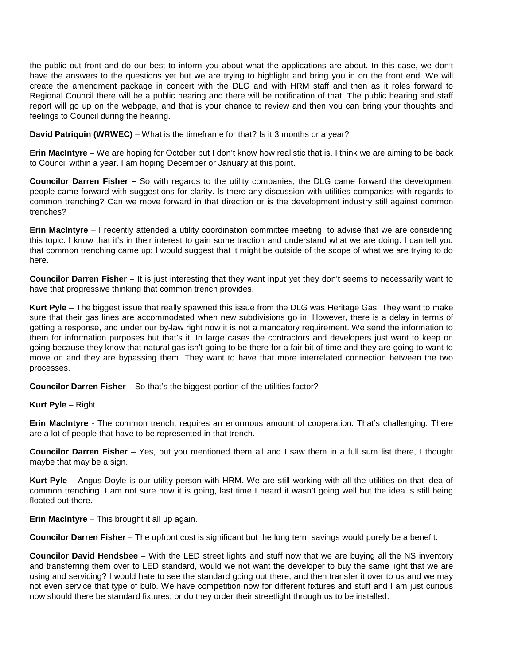the public out front and do our best to inform you about what the applications are about. In this case, we don't have the answers to the questions yet but we are trying to highlight and bring you in on the front end. We will create the amendment package in concert with the DLG and with HRM staff and then as it roles forward to Regional Council there will be a public hearing and there will be notification of that. The public hearing and staff report will go up on the webpage, and that is your chance to review and then you can bring your thoughts and feelings to Council during the hearing.

**David Patriquin (WRWEC)** – What is the timeframe for that? Is it 3 months or a year?

**Erin MacIntyre** – We are hoping for October but I don't know how realistic that is. I think we are aiming to be back to Council within a year. I am hoping December or January at this point.

**Councilor Darren Fisher –** So with regards to the utility companies, the DLG came forward the development people came forward with suggestions for clarity. Is there any discussion with utilities companies with regards to common trenching? Can we move forward in that direction or is the development industry still against common trenches?

**Erin MacIntyre** – I recently attended a utility coordination committee meeting, to advise that we are considering this topic. I know that it's in their interest to gain some traction and understand what we are doing. I can tell you that common trenching came up; I would suggest that it might be outside of the scope of what we are trying to do here.

**Councilor Darren Fisher –** It is just interesting that they want input yet they don't seems to necessarily want to have that progressive thinking that common trench provides.

**Kurt Pyle** – The biggest issue that really spawned this issue from the DLG was Heritage Gas. They want to make sure that their gas lines are accommodated when new subdivisions go in. However, there is a delay in terms of getting a response, and under our by-law right now it is not a mandatory requirement. We send the information to them for information purposes but that's it. In large cases the contractors and developers just want to keep on going because they know that natural gas isn't going to be there for a fair bit of time and they are going to want to move on and they are bypassing them. They want to have that more interrelated connection between the two processes.

**Councilor Darren Fisher** – So that's the biggest portion of the utilities factor?

**Kurt Pyle** – Right.

**Erin MacIntyre** - The common trench, requires an enormous amount of cooperation. That's challenging. There are a lot of people that have to be represented in that trench.

**Councilor Darren Fisher** – Yes, but you mentioned them all and I saw them in a full sum list there, I thought maybe that may be a sign.

**Kurt Pyle** – Angus Doyle is our utility person with HRM. We are still working with all the utilities on that idea of common trenching. I am not sure how it is going, last time I heard it wasn't going well but the idea is still being floated out there.

**Erin MacIntyre** – This brought it all up again.

**Councilor Darren Fisher** – The upfront cost is significant but the long term savings would purely be a benefit.

**Councilor David Hendsbee –** With the LED street lights and stuff now that we are buying all the NS inventory and transferring them over to LED standard, would we not want the developer to buy the same light that we are using and servicing? I would hate to see the standard going out there, and then transfer it over to us and we may not even service that type of bulb. We have competition now for different fixtures and stuff and I am just curious now should there be standard fixtures, or do they order their streetlight through us to be installed.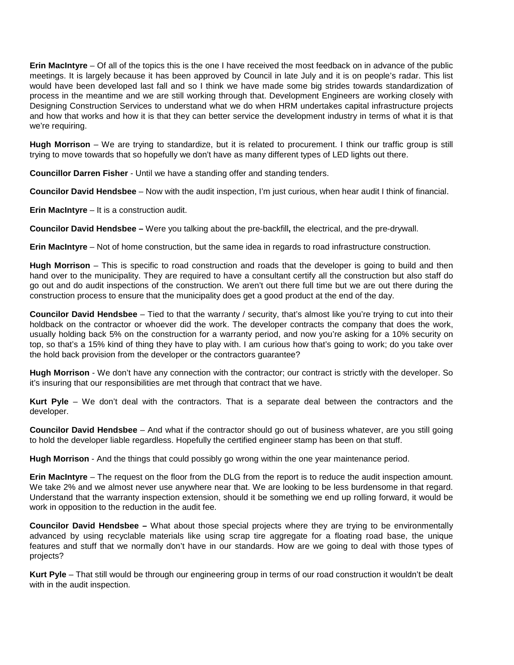**Erin MacIntyre** – Of all of the topics this is the one I have received the most feedback on in advance of the public meetings. It is largely because it has been approved by Council in late July and it is on people's radar. This list would have been developed last fall and so I think we have made some big strides towards standardization of process in the meantime and we are still working through that. Development Engineers are working closely with Designing Construction Services to understand what we do when HRM undertakes capital infrastructure projects and how that works and how it is that they can better service the development industry in terms of what it is that we're requiring.

**Hugh Morrison** – We are trying to standardize, but it is related to procurement. I think our traffic group is still trying to move towards that so hopefully we don't have as many different types of LED lights out there.

**Councillor Darren Fisher** - Until we have a standing offer and standing tenders.

**Councilor David Hendsbee** – Now with the audit inspection, I'm just curious, when hear audit I think of financial.

**Erin MacIntyre** – It is a construction audit.

**Councilor David Hendsbee –** Were you talking about the pre-backfill**,** the electrical, and the pre-drywall.

**Erin MacIntyre** – Not of home construction, but the same idea in regards to road infrastructure construction.

**Hugh Morrison** – This is specific to road construction and roads that the developer is going to build and then hand over to the municipality. They are required to have a consultant certify all the construction but also staff do go out and do audit inspections of the construction. We aren't out there full time but we are out there during the construction process to ensure that the municipality does get a good product at the end of the day.

**Councilor David Hendsbee** – Tied to that the warranty / security, that's almost like you're trying to cut into their holdback on the contractor or whoever did the work. The developer contracts the company that does the work, usually holding back 5% on the construction for a warranty period, and now you're asking for a 10% security on top, so that's a 15% kind of thing they have to play with. I am curious how that's going to work; do you take over the hold back provision from the developer or the contractors guarantee?

**Hugh Morrison** - We don't have any connection with the contractor; our contract is strictly with the developer. So it's insuring that our responsibilities are met through that contract that we have.

**Kurt Pyle** – We don't deal with the contractors. That is a separate deal between the contractors and the developer.

**Councilor David Hendsbee** – And what if the contractor should go out of business whatever, are you still going to hold the developer liable regardless. Hopefully the certified engineer stamp has been on that stuff.

**Hugh Morrison** - And the things that could possibly go wrong within the one year maintenance period.

**Erin MacIntyre** – The request on the floor from the DLG from the report is to reduce the audit inspection amount. We take 2% and we almost never use anywhere near that. We are looking to be less burdensome in that regard. Understand that the warranty inspection extension, should it be something we end up rolling forward, it would be work in opposition to the reduction in the audit fee.

**Councilor David Hendsbee –** What about those special projects where they are trying to be environmentally advanced by using recyclable materials like using scrap tire aggregate for a floating road base, the unique features and stuff that we normally don't have in our standards. How are we going to deal with those types of projects?

**Kurt Pyle** – That still would be through our engineering group in terms of our road construction it wouldn't be dealt with in the audit inspection.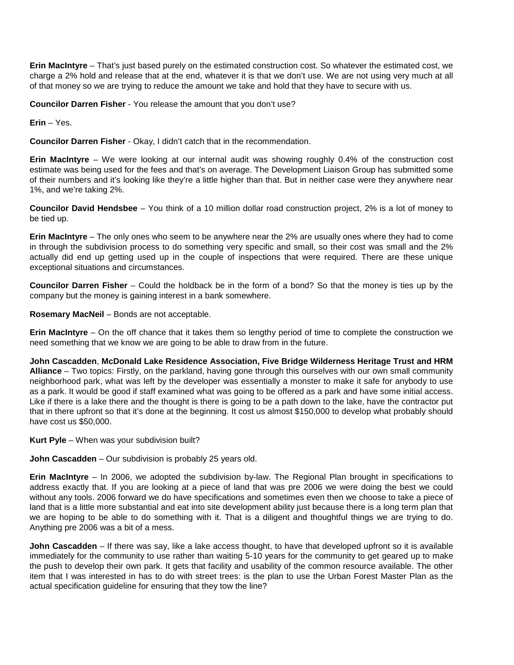**Erin MacIntyre** – That's just based purely on the estimated construction cost. So whatever the estimated cost, we charge a 2% hold and release that at the end, whatever it is that we don't use. We are not using very much at all of that money so we are trying to reduce the amount we take and hold that they have to secure with us.

**Councilor Darren Fisher** - You release the amount that you don't use?

**Erin** – Yes.

**Councilor Darren Fisher** - Okay, I didn't catch that in the recommendation.

**Erin MacIntyre** – We were looking at our internal audit was showing roughly 0.4% of the construction cost estimate was being used for the fees and that's on average. The Development Liaison Group has submitted some of their numbers and it's looking like they're a little higher than that. But in neither case were they anywhere near 1%, and we're taking 2%.

**Councilor David Hendsbee** – You think of a 10 million dollar road construction project, 2% is a lot of money to be tied up.

**Erin MacIntyre** – The only ones who seem to be anywhere near the 2% are usually ones where they had to come in through the subdivision process to do something very specific and small, so their cost was small and the 2% actually did end up getting used up in the couple of inspections that were required. There are these unique exceptional situations and circumstances.

**Councilor Darren Fisher** – Could the holdback be in the form of a bond? So that the money is ties up by the company but the money is gaining interest in a bank somewhere.

**Rosemary MacNeil** – Bonds are not acceptable.

**Erin MacIntyre** – On the off chance that it takes them so lengthy period of time to complete the construction we need something that we know we are going to be able to draw from in the future.

**John Cascadden**, **McDonald Lake Residence Association, Five Bridge Wilderness Heritage Trust and HRM Alliance** – Two topics: Firstly, on the parkland, having gone through this ourselves with our own small community neighborhood park, what was left by the developer was essentially a monster to make it safe for anybody to use as a park. It would be good if staff examined what was going to be offered as a park and have some initial access. Like if there is a lake there and the thought is there is going to be a path down to the lake, have the contractor put that in there upfront so that it's done at the beginning. It cost us almost \$150,000 to develop what probably should have cost us \$50,000.

**Kurt Pyle** – When was your subdivision built?

**John Cascadden** – Our subdivision is probably 25 years old.

**Erin MacIntyre** – In 2006, we adopted the subdivision by-law. The Regional Plan brought in specifications to address exactly that. If you are looking at a piece of land that was pre 2006 we were doing the best we could without any tools. 2006 forward we do have specifications and sometimes even then we choose to take a piece of land that is a little more substantial and eat into site development ability just because there is a long term plan that we are hoping to be able to do something with it. That is a diligent and thoughtful things we are trying to do. Anything pre 2006 was a bit of a mess.

**John Cascadden** – If there was say, like a lake access thought, to have that developed upfront so it is available immediately for the community to use rather than waiting 5-10 years for the community to get geared up to make the push to develop their own park. It gets that facility and usability of the common resource available. The other item that I was interested in has to do with street trees: is the plan to use the Urban Forest Master Plan as the actual specification guideline for ensuring that they tow the line?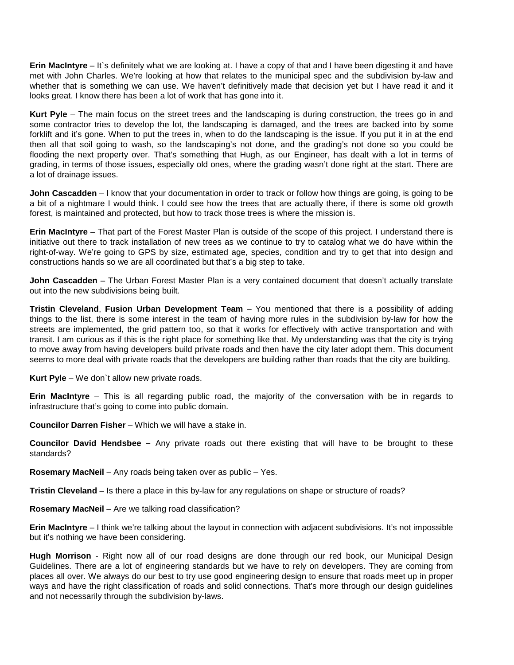**Erin MacIntyre** – It's definitely what we are looking at. I have a copy of that and I have been digesting it and have met with John Charles. We're looking at how that relates to the municipal spec and the subdivision by-law and whether that is something we can use. We haven't definitively made that decision yet but I have read it and it looks great. I know there has been a lot of work that has gone into it.

**Kurt Pyle** – The main focus on the street trees and the landscaping is during construction, the trees go in and some contractor tries to develop the lot, the landscaping is damaged, and the trees are backed into by some forklift and it's gone. When to put the trees in, when to do the landscaping is the issue. If you put it in at the end then all that soil going to wash, so the landscaping's not done, and the grading's not done so you could be flooding the next property over. That's something that Hugh, as our Engineer, has dealt with a lot in terms of grading, in terms of those issues, especially old ones, where the grading wasn't done right at the start. There are a lot of drainage issues.

**John Cascadden** – I know that your documentation in order to track or follow how things are going, is going to be a bit of a nightmare I would think. I could see how the trees that are actually there, if there is some old growth forest, is maintained and protected, but how to track those trees is where the mission is.

**Erin MacIntyre** – That part of the Forest Master Plan is outside of the scope of this project. I understand there is initiative out there to track installation of new trees as we continue to try to catalog what we do have within the right-of-way. We're going to GPS by size, estimated age, species, condition and try to get that into design and constructions hands so we are all coordinated but that's a big step to take.

**John Cascadden** – The Urban Forest Master Plan is a very contained document that doesn't actually translate out into the new subdivisions being built.

**Tristin Cleveland**, **Fusion Urban Development Team** – You mentioned that there is a possibility of adding things to the list, there is some interest in the team of having more rules in the subdivision by-law for how the streets are implemented, the grid pattern too, so that it works for effectively with active transportation and with transit. I am curious as if this is the right place for something like that. My understanding was that the city is trying to move away from having developers build private roads and then have the city later adopt them. This document seems to more deal with private roads that the developers are building rather than roads that the city are building.

**Kurt Pyle** – We don`t allow new private roads.

**Erin MacIntyre** – This is all regarding public road, the majority of the conversation with be in regards to infrastructure that's going to come into public domain.

**Councilor Darren Fisher** – Which we will have a stake in.

**Councilor David Hendsbee –** Any private roads out there existing that will have to be brought to these standards?

**Rosemary MacNeil** – Any roads being taken over as public – Yes.

**Tristin Cleveland** – Is there a place in this by-law for any regulations on shape or structure of roads?

**Rosemary MacNeil** – Are we talking road classification?

**Erin MacIntyre** – I think we're talking about the layout in connection with adjacent subdivisions. It's not impossible but it's nothing we have been considering.

**Hugh Morrison** - Right now all of our road designs are done through our red book, our Municipal Design Guidelines. There are a lot of engineering standards but we have to rely on developers. They are coming from places all over. We always do our best to try use good engineering design to ensure that roads meet up in proper ways and have the right classification of roads and solid connections. That's more through our design guidelines and not necessarily through the subdivision by-laws.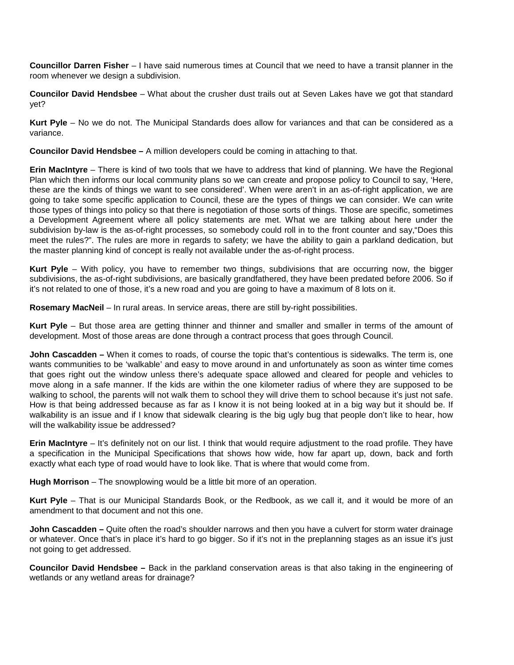**Councillor Darren Fisher** – I have said numerous times at Council that we need to have a transit planner in the room whenever we design a subdivision.

**Councilor David Hendsbee** – What about the crusher dust trails out at Seven Lakes have we got that standard yet?

**Kurt Pyle** – No we do not. The Municipal Standards does allow for variances and that can be considered as a variance.

**Councilor David Hendsbee –** A million developers could be coming in attaching to that.

**Erin MacIntyre** – There is kind of two tools that we have to address that kind of planning. We have the Regional Plan which then informs our local community plans so we can create and propose policy to Council to say, 'Here, these are the kinds of things we want to see considered'. When were aren't in an as-of-right application, we are going to take some specific application to Council, these are the types of things we can consider. We can write those types of things into policy so that there is negotiation of those sorts of things. Those are specific, sometimes a Development Agreement where all policy statements are met. What we are talking about here under the subdivision by-law is the as-of-right processes, so somebody could roll in to the front counter and say,"Does this meet the rules?". The rules are more in regards to safety; we have the ability to gain a parkland dedication, but the master planning kind of concept is really not available under the as-of-right process.

**Kurt Pyle** – With policy, you have to remember two things, subdivisions that are occurring now, the bigger subdivisions, the as-of-right subdivisions, are basically grandfathered, they have been predated before 2006. So if it's not related to one of those, it's a new road and you are going to have a maximum of 8 lots on it.

**Rosemary MacNeil** – In rural areas. In service areas, there are still by-right possibilities.

**Kurt Pyle** – But those area are getting thinner and thinner and smaller and smaller in terms of the amount of development. Most of those areas are done through a contract process that goes through Council.

**John Cascadden –** When it comes to roads, of course the topic that's contentious is sidewalks. The term is, one wants communities to be 'walkable' and easy to move around in and unfortunately as soon as winter time comes that goes right out the window unless there's adequate space allowed and cleared for people and vehicles to move along in a safe manner. If the kids are within the one kilometer radius of where they are supposed to be walking to school, the parents will not walk them to school they will drive them to school because it's just not safe. How is that being addressed because as far as I know it is not being looked at in a big way but it should be. If walkability is an issue and if I know that sidewalk clearing is the big ugly bug that people don't like to hear, how will the walkability issue be addressed?

**Erin MacIntyre** – It's definitely not on our list. I think that would require adjustment to the road profile. They have a specification in the Municipal Specifications that shows how wide, how far apart up, down, back and forth exactly what each type of road would have to look like. That is where that would come from.

**Hugh Morrison** – The snowplowing would be a little bit more of an operation.

**Kurt Pyle** – That is our Municipal Standards Book, or the Redbook, as we call it, and it would be more of an amendment to that document and not this one.

**John Cascadden –** Quite often the road's shoulder narrows and then you have a culvert for storm water drainage or whatever. Once that's in place it's hard to go bigger. So if it's not in the preplanning stages as an issue it's just not going to get addressed.

**Councilor David Hendsbee –** Back in the parkland conservation areas is that also taking in the engineering of wetlands or any wetland areas for drainage?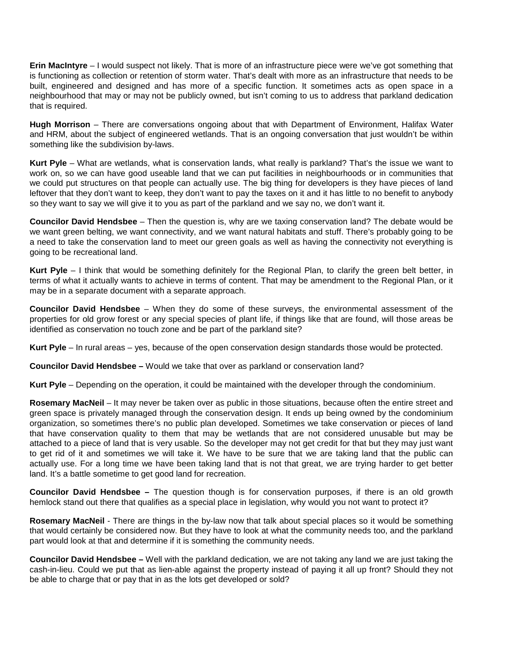**Erin MacIntyre** – I would suspect not likely. That is more of an infrastructure piece were we've got something that is functioning as collection or retention of storm water. That's dealt with more as an infrastructure that needs to be built, engineered and designed and has more of a specific function. It sometimes acts as open space in a neighbourhood that may or may not be publicly owned, but isn't coming to us to address that parkland dedication that is required.

**Hugh Morrison** – There are conversations ongoing about that with Department of Environment, Halifax Water and HRM, about the subject of engineered wetlands. That is an ongoing conversation that just wouldn't be within something like the subdivision by-laws.

**Kurt Pyle** – What are wetlands, what is conservation lands, what really is parkland? That's the issue we want to work on, so we can have good useable land that we can put facilities in neighbourhoods or in communities that we could put structures on that people can actually use. The big thing for developers is they have pieces of land leftover that they don't want to keep, they don't want to pay the taxes on it and it has little to no benefit to anybody so they want to say we will give it to you as part of the parkland and we say no, we don't want it.

**Councilor David Hendsbee** – Then the question is, why are we taxing conservation land? The debate would be we want green belting, we want connectivity, and we want natural habitats and stuff. There's probably going to be a need to take the conservation land to meet our green goals as well as having the connectivity not everything is going to be recreational land.

**Kurt Pyle** – I think that would be something definitely for the Regional Plan, to clarify the green belt better, in terms of what it actually wants to achieve in terms of content. That may be amendment to the Regional Plan, or it may be in a separate document with a separate approach.

**Councilor David Hendsbee** – When they do some of these surveys, the environmental assessment of the properties for old grow forest or any special species of plant life, if things like that are found, will those areas be identified as conservation no touch zone and be part of the parkland site?

**Kurt Pyle** – In rural areas – yes, because of the open conservation design standards those would be protected.

**Councilor David Hendsbee –** Would we take that over as parkland or conservation land?

**Kurt Pyle** – Depending on the operation, it could be maintained with the developer through the condominium.

**Rosemary MacNeil** – It may never be taken over as public in those situations, because often the entire street and green space is privately managed through the conservation design. It ends up being owned by the condominium organization, so sometimes there's no public plan developed. Sometimes we take conservation or pieces of land that have conservation quality to them that may be wetlands that are not considered unusable but may be attached to a piece of land that is very usable. So the developer may not get credit for that but they may just want to get rid of it and sometimes we will take it. We have to be sure that we are taking land that the public can actually use. For a long time we have been taking land that is not that great, we are trying harder to get better land. It's a battle sometime to get good land for recreation.

**Councilor David Hendsbee –** The question though is for conservation purposes, if there is an old growth hemlock stand out there that qualifies as a special place in legislation, why would you not want to protect it?

**Rosemary MacNeil** - There are things in the by-law now that talk about special places so it would be something that would certainly be considered now. But they have to look at what the community needs too, and the parkland part would look at that and determine if it is something the community needs.

**Councilor David Hendsbee –** Well with the parkland dedication, we are not taking any land we are just taking the cash-in-lieu. Could we put that as lien-able against the property instead of paying it all up front? Should they not be able to charge that or pay that in as the lots get developed or sold?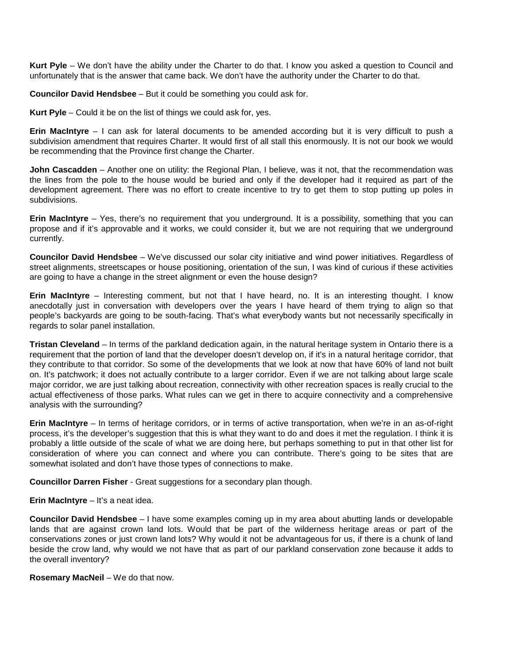**Kurt Pyle** – We don't have the ability under the Charter to do that. I know you asked a question to Council and unfortunately that is the answer that came back. We don't have the authority under the Charter to do that.

**Councilor David Hendsbee** – But it could be something you could ask for.

**Kurt Pyle** – Could it be on the list of things we could ask for, yes.

**Erin MacIntyre** – I can ask for lateral documents to be amended according but it is very difficult to push a subdivision amendment that requires Charter. It would first of all stall this enormously. It is not our book we would be recommending that the Province first change the Charter.

**John Cascadden** – Another one on utility: the Regional Plan, I believe, was it not, that the recommendation was the lines from the pole to the house would be buried and only if the developer had it required as part of the development agreement. There was no effort to create incentive to try to get them to stop putting up poles in subdivisions.

**Erin MacIntyre** – Yes, there's no requirement that you underground. It is a possibility, something that you can propose and if it's approvable and it works, we could consider it, but we are not requiring that we underground currently.

**Councilor David Hendsbee** – We've discussed our solar city initiative and wind power initiatives. Regardless of street alignments, streetscapes or house positioning, orientation of the sun, I was kind of curious if these activities are going to have a change in the street alignment or even the house design?

**Erin MacIntyre** – Interesting comment, but not that I have heard, no. It is an interesting thought. I know anecdotally just in conversation with developers over the years I have heard of them trying to align so that people's backyards are going to be south-facing. That's what everybody wants but not necessarily specifically in regards to solar panel installation.

**Tristan Cleveland** – In terms of the parkland dedication again, in the natural heritage system in Ontario there is a requirement that the portion of land that the developer doesn't develop on, if it's in a natural heritage corridor, that they contribute to that corridor. So some of the developments that we look at now that have 60% of land not built on. It's patchwork; it does not actually contribute to a larger corridor. Even if we are not talking about large scale major corridor, we are just talking about recreation, connectivity with other recreation spaces is really crucial to the actual effectiveness of those parks. What rules can we get in there to acquire connectivity and a comprehensive analysis with the surrounding?

**Erin MacIntyre** – In terms of heritage corridors, or in terms of active transportation, when we're in an as-of-right process, it's the developer's suggestion that this is what they want to do and does it met the regulation. I think it is probably a little outside of the scale of what we are doing here, but perhaps something to put in that other list for consideration of where you can connect and where you can contribute. There's going to be sites that are somewhat isolated and don't have those types of connections to make.

**Councillor Darren Fisher** - Great suggestions for a secondary plan though.

**Erin MacIntyre** – It's a neat idea.

**Councilor David Hendsbee** – I have some examples coming up in my area about abutting lands or developable lands that are against crown land lots. Would that be part of the wilderness heritage areas or part of the conservations zones or just crown land lots? Why would it not be advantageous for us, if there is a chunk of land beside the crow land, why would we not have that as part of our parkland conservation zone because it adds to the overall inventory?

**Rosemary MacNeil** – We do that now.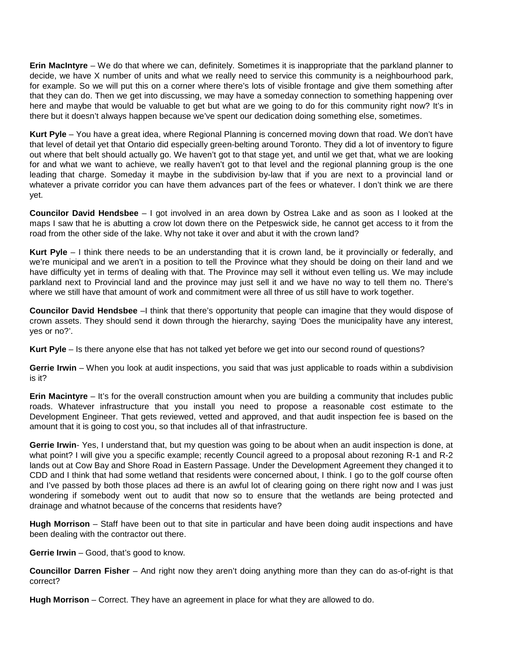**Erin MacIntyre** – We do that where we can, definitely. Sometimes it is inappropriate that the parkland planner to decide, we have X number of units and what we really need to service this community is a neighbourhood park, for example. So we will put this on a corner where there's lots of visible frontage and give them something after that they can do. Then we get into discussing, we may have a someday connection to something happening over here and maybe that would be valuable to get but what are we going to do for this community right now? It's in there but it doesn't always happen because we've spent our dedication doing something else, sometimes.

**Kurt Pyle** – You have a great idea, where Regional Planning is concerned moving down that road. We don't have that level of detail yet that Ontario did especially green-belting around Toronto. They did a lot of inventory to figure out where that belt should actually go. We haven't got to that stage yet, and until we get that, what we are looking for and what we want to achieve, we really haven't got to that level and the regional planning group is the one leading that charge. Someday it maybe in the subdivision by-law that if you are next to a provincial land or whatever a private corridor you can have them advances part of the fees or whatever. I don't think we are there yet.

**Councilor David Hendsbee** – I got involved in an area down by Ostrea Lake and as soon as I looked at the maps I saw that he is abutting a crow lot down there on the Petpeswick side, he cannot get access to it from the road from the other side of the lake. Why not take it over and abut it with the crown land?

**Kurt Pyle** – I think there needs to be an understanding that it is crown land, be it provincially or federally, and we're municipal and we aren't in a position to tell the Province what they should be doing on their land and we have difficulty yet in terms of dealing with that. The Province may sell it without even telling us. We may include parkland next to Provincial land and the province may just sell it and we have no way to tell them no. There's where we still have that amount of work and commitment were all three of us still have to work together.

**Councilor David Hendsbee** –I think that there's opportunity that people can imagine that they would dispose of crown assets. They should send it down through the hierarchy, saying 'Does the municipality have any interest, yes or no?'.

**Kurt Pyle** – Is there anyone else that has not talked yet before we get into our second round of questions?

**Gerrie Irwin** – When you look at audit inspections, you said that was just applicable to roads within a subdivision is it?

**Erin Macintyre** – It's for the overall construction amount when you are building a community that includes public roads. Whatever infrastructure that you install you need to propose a reasonable cost estimate to the Development Engineer. That gets reviewed, vetted and approved, and that audit inspection fee is based on the amount that it is going to cost you, so that includes all of that infrastructure.

**Gerrie Irwin**- Yes, I understand that, but my question was going to be about when an audit inspection is done, at what point? I will give you a specific example; recently Council agreed to a proposal about rezoning R-1 and R-2 lands out at Cow Bay and Shore Road in Eastern Passage. Under the Development Agreement they changed it to CDD and I think that had some wetland that residents were concerned about, I think. I go to the golf course often and I've passed by both those places ad there is an awful lot of clearing going on there right now and I was just wondering if somebody went out to audit that now so to ensure that the wetlands are being protected and drainage and whatnot because of the concerns that residents have?

**Hugh Morrison** – Staff have been out to that site in particular and have been doing audit inspections and have been dealing with the contractor out there.

**Gerrie Irwin** – Good, that's good to know.

**Councillor Darren Fisher** – And right now they aren't doing anything more than they can do as-of-right is that correct?

**Hugh Morrison** – Correct. They have an agreement in place for what they are allowed to do.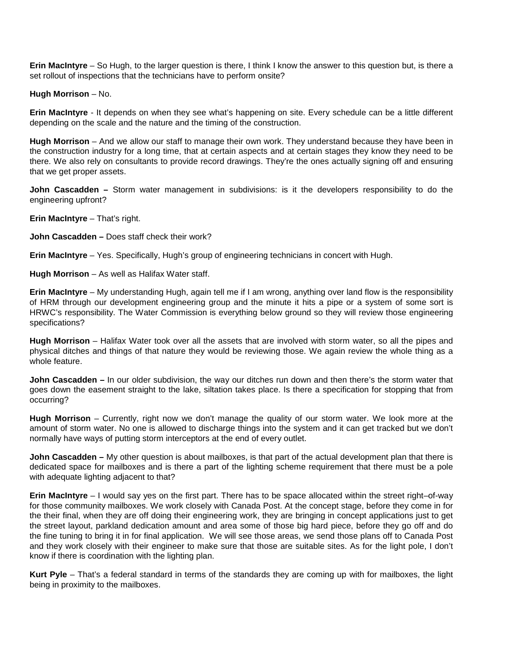**Erin MacIntyre** – So Hugh, to the larger question is there, I think I know the answer to this question but, is there a set rollout of inspections that the technicians have to perform onsite?

**Hugh Morrison – No.** 

**Erin MacIntyre** - It depends on when they see what's happening on site. Every schedule can be a little different depending on the scale and the nature and the timing of the construction.

**Hugh Morrison** – And we allow our staff to manage their own work. They understand because they have been in the construction industry for a long time, that at certain aspects and at certain stages they know they need to be there. We also rely on consultants to provide record drawings. They're the ones actually signing off and ensuring that we get proper assets.

**John Cascadden –** Storm water management in subdivisions: is it the developers responsibility to do the engineering upfront?

**Erin MacIntyre** – That's right.

**John Cascadden –** Does staff check their work?

**Erin MacIntyre** – Yes. Specifically, Hugh's group of engineering technicians in concert with Hugh.

**Hugh Morrison** – As well as Halifax Water staff.

**Erin MacIntyre** – My understanding Hugh, again tell me if I am wrong, anything over land flow is the responsibility of HRM through our development engineering group and the minute it hits a pipe or a system of some sort is HRWC's responsibility. The Water Commission is everything below ground so they will review those engineering specifications?

**Hugh Morrison** – Halifax Water took over all the assets that are involved with storm water, so all the pipes and physical ditches and things of that nature they would be reviewing those. We again review the whole thing as a whole feature.

**John Cascadden –** In our older subdivision, the way our ditches run down and then there's the storm water that goes down the easement straight to the lake, siltation takes place. Is there a specification for stopping that from occurring?

**Hugh Morrison** – Currently, right now we don't manage the quality of our storm water. We look more at the amount of storm water. No one is allowed to discharge things into the system and it can get tracked but we don't normally have ways of putting storm interceptors at the end of every outlet.

**John Cascadden –** My other question is about mailboxes, is that part of the actual development plan that there is dedicated space for mailboxes and is there a part of the lighting scheme requirement that there must be a pole with adequate lighting adjacent to that?

**Erin MacIntyre** – I would say yes on the first part. There has to be space allocated within the street right–of-way for those community mailboxes. We work closely with Canada Post. At the concept stage, before they come in for the their final, when they are off doing their engineering work, they are bringing in concept applications just to get the street layout, parkland dedication amount and area some of those big hard piece, before they go off and do the fine tuning to bring it in for final application. We will see those areas, we send those plans off to Canada Post and they work closely with their engineer to make sure that those are suitable sites. As for the light pole, I don't know if there is coordination with the lighting plan.

**Kurt Pyle** – That's a federal standard in terms of the standards they are coming up with for mailboxes, the light being in proximity to the mailboxes.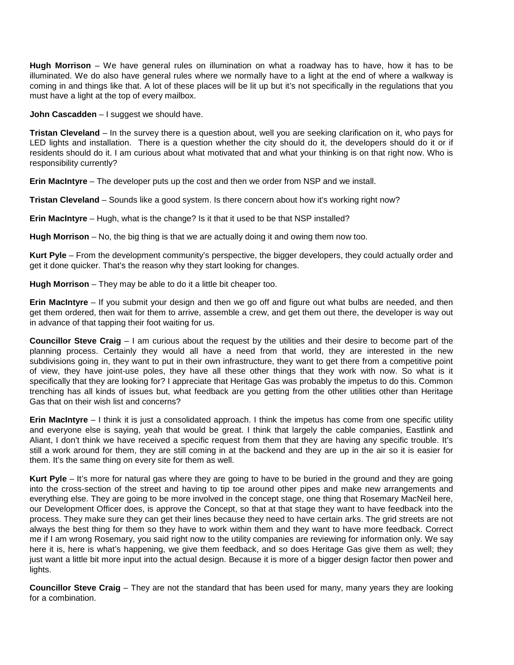**Hugh Morrison** – We have general rules on illumination on what a roadway has to have, how it has to be illuminated. We do also have general rules where we normally have to a light at the end of where a walkway is coming in and things like that. A lot of these places will be lit up but it's not specifically in the regulations that you must have a light at the top of every mailbox.

**John Cascadden** - I suggest we should have.

**Tristan Cleveland** – In the survey there is a question about, well you are seeking clarification on it, who pays for LED lights and installation. There is a question whether the city should do it, the developers should do it or if residents should do it. I am curious about what motivated that and what your thinking is on that right now. Who is responsibility currently?

**Erin MacIntyre** – The developer puts up the cost and then we order from NSP and we install.

**Tristan Cleveland** – Sounds like a good system. Is there concern about how it's working right now?

**Erin MacIntyre** – Hugh, what is the change? Is it that it used to be that NSP installed?

**Hugh Morrison** – No, the big thing is that we are actually doing it and owing them now too.

**Kurt Pyle** – From the development community's perspective, the bigger developers, they could actually order and get it done quicker. That's the reason why they start looking for changes.

**Hugh Morrison** – They may be able to do it a little bit cheaper too.

**Erin MacIntyre** – If you submit your design and then we go off and figure out what bulbs are needed, and then get them ordered, then wait for them to arrive, assemble a crew, and get them out there, the developer is way out in advance of that tapping their foot waiting for us.

**Councillor Steve Craig** – I am curious about the request by the utilities and their desire to become part of the planning process. Certainly they would all have a need from that world, they are interested in the new subdivisions going in, they want to put in their own infrastructure, they want to get there from a competitive point of view, they have joint-use poles, they have all these other things that they work with now. So what is it specifically that they are looking for? I appreciate that Heritage Gas was probably the impetus to do this. Common trenching has all kinds of issues but, what feedback are you getting from the other utilities other than Heritage Gas that on their wish list and concerns?

**Erin MacIntyre** – I think it is just a consolidated approach. I think the impetus has come from one specific utility and everyone else is saying, yeah that would be great. I think that largely the cable companies, Eastlink and Aliant, I don't think we have received a specific request from them that they are having any specific trouble. It's still a work around for them, they are still coming in at the backend and they are up in the air so it is easier for them. It's the same thing on every site for them as well.

**Kurt Pyle** – It's more for natural gas where they are going to have to be buried in the ground and they are going into the cross-section of the street and having to tip toe around other pipes and make new arrangements and everything else. They are going to be more involved in the concept stage, one thing that Rosemary MacNeil here, our Development Officer does, is approve the Concept, so that at that stage they want to have feedback into the process. They make sure they can get their lines because they need to have certain arks. The grid streets are not always the best thing for them so they have to work within them and they want to have more feedback. Correct me if I am wrong Rosemary, you said right now to the utility companies are reviewing for information only. We say here it is, here is what's happening, we give them feedback, and so does Heritage Gas give them as well; they just want a little bit more input into the actual design. Because it is more of a bigger design factor then power and lights.

**Councillor Steve Craig** – They are not the standard that has been used for many, many years they are looking for a combination.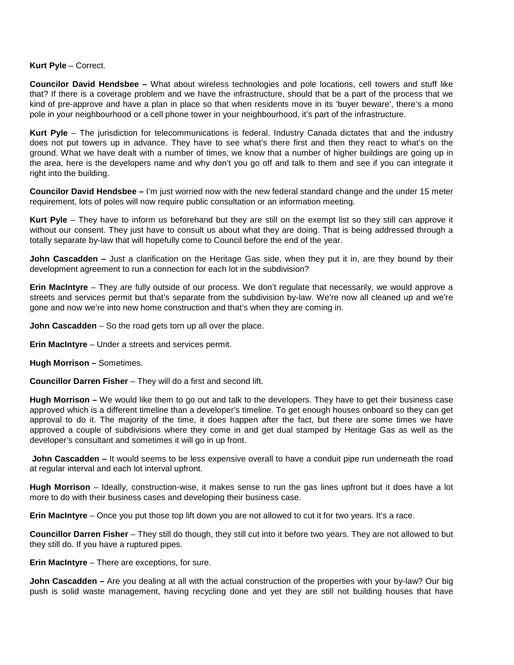#### **Kurt Pyle** – Correct.

**Councilor David Hendsbee –** What about wireless technologies and pole locations, cell towers and stuff like that? If there is a coverage problem and we have the infrastructure, should that be a part of the process that we kind of pre-approve and have a plan in place so that when residents move in its 'buyer beware', there's a mono pole in your neighbourhood or a cell phone tower in your neighbourhood, it's part of the infrastructure.

**Kurt Pyle** – The jurisdiction for telecommunications is federal. Industry Canada dictates that and the industry does not put towers up in advance. They have to see what's there first and then they react to what's on the ground. What we have dealt with a number of times, we know that a number of higher buildings are going up in the area, here is the developers name and why don't you go off and talk to them and see if you can integrate it right into the building.

**Councilor David Hendsbee –** I'm just worried now with the new federal standard change and the under 15 meter requirement, lots of poles will now require public consultation or an information meeting.

**Kurt Pyle** – They have to inform us beforehand but they are still on the exempt list so they still can approve it without our consent. They just have to consult us about what they are doing. That is being addressed through a totally separate by-law that will hopefully come to Council before the end of the year.

**John Cascadden –** Just a clarification on the Heritage Gas side, when they put it in, are they bound by their development agreement to run a connection for each lot in the subdivision?

**Erin MacIntyre** – They are fully outside of our process. We don't regulate that necessarily, we would approve a streets and services permit but that's separate from the subdivision by-law. We're now all cleaned up and we're gone and now we're into new home construction and that's when they are coming in.

**John Cascadden** – So the road gets torn up all over the place.

**Erin MacIntyre** – Under a streets and services permit.

### **Hugh Morrison –** Sometimes.

**Councillor Darren Fisher** – They will do a first and second lift.

**Hugh Morrison –** We would like them to go out and talk to the developers. They have to get their business case approved which is a different timeline than a developer's timeline. To get enough houses onboard so they can get approval to do it. The majority of the time, it does happen after the fact, but there are some times we have approved a couple of subdivisions where they come in and get dual stamped by Heritage Gas as well as the developer's consultant and sometimes it will go in up front.

**John Cascadden –** It would seems to be less expensive overall to have a conduit pipe run underneath the road at regular interval and each lot interval upfront.

**Hugh Morrison** – Ideally, construction-wise, it makes sense to run the gas lines upfront but it does have a lot more to do with their business cases and developing their business case.

**Erin MacIntyre** – Once you put those top lift down you are not allowed to cut it for two years. It's a race.

**Councillor Darren Fisher** – They still do though, they still cut into it before two years. They are not allowed to but they still do. If you have a ruptured pipes.

**Erin MacIntyre** – There are exceptions, for sure.

**John Cascadden –** Are you dealing at all with the actual construction of the properties with your by-law? Our big push is solid waste management, having recycling done and yet they are still not building houses that have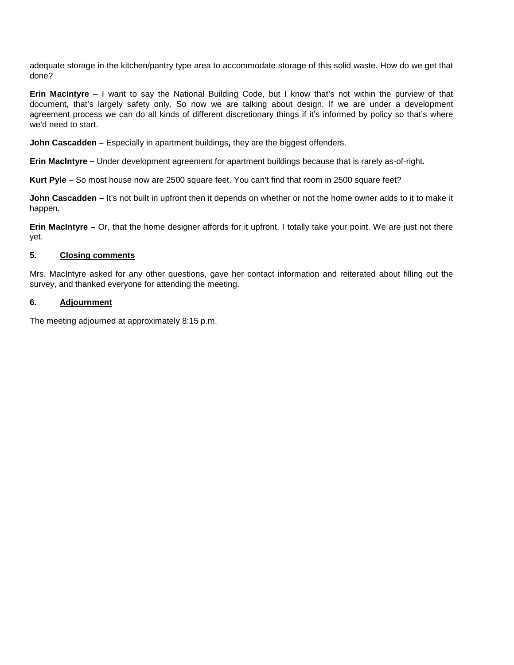adequate storage in the kitchen/pantry type area to accommodate storage of this solid waste. How do we get that done?

**Erin MacIntyre** – I want to say the National Building Code, but I know that's not within the purview of that document, that's largely safety only. So now we are talking about design. If we are under a development agreement process we can do all kinds of different discretionary things if it's informed by policy so that's where we'd need to start.

**John Cascadden –** Especially in apartment buildings**,** they are the biggest offenders.

**Erin MacIntyre –** Under development agreement for apartment buildings because that is rarely as-of-right.

**Kurt Pyle** – So most house now are 2500 square feet. You can't find that room in 2500 square feet?

**John Cascadden –** It's not built in upfront then it depends on whether or not the home owner adds to it to make it happen.

**Erin MacIntyre –** Or, that the home designer affords for it upfront. I totally take your point. We are just not there yet.

# **5. Closing comments**

Mrs. MacIntyre asked for any other questions, gave her contact information and reiterated about filling out the survey, and thanked everyone for attending the meeting.

# **6. Adjournment**

The meeting adjourned at approximately 8:15 p.m.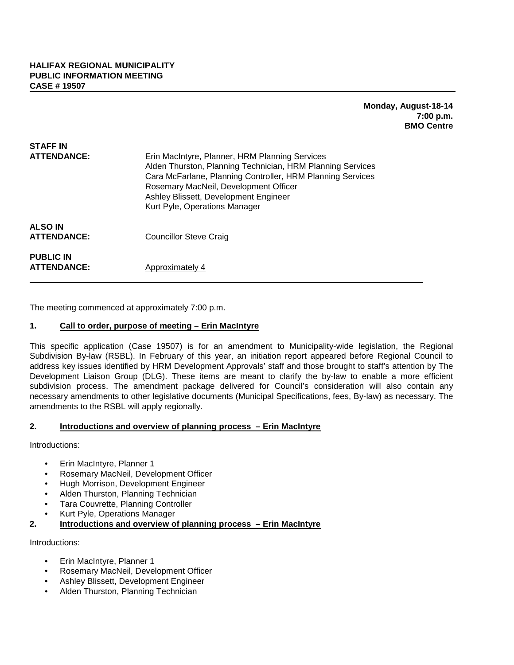# **Monday, August-18-14 7:00 p.m. BMO Centre**

| STAFF IN                               |                                                                                                                                                                                                                                                                                               |
|----------------------------------------|-----------------------------------------------------------------------------------------------------------------------------------------------------------------------------------------------------------------------------------------------------------------------------------------------|
| <b>ATTENDANCE:</b>                     | Erin MacIntyre, Planner, HRM Planning Services<br>Alden Thurston, Planning Technician, HRM Planning Services<br>Cara McFarlane, Planning Controller, HRM Planning Services<br>Rosemary MacNeil, Development Officer<br>Ashley Blissett, Development Engineer<br>Kurt Pyle, Operations Manager |
| <b>ALSO IN</b><br><b>ATTENDANCE:</b>   | <b>Councillor Steve Craig</b>                                                                                                                                                                                                                                                                 |
| <b>PUBLIC IN</b><br><b>ATTENDANCE:</b> | Approximately 4                                                                                                                                                                                                                                                                               |

The meeting commenced at approximately 7:00 p.m.

# **1. Call to order, purpose of meeting – Erin MacIntyre**

This specific application (Case 19507) is for an amendment to Municipality-wide legislation, the Regional Subdivision By-law (RSBL). In February of this year, an initiation report appeared before Regional Council to address key issues identified by HRM Development Approvals' staff and those brought to staff's attention by The Development Liaison Group (DLG). These items are meant to clarify the by-law to enable a more efficient subdivision process. The amendment package delivered for Council's consideration will also contain any necessary amendments to other legislative documents (Municipal Specifications, fees, By-law) as necessary. The amendments to the RSBL will apply regionally.

## **2. Introductions and overview of planning process – Erin MacIntyre**

Introductions:

- Erin MacIntyre, Planner 1
- Rosemary MacNeil, Development Officer
- Hugh Morrison, Development Engineer
- Alden Thurston, Planning Technician
- Tara Couvrette, Planning Controller
- Kurt Pyle, Operations Manager

**2. Introductions and overview of planning process – Erin MacIntyre**

Introductions:

- Erin MacIntyre, Planner 1
- Rosemary MacNeil, Development Officer
- Ashley Blissett, Development Engineer
- Alden Thurston, Planning Technician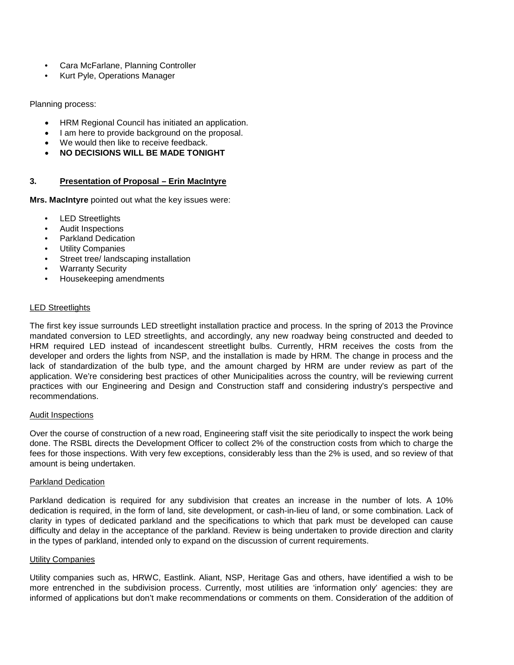- Cara McFarlane, Planning Controller
- Kurt Pyle, Operations Manager

Planning process:

- HRM Regional Council has initiated an application.
- I am here to provide background on the proposal.
- We would then like to receive feedback.
- **NO DECISIONS WILL BE MADE TONIGHT**

# **3. Presentation of Proposal – Erin MacIntyre**

**Mrs. MacIntyre** pointed out what the key issues were:

- LED Streetlights
- Audit Inspections
- Parkland Dedication
- **Utility Companies**
- Street tree/ landscaping installation
- Warranty Security
- Housekeeping amendments

### LED Streetlights

The first key issue surrounds LED streetlight installation practice and process. In the spring of 2013 the Province mandated conversion to LED streetlights, and accordingly, any new roadway being constructed and deeded to HRM required LED instead of incandescent streetlight bulbs. Currently, HRM receives the costs from the developer and orders the lights from NSP, and the installation is made by HRM. The change in process and the lack of standardization of the bulb type, and the amount charged by HRM are under review as part of the application. We're considering best practices of other Municipalities across the country, will be reviewing current practices with our Engineering and Design and Construction staff and considering industry's perspective and recommendations.

### Audit Inspections

Over the course of construction of a new road, Engineering staff visit the site periodically to inspect the work being done. The RSBL directs the Development Officer to collect 2% of the construction costs from which to charge the fees for those inspections. With very few exceptions, considerably less than the 2% is used, and so review of that amount is being undertaken.

### Parkland Dedication

Parkland dedication is required for any subdivision that creates an increase in the number of lots. A 10% dedication is required, in the form of land, site development, or cash-in-lieu of land, or some combination. Lack of clarity in types of dedicated parkland and the specifications to which that park must be developed can cause difficulty and delay in the acceptance of the parkland. Review is being undertaken to provide direction and clarity in the types of parkland, intended only to expand on the discussion of current requirements.

### Utility Companies

Utility companies such as, HRWC, Eastlink. Aliant, NSP, Heritage Gas and others, have identified a wish to be more entrenched in the subdivision process. Currently, most utilities are 'information only' agencies: they are informed of applications but don't make recommendations or comments on them. Consideration of the addition of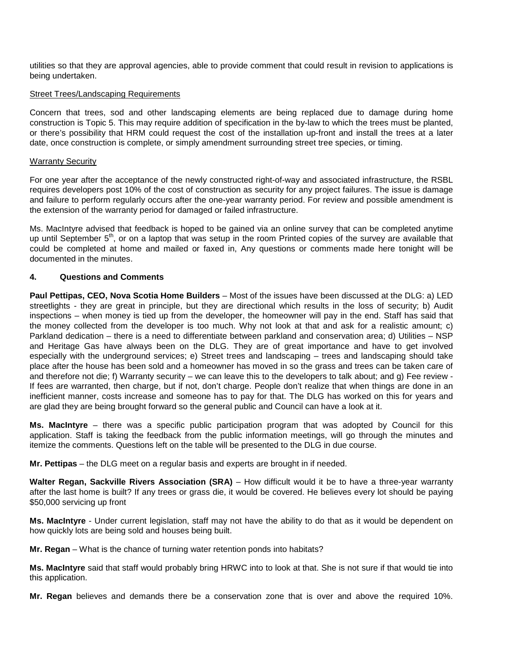utilities so that they are approval agencies, able to provide comment that could result in revision to applications is being undertaken.

#### Street Trees/Landscaping Requirements

Concern that trees, sod and other landscaping elements are being replaced due to damage during home construction is Topic 5. This may require addition of specification in the by-law to which the trees must be planted, or there's possibility that HRM could request the cost of the installation up-front and install the trees at a later date, once construction is complete, or simply amendment surrounding street tree species, or timing.

#### Warranty Security

For one year after the acceptance of the newly constructed right-of-way and associated infrastructure, the RSBL requires developers post 10% of the cost of construction as security for any project failures. The issue is damage and failure to perform regularly occurs after the one-year warranty period. For review and possible amendment is the extension of the warranty period for damaged or failed infrastructure.

Ms. MacIntyre advised that feedback is hoped to be gained via an online survey that can be completed anytime up until September 5<sup>th</sup>, or on a laptop that was setup in the room Printed copies of the survey are available that could be completed at home and mailed or faxed in, Any questions or comments made here tonight will be documented in the minutes.

### **4. Questions and Comments**

**Paul Pettipas, CEO, Nova Scotia Home Builders** – Most of the issues have been discussed at the DLG: a) LED streetlights - they are great in principle, but they are directional which results in the loss of security; b) Audit inspections – when money is tied up from the developer, the homeowner will pay in the end. Staff has said that the money collected from the developer is too much. Why not look at that and ask for a realistic amount; c) Parkland dedication – there is a need to differentiate between parkland and conservation area; d) Utilities – NSP and Heritage Gas have always been on the DLG. They are of great importance and have to get involved especially with the underground services; e) Street trees and landscaping – trees and landscaping should take place after the house has been sold and a homeowner has moved in so the grass and trees can be taken care of and therefore not die; f) Warranty security – we can leave this to the developers to talk about; and g) Fee review - If fees are warranted, then charge, but if not, don't charge. People don't realize that when things are done in an inefficient manner, costs increase and someone has to pay for that. The DLG has worked on this for years and are glad they are being brought forward so the general public and Council can have a look at it.

**Ms. MacIntyre** – there was a specific public participation program that was adopted by Council for this application. Staff is taking the feedback from the public information meetings, will go through the minutes and itemize the comments. Questions left on the table will be presented to the DLG in due course.

**Mr. Pettipas** – the DLG meet on a regular basis and experts are brought in if needed.

**Walter Regan, Sackville Rivers Association (SRA)** – How difficult would it be to have a three-year warranty after the last home is built? If any trees or grass die, it would be covered. He believes every lot should be paying \$50,000 servicing up front

**Ms. MacIntyre** - Under current legislation, staff may not have the ability to do that as it would be dependent on how quickly lots are being sold and houses being built.

**Mr. Regan** – What is the chance of turning water retention ponds into habitats?

**Ms. MacIntyre** said that staff would probably bring HRWC into to look at that. She is not sure if that would tie into this application.

**Mr. Regan** believes and demands there be a conservation zone that is over and above the required 10%.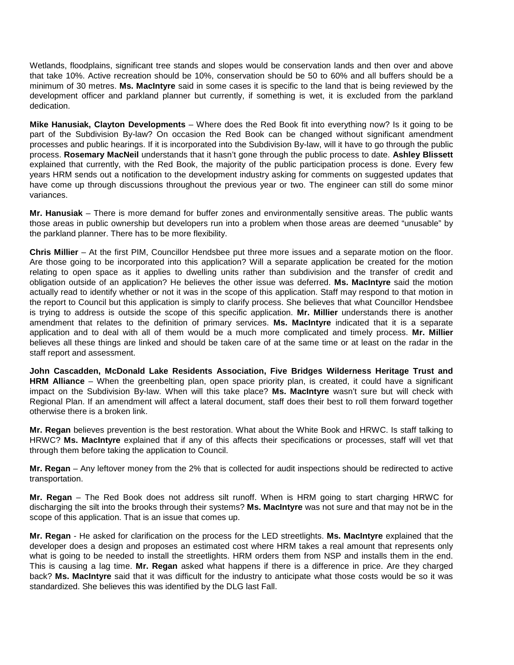Wetlands, floodplains, significant tree stands and slopes would be conservation lands and then over and above that take 10%. Active recreation should be 10%, conservation should be 50 to 60% and all buffers should be a minimum of 30 metres. **Ms. MacIntyre** said in some cases it is specific to the land that is being reviewed by the development officer and parkland planner but currently, if something is wet, it is excluded from the parkland dedication.

**Mike Hanusiak, Clayton Developments** – Where does the Red Book fit into everything now? Is it going to be part of the Subdivision By-law? On occasion the Red Book can be changed without significant amendment processes and public hearings. If it is incorporated into the Subdivision By-law, will it have to go through the public process. **Rosemary MacNeil** understands that it hasn't gone through the public process to date. **Ashley Blissett** explained that currently, with the Red Book, the majority of the public participation process is done. Every few years HRM sends out a notification to the development industry asking for comments on suggested updates that have come up through discussions throughout the previous year or two. The engineer can still do some minor variances.

**Mr. Hanusiak** – There is more demand for buffer zones and environmentally sensitive areas. The public wants those areas in public ownership but developers run into a problem when those areas are deemed "unusable" by the parkland planner. There has to be more flexibility.

**Chris Millier** – At the first PIM, Councillor Hendsbee put three more issues and a separate motion on the floor. Are those going to be incorporated into this application? Will a separate application be created for the motion relating to open space as it applies to dwelling units rather than subdivision and the transfer of credit and obligation outside of an application? He believes the other issue was deferred. **Ms. MacIntyre** said the motion actually read to identify whether or not it was in the scope of this application. Staff may respond to that motion in the report to Council but this application is simply to clarify process. She believes that what Councillor Hendsbee is trying to address is outside the scope of this specific application. **Mr. Millier** understands there is another amendment that relates to the definition of primary services. **Ms. MacIntyre** indicated that it is a separate application and to deal with all of them would be a much more complicated and timely process. **Mr. Millier** believes all these things are linked and should be taken care of at the same time or at least on the radar in the staff report and assessment.

**John Cascadden, McDonald Lake Residents Association, Five Bridges Wilderness Heritage Trust and HRM Alliance** – When the greenbelting plan, open space priority plan, is created, it could have a significant impact on the Subdivision By-law. When will this take place? **Ms. MacIntyre** wasn't sure but will check with Regional Plan. If an amendment will affect a lateral document, staff does their best to roll them forward together otherwise there is a broken link.

**Mr. Regan** believes prevention is the best restoration. What about the White Book and HRWC. Is staff talking to HRWC? **Ms. MacIntyre** explained that if any of this affects their specifications or processes, staff will vet that through them before taking the application to Council.

**Mr. Regan** – Any leftover money from the 2% that is collected for audit inspections should be redirected to active transportation.

**Mr. Regan** – The Red Book does not address silt runoff. When is HRM going to start charging HRWC for discharging the silt into the brooks through their systems? **Ms. MacIntyre** was not sure and that may not be in the scope of this application. That is an issue that comes up.

**Mr. Regan** - He asked for clarification on the process for the LED streetlights. **Ms. MacIntyre** explained that the developer does a design and proposes an estimated cost where HRM takes a real amount that represents only what is going to be needed to install the streetlights. HRM orders them from NSP and installs them in the end. This is causing a lag time. **Mr. Regan** asked what happens if there is a difference in price. Are they charged back? **Ms. MacIntyre** said that it was difficult for the industry to anticipate what those costs would be so it was standardized. She believes this was identified by the DLG last Fall.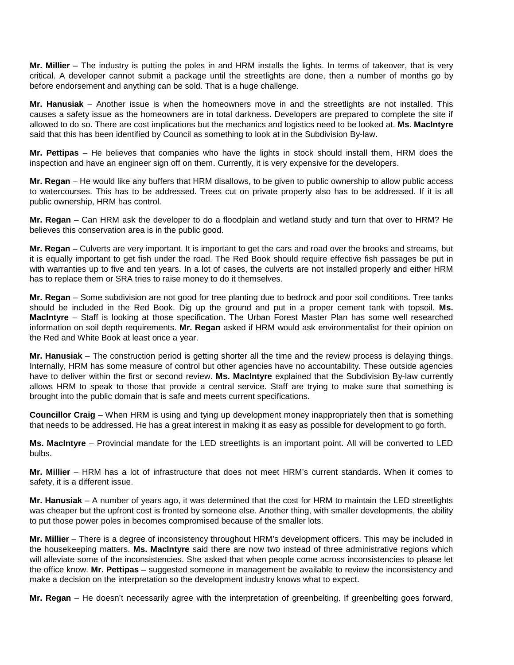**Mr. Millier** – The industry is putting the poles in and HRM installs the lights. In terms of takeover, that is very critical. A developer cannot submit a package until the streetlights are done, then a number of months go by before endorsement and anything can be sold. That is a huge challenge.

**Mr. Hanusiak** – Another issue is when the homeowners move in and the streetlights are not installed. This causes a safety issue as the homeowners are in total darkness. Developers are prepared to complete the site if allowed to do so. There are cost implications but the mechanics and logistics need to be looked at. **Ms. MacIntyre** said that this has been identified by Council as something to look at in the Subdivision By-law.

**Mr. Pettipas** – He believes that companies who have the lights in stock should install them, HRM does the inspection and have an engineer sign off on them. Currently, it is very expensive for the developers.

**Mr. Regan** – He would like any buffers that HRM disallows, to be given to public ownership to allow public access to watercourses. This has to be addressed. Trees cut on private property also has to be addressed. If it is all public ownership, HRM has control.

**Mr. Regan** – Can HRM ask the developer to do a floodplain and wetland study and turn that over to HRM? He believes this conservation area is in the public good.

**Mr. Regan** – Culverts are very important. It is important to get the cars and road over the brooks and streams, but it is equally important to get fish under the road. The Red Book should require effective fish passages be put in with warranties up to five and ten years. In a lot of cases, the culverts are not installed properly and either HRM has to replace them or SRA tries to raise money to do it themselves.

**Mr. Regan** – Some subdivision are not good for tree planting due to bedrock and poor soil conditions. Tree tanks should be included in the Red Book. Dig up the ground and put in a proper cement tank with topsoil. **Ms. MacIntyre** – Staff is looking at those specification. The Urban Forest Master Plan has some well researched information on soil depth requirements. **Mr. Regan** asked if HRM would ask environmentalist for their opinion on the Red and White Book at least once a year.

**Mr. Hanusiak** – The construction period is getting shorter all the time and the review process is delaying things. Internally, HRM has some measure of control but other agencies have no accountability. These outside agencies have to deliver within the first or second review. **Ms. MacIntyre** explained that the Subdivision By-law currently allows HRM to speak to those that provide a central service. Staff are trying to make sure that something is brought into the public domain that is safe and meets current specifications.

**Councillor Craig** – When HRM is using and tying up development money inappropriately then that is something that needs to be addressed. He has a great interest in making it as easy as possible for development to go forth.

**Ms. MacIntyre** – Provincial mandate for the LED streetlights is an important point. All will be converted to LED bulbs.

**Mr. Millier** – HRM has a lot of infrastructure that does not meet HRM's current standards. When it comes to safety, it is a different issue.

**Mr. Hanusiak** – A number of years ago, it was determined that the cost for HRM to maintain the LED streetlights was cheaper but the upfront cost is fronted by someone else. Another thing, with smaller developments, the ability to put those power poles in becomes compromised because of the smaller lots.

**Mr. Millier** – There is a degree of inconsistency throughout HRM's development officers. This may be included in the housekeeping matters. **Ms. MacIntyre** said there are now two instead of three administrative regions which will alleviate some of the inconsistencies. She asked that when people come across inconsistencies to please let the office know. **Mr. Pettipas** – suggested someone in management be available to review the inconsistency and make a decision on the interpretation so the development industry knows what to expect.

**Mr. Regan** – He doesn't necessarily agree with the interpretation of greenbelting. If greenbelting goes forward,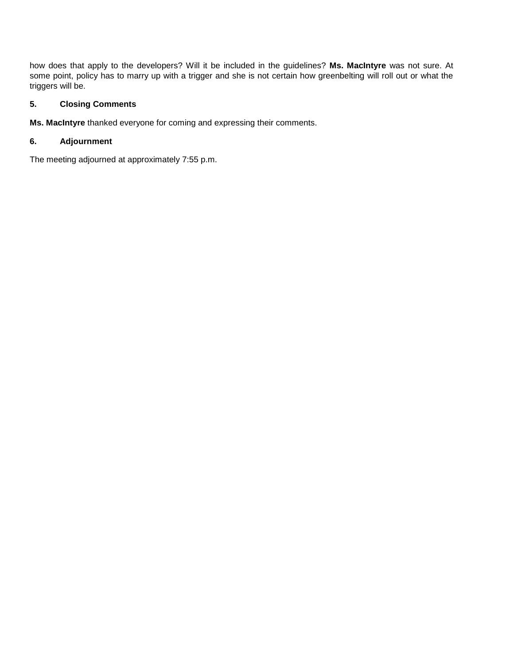how does that apply to the developers? Will it be included in the guidelines? **Ms. MacIntyre** was not sure. At some point, policy has to marry up with a trigger and she is not certain how greenbelting will roll out or what the triggers will be.

# **5. Closing Comments**

**Ms. MacIntyre** thanked everyone for coming and expressing their comments.

# **6. Adjournment**

The meeting adjourned at approximately 7:55 p.m.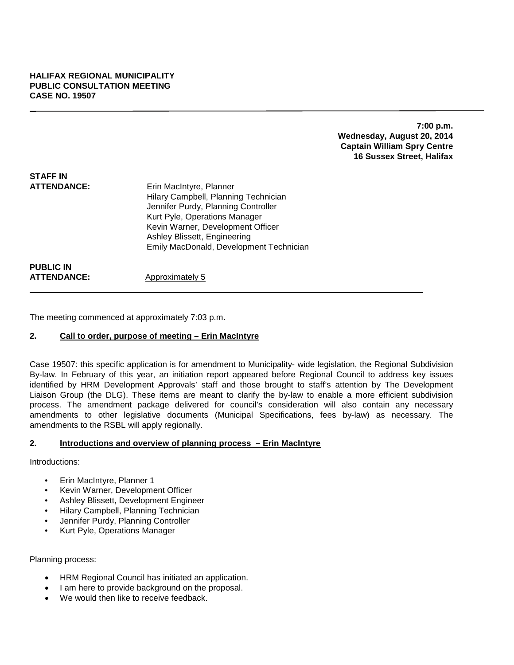**7:00 p.m. Wednesday, August 20, 2014 Captain William Spry Centre 16 Sussex Street, Halifax**

| <b>STAFF IN</b><br><b>ATTENDANCE:</b>  | Erin MacIntyre, Planner<br>Hilary Campbell, Planning Technician<br>Jennifer Purdy, Planning Controller<br>Kurt Pyle, Operations Manager<br>Kevin Warner, Development Officer<br>Ashley Blissett, Engineering<br>Emily MacDonald, Development Technician |
|----------------------------------------|---------------------------------------------------------------------------------------------------------------------------------------------------------------------------------------------------------------------------------------------------------|
| <b>PUBLIC IN</b><br><b>ATTENDANCE:</b> | Approximately 5                                                                                                                                                                                                                                         |

The meeting commenced at approximately 7:03 p.m.

### **2. Call to order, purpose of meeting – Erin MacIntyre**

Case 19507: this specific application is for amendment to Municipality- wide legislation, the Regional Subdivision By-law. In February of this year, an initiation report appeared before Regional Council to address key issues identified by HRM Development Approvals' staff and those brought to staff's attention by The Development Liaison Group (the DLG). These items are meant to clarify the by-law to enable a more efficient subdivision process. The amendment package delivered for council's consideration will also contain any necessary amendments to other legislative documents (Municipal Specifications, fees by-law) as necessary. The amendments to the RSBL will apply regionally.

# **2. Introductions and overview of planning process – Erin MacIntyre**

Introductions:

- Erin MacIntyre, Planner 1
- Kevin Warner, Development Officer
- Ashley Blissett, Development Engineer
- Hilary Campbell, Planning Technician
- Jennifer Purdy, Planning Controller
- Kurt Pyle, Operations Manager

Planning process:

- HRM Regional Council has initiated an application.
- I am here to provide background on the proposal.
- We would then like to receive feedback.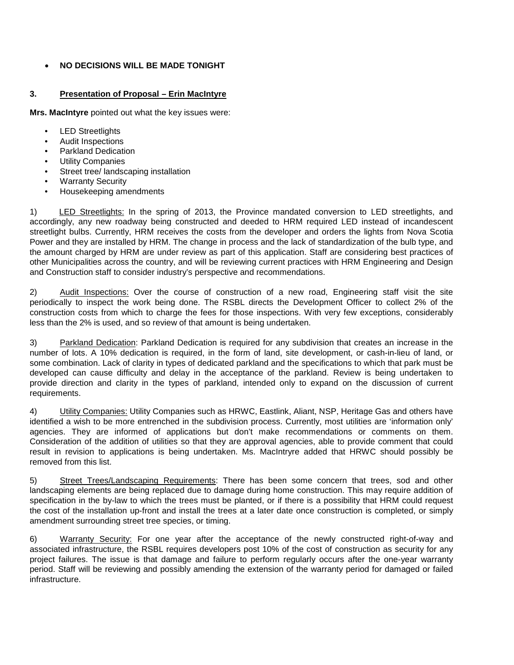# • **NO DECISIONS WILL BE MADE TONIGHT**

# **3. Presentation of Proposal – Erin MacIntyre**

**Mrs. MacIntyre** pointed out what the key issues were:

- LED Streetlights
- Audit Inspections
- Parkland Dedication
- **Utility Companies**
- Street tree/ landscaping installation
- **Warranty Security**
- Housekeeping amendments

1) LED Streetlights: In the spring of 2013, the Province mandated conversion to LED streetlights, and accordingly, any new roadway being constructed and deeded to HRM required LED instead of incandescent streetlight bulbs. Currently, HRM receives the costs from the developer and orders the lights from Nova Scotia Power and they are installed by HRM. The change in process and the lack of standardization of the bulb type, and the amount charged by HRM are under review as part of this application. Staff are considering best practices of other Municipalities across the country, and will be reviewing current practices with HRM Engineering and Design and Construction staff to consider industry's perspective and recommendations.

2) Audit Inspections: Over the course of construction of a new road, Engineering staff visit the site periodically to inspect the work being done. The RSBL directs the Development Officer to collect 2% of the construction costs from which to charge the fees for those inspections. With very few exceptions, considerably less than the 2% is used, and so review of that amount is being undertaken.

3) Parkland Dedication: Parkland Dedication is required for any subdivision that creates an increase in the number of lots. A 10% dedication is required, in the form of land, site development, or cash-in-lieu of land, or some combination. Lack of clarity in types of dedicated parkland and the specifications to which that park must be developed can cause difficulty and delay in the acceptance of the parkland. Review is being undertaken to provide direction and clarity in the types of parkland, intended only to expand on the discussion of current requirements.

4) Utility Companies: Utility Companies such as HRWC, Eastlink, Aliant, NSP, Heritage Gas and others have identified a wish to be more entrenched in the subdivision process. Currently, most utilities are 'information only' agencies. They are informed of applications but don't make recommendations or comments on them. Consideration of the addition of utilities so that they are approval agencies, able to provide comment that could result in revision to applications is being undertaken. Ms. MacIntryre added that HRWC should possibly be removed from this list.

5) Street Trees/Landscaping Requirements: There has been some concern that trees, sod and other landscaping elements are being replaced due to damage during home construction. This may require addition of specification in the by-law to which the trees must be planted, or if there is a possibility that HRM could request the cost of the installation up-front and install the trees at a later date once construction is completed, or simply amendment surrounding street tree species, or timing.

6) Warranty Security: For one year after the acceptance of the newly constructed right-of-way and associated infrastructure, the RSBL requires developers post 10% of the cost of construction as security for any project failures. The issue is that damage and failure to perform regularly occurs after the one-year warranty period. Staff will be reviewing and possibly amending the extension of the warranty period for damaged or failed infrastructure.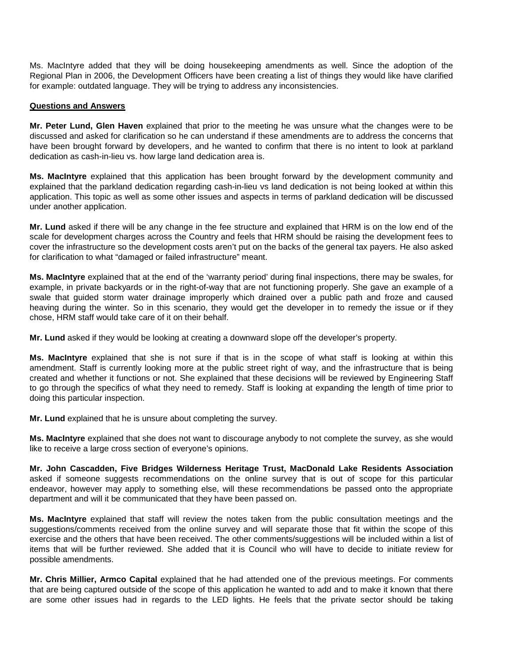Ms. MacIntyre added that they will be doing housekeeping amendments as well. Since the adoption of the Regional Plan in 2006, the Development Officers have been creating a list of things they would like have clarified for example: outdated language. They will be trying to address any inconsistencies.

## **Questions and Answers**

**Mr. Peter Lund, Glen Haven** explained that prior to the meeting he was unsure what the changes were to be discussed and asked for clarification so he can understand if these amendments are to address the concerns that have been brought forward by developers, and he wanted to confirm that there is no intent to look at parkland dedication as cash-in-lieu vs. how large land dedication area is.

**Ms. MacIntyre** explained that this application has been brought forward by the development community and explained that the parkland dedication regarding cash-in-lieu vs land dedication is not being looked at within this application. This topic as well as some other issues and aspects in terms of parkland dedication will be discussed under another application.

**Mr. Lund** asked if there will be any change in the fee structure and explained that HRM is on the low end of the scale for development charges across the Country and feels that HRM should be raising the development fees to cover the infrastructure so the development costs aren't put on the backs of the general tax payers. He also asked for clarification to what "damaged or failed infrastructure" meant.

**Ms. MacIntyre** explained that at the end of the 'warranty period' during final inspections, there may be swales, for example, in private backyards or in the right-of-way that are not functioning properly. She gave an example of a swale that guided storm water drainage improperly which drained over a public path and froze and caused heaving during the winter. So in this scenario, they would get the developer in to remedy the issue or if they chose, HRM staff would take care of it on their behalf.

**Mr. Lund** asked if they would be looking at creating a downward slope off the developer's property.

**Ms. MacIntyre** explained that she is not sure if that is in the scope of what staff is looking at within this amendment. Staff is currently looking more at the public street right of way, and the infrastructure that is being created and whether it functions or not. She explained that these decisions will be reviewed by Engineering Staff to go through the specifics of what they need to remedy. Staff is looking at expanding the length of time prior to doing this particular inspection.

**Mr. Lund** explained that he is unsure about completing the survey.

**Ms. MacIntyre** explained that she does not want to discourage anybody to not complete the survey, as she would like to receive a large cross section of everyone's opinions.

**Mr. John Cascadden, Five Bridges Wilderness Heritage Trust, MacDonald Lake Residents Association**  asked if someone suggests recommendations on the online survey that is out of scope for this particular endeavor, however may apply to something else, will these recommendations be passed onto the appropriate department and will it be communicated that they have been passed on.

**Ms. MacIntyre** explained that staff will review the notes taken from the public consultation meetings and the suggestions/comments received from the online survey and will separate those that fit within the scope of this exercise and the others that have been received. The other comments/suggestions will be included within a list of items that will be further reviewed. She added that it is Council who will have to decide to initiate review for possible amendments.

**Mr. Chris Millier, Armco Capital** explained that he had attended one of the previous meetings. For comments that are being captured outside of the scope of this application he wanted to add and to make it known that there are some other issues had in regards to the LED lights. He feels that the private sector should be taking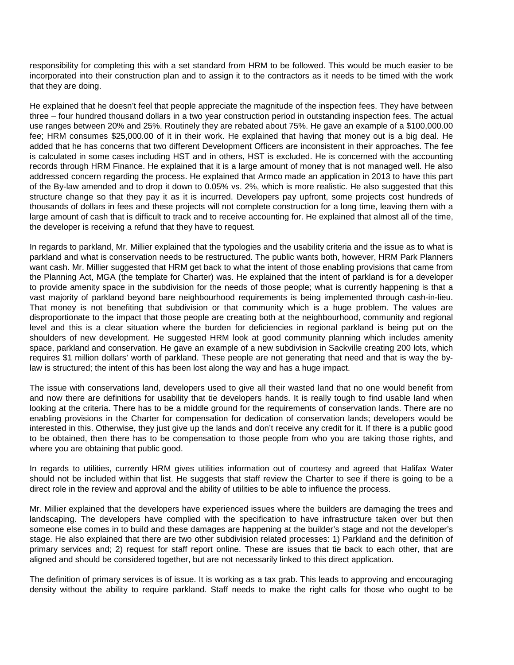responsibility for completing this with a set standard from HRM to be followed. This would be much easier to be incorporated into their construction plan and to assign it to the contractors as it needs to be timed with the work that they are doing.

He explained that he doesn't feel that people appreciate the magnitude of the inspection fees. They have between three – four hundred thousand dollars in a two year construction period in outstanding inspection fees. The actual use ranges between 20% and 25%. Routinely they are rebated about 75%. He gave an example of a \$100,000.00 fee; HRM consumes \$25,000.00 of it in their work. He explained that having that money out is a big deal. He added that he has concerns that two different Development Officers are inconsistent in their approaches. The fee is calculated in some cases including HST and in others, HST is excluded. He is concerned with the accounting records through HRM Finance. He explained that it is a large amount of money that is not managed well. He also addressed concern regarding the process. He explained that Armco made an application in 2013 to have this part of the By-law amended and to drop it down to 0.05% vs. 2%, which is more realistic. He also suggested that this structure change so that they pay it as it is incurred. Developers pay upfront, some projects cost hundreds of thousands of dollars in fees and these projects will not complete construction for a long time, leaving them with a large amount of cash that is difficult to track and to receive accounting for. He explained that almost all of the time, the developer is receiving a refund that they have to request.

In regards to parkland, Mr. Millier explained that the typologies and the usability criteria and the issue as to what is parkland and what is conservation needs to be restructured. The public wants both, however, HRM Park Planners want cash. Mr. Millier suggested that HRM get back to what the intent of those enabling provisions that came from the Planning Act, MGA (the template for Charter) was. He explained that the intent of parkland is for a developer to provide amenity space in the subdivision for the needs of those people; what is currently happening is that a vast majority of parkland beyond bare neighbourhood requirements is being implemented through cash-in-lieu. That money is not benefiting that subdivision or that community which is a huge problem. The values are disproportionate to the impact that those people are creating both at the neighbourhood, community and regional level and this is a clear situation where the burden for deficiencies in regional parkland is being put on the shoulders of new development. He suggested HRM look at good community planning which includes amenity space, parkland and conservation. He gave an example of a new subdivision in Sackville creating 200 lots, which requires \$1 million dollars' worth of parkland. These people are not generating that need and that is way the bylaw is structured; the intent of this has been lost along the way and has a huge impact.

The issue with conservations land, developers used to give all their wasted land that no one would benefit from and now there are definitions for usability that tie developers hands. It is really tough to find usable land when looking at the criteria. There has to be a middle ground for the requirements of conservation lands. There are no enabling provisions in the Charter for compensation for dedication of conservation lands; developers would be interested in this. Otherwise, they just give up the lands and don't receive any credit for it. If there is a public good to be obtained, then there has to be compensation to those people from who you are taking those rights, and where you are obtaining that public good.

In regards to utilities, currently HRM gives utilities information out of courtesy and agreed that Halifax Water should not be included within that list. He suggests that staff review the Charter to see if there is going to be a direct role in the review and approval and the ability of utilities to be able to influence the process.

Mr. Millier explained that the developers have experienced issues where the builders are damaging the trees and landscaping. The developers have complied with the specification to have infrastructure taken over but then someone else comes in to build and these damages are happening at the builder's stage and not the developer's stage. He also explained that there are two other subdivision related processes: 1) Parkland and the definition of primary services and; 2) request for staff report online. These are issues that tie back to each other, that are aligned and should be considered together, but are not necessarily linked to this direct application.

The definition of primary services is of issue. It is working as a tax grab. This leads to approving and encouraging density without the ability to require parkland. Staff needs to make the right calls for those who ought to be